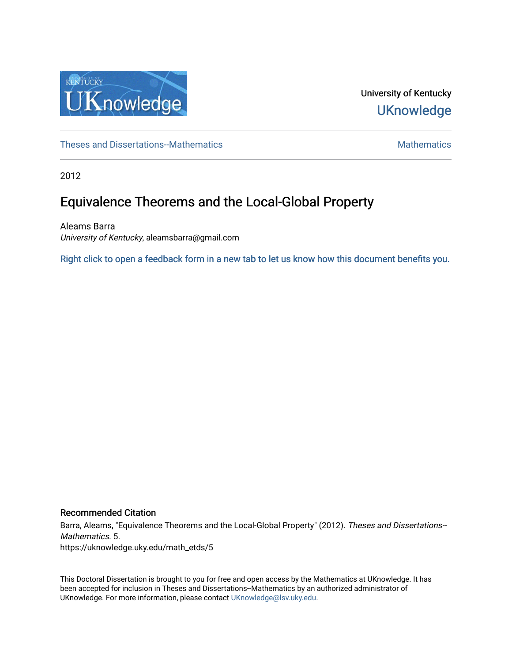

University of Kentucky **UKnowledge** 

[Theses and Dissertations--Mathematics](https://uknowledge.uky.edu/math_etds) **Mathematics** [Mathematics](https://uknowledge.uky.edu/math) Mathematics Mathematics

2012

# Equivalence Theorems and the Local-Global Property

Aleams Barra University of Kentucky, aleamsbarra@gmail.com

[Right click to open a feedback form in a new tab to let us know how this document benefits you.](https://uky.az1.qualtrics.com/jfe/form/SV_9mq8fx2GnONRfz7)

### Recommended Citation

Barra, Aleams, "Equivalence Theorems and the Local-Global Property" (2012). Theses and Dissertations-- Mathematics. 5. https://uknowledge.uky.edu/math\_etds/5

This Doctoral Dissertation is brought to you for free and open access by the Mathematics at UKnowledge. It has been accepted for inclusion in Theses and Dissertations--Mathematics by an authorized administrator of UKnowledge. For more information, please contact [UKnowledge@lsv.uky.edu](mailto:UKnowledge@lsv.uky.edu).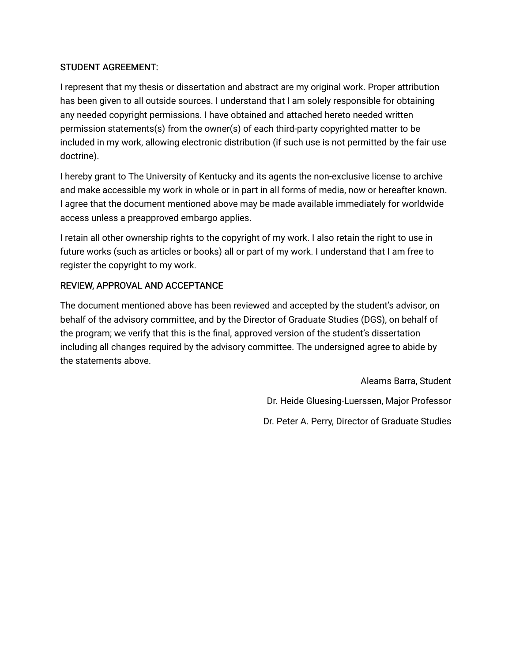## STUDENT AGREEMENT:

I represent that my thesis or dissertation and abstract are my original work. Proper attribution has been given to all outside sources. I understand that I am solely responsible for obtaining any needed copyright permissions. I have obtained and attached hereto needed written permission statements(s) from the owner(s) of each third-party copyrighted matter to be included in my work, allowing electronic distribution (if such use is not permitted by the fair use doctrine).

I hereby grant to The University of Kentucky and its agents the non-exclusive license to archive and make accessible my work in whole or in part in all forms of media, now or hereafter known. I agree that the document mentioned above may be made available immediately for worldwide access unless a preapproved embargo applies.

I retain all other ownership rights to the copyright of my work. I also retain the right to use in future works (such as articles or books) all or part of my work. I understand that I am free to register the copyright to my work.

## REVIEW, APPROVAL AND ACCEPTANCE

The document mentioned above has been reviewed and accepted by the student's advisor, on behalf of the advisory committee, and by the Director of Graduate Studies (DGS), on behalf of the program; we verify that this is the final, approved version of the student's dissertation including all changes required by the advisory committee. The undersigned agree to abide by the statements above.

Aleams Barra, Student

Dr. Heide Gluesing-Luerssen, Major Professor

Dr. Peter A. Perry, Director of Graduate Studies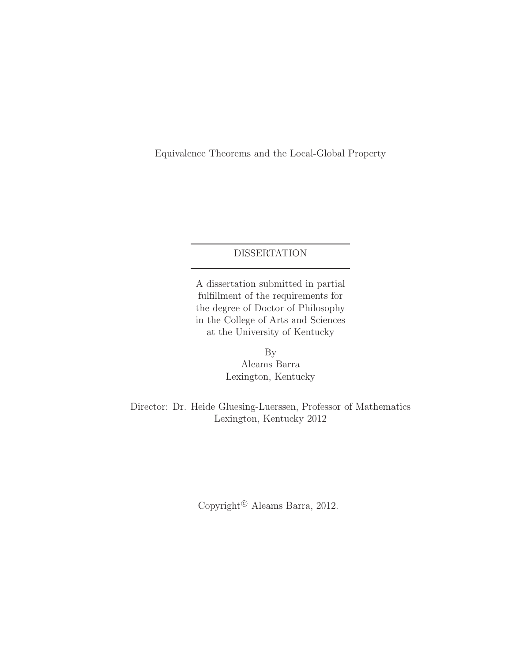Equivalence Theorems and the Local-Global Property

### DISSERTATION

A dissertation submitted in partial fulfillment of the requirements for the degree of Doctor of Philosophy in the College of Arts and Sciences at the University of Kentucky

> By Aleams Barra Lexington, Kentucky

Director: Dr. Heide Gluesing-Luerssen, Professor of Mathematics Lexington, Kentucky 2012

Copyright<sup>©</sup> Aleams Barra, 2012.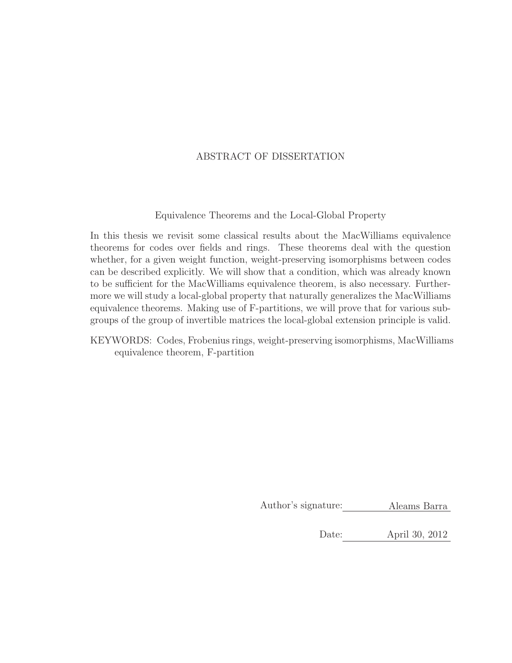## ABSTRACT OF DISSERTATION

## Equivalence Theorems and the Local-Global Property

In this thesis we revisit some classical results about the MacWilliams equivalence theorems for codes over fields and rings. These theorems deal with the question whether, for a given weight function, weight-preserving isomorphisms between codes can be described explicitly. We will show that a condition, which was already known to be sufficient for the MacWilliams equivalence theorem, is also necessary. Furthermore we will study a local-global property that naturally generalizes the MacWilliams equivalence theorems. Making use of F-partitions, we will prove that for various subgroups of the group of invertible matrices the local-global extension principle is valid.

## KEYWORDS: Codes, Frobenius rings, weight-preserving isomorphisms, MacWilliams equivalence theorem, F-partition

Author's signature: Aleams Barra

Date: April 30, 2012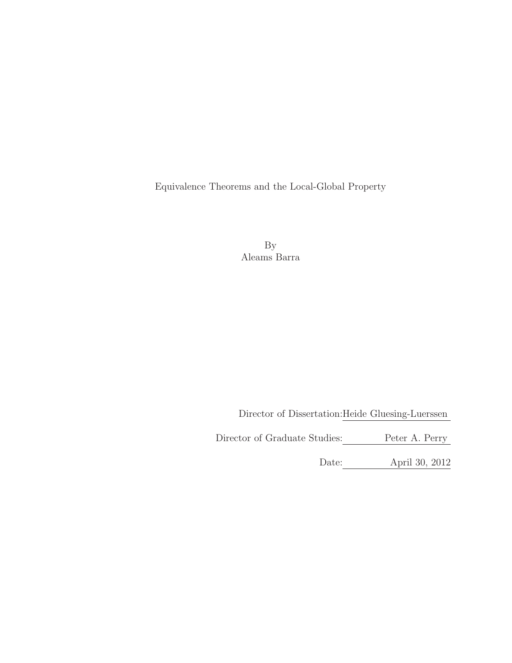Equivalence Theorems and the Local-Global Property

By Aleams Barra

Director of Dissertation:Heide Gluesing-Luerssen

Director of Graduate Studies: Peter A. Perry

Date: April 30, 2012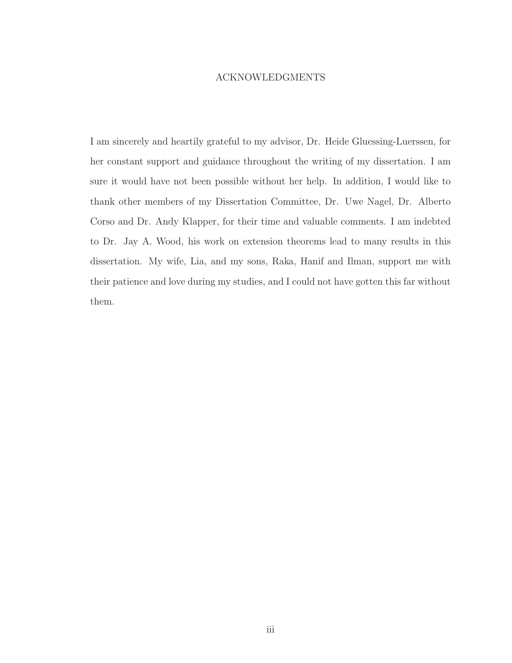#### ACKNOWLEDGMENTS

I am sincerely and heartily grateful to my advisor, Dr. Heide Gluessing-Luerssen, for her constant support and guidance throughout the writing of my dissertation. I am sure it would have not been possible without her help. In addition, I would like to thank other members of my Dissertation Committee, Dr. Uwe Nagel, Dr. Alberto Corso and Dr. Andy Klapper, for their time and valuable comments. I am indebted to Dr. Jay A. Wood, his work on extension theorems lead to many results in this dissertation. My wife, Lia, and my sons, Raka, Hanif and Ilman, support me with their patience and love during my studies, and I could not have gotten this far without them.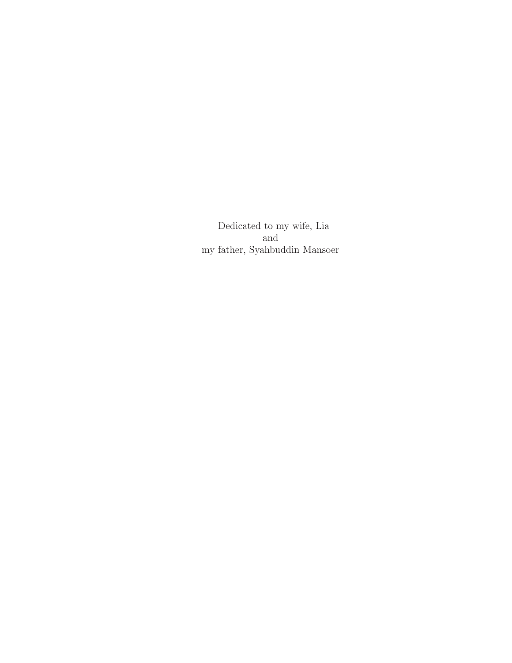Dedicated to my wife, Lia and my father, Syahbuddin Mansoer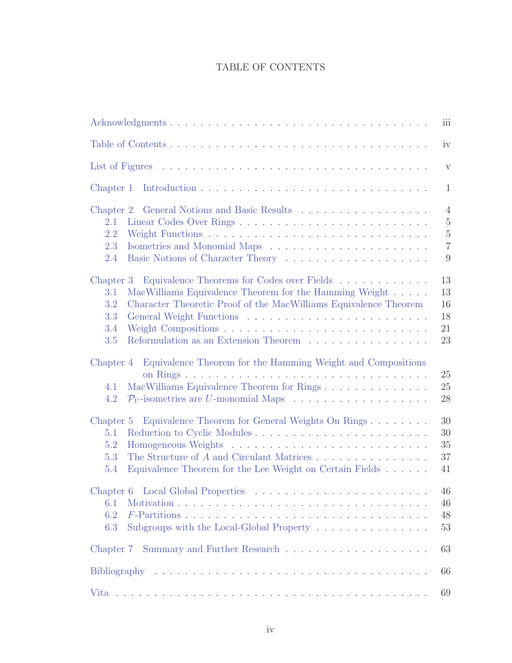## TABLE OF CONTENTS

| $\rm iii$                                                                                                                                                                                                                                                                                                                                  |
|--------------------------------------------------------------------------------------------------------------------------------------------------------------------------------------------------------------------------------------------------------------------------------------------------------------------------------------------|
| iv                                                                                                                                                                                                                                                                                                                                         |
| $\mathbf{V}$                                                                                                                                                                                                                                                                                                                               |
| $\mathbf{1}$<br>Chapter 1                                                                                                                                                                                                                                                                                                                  |
| $\overline{4}$<br>$5\,$<br>2.1<br>$\bf 5$<br>2.2<br>$\overline{7}$<br>2.3<br>$\overline{9}$<br>2.4                                                                                                                                                                                                                                         |
| 13<br>Equivalence Theorems for Codes over Fields<br>Chapter 3<br>13<br>MacWilliams Equivalence Theorem for the Hamming Weight<br>3.1<br>16<br>Character Theoretic Proof of the MacWilliams Equivalence Theorem<br>3.2<br>18<br>3.3<br>21<br>3.4<br>Reformulation as an Extension Theorem $\ldots \ldots \ldots \ldots \ldots$<br>23<br>3.5 |
| Equivalence Theorem for the Hamming Weight and Compositions<br>Chapter 4<br>25<br>MacWilliams Equivalence Theorem for Rings<br>25<br>4.1<br>$\mathcal{P}_U$ -isometries are U-monomial Maps<br>28<br>4.2                                                                                                                                   |
| Equivalence Theorem for General Weights On Rings<br>30<br>Chapter 5<br>5.1<br>30<br>5.2<br>35<br>5.3<br>37<br>Equivalence Theorem for the Lee Weight on Certain Fields<br>5.4<br>41                                                                                                                                                        |
| Chapter 6 Local Global Properties<br>46<br>46<br>6.1<br>48<br>6.2<br>Subgroups with the Local-Global Property $\dots \dots \dots \dots \dots$<br>53<br>6.3                                                                                                                                                                                 |
| 63                                                                                                                                                                                                                                                                                                                                         |
| 66                                                                                                                                                                                                                                                                                                                                         |
| 69                                                                                                                                                                                                                                                                                                                                         |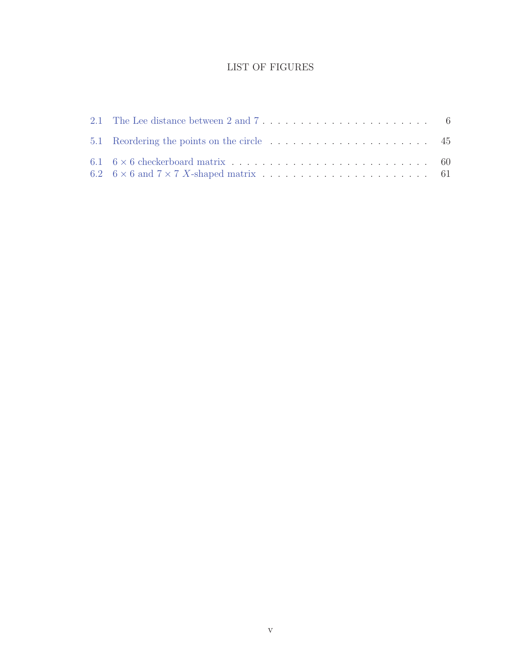## LIST OF FIGURES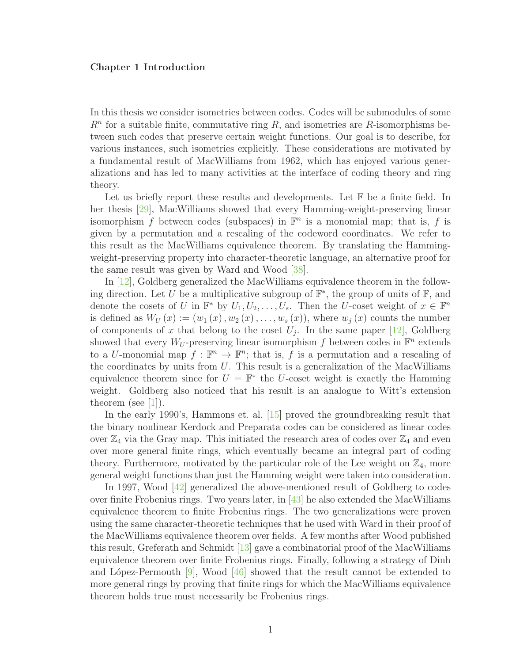#### Chapter 1 Introduction

In this thesis we consider isometries between codes. Codes will be submodules of some  $R<sup>n</sup>$  for a suitable finite, commutative ring  $R$ , and isometries are  $R$ -isomorphisms between such codes that preserve certain weight functions. Our goal is to describe, for various instances, such isometries explicitly. These considerations are motivated by a fundamental result of MacWilliams from 1962, which has enjoyed various generalizations and has led to many activities at the interface of coding theory and ring theory.

Let us briefly report these results and developments. Let  $\mathbb F$  be a finite field. In her thesis [29], MacWilliams showed that every Hamming-weight-preserving linear isomorphism f between codes (subspaces) in  $\mathbb{F}^n$  is a monomial map; that is, f is given by a permutation and a rescaling of the codeword coordinates. We refer to this result as the MacWilliams equivalence theorem. By translating the Hammingweight-preserving property into character-theoretic language, an alternative proof for the same result was given by Ward and Wood [38].

In [12], Goldberg generalized the MacWilliams equivalence theorem in the following direction. Let U be a multiplicative subgroup of  $\mathbb{F}^*$ , the group of units of  $\mathbb{F}$ , and denote the cosets of U in  $\mathbb{F}^*$  by  $U_1, U_2, \ldots, U_s$ . Then the U-coset weight of  $x \in \mathbb{F}^n$ is defined as  $W_U(x) := (w_1(x), w_2(x), \ldots, w_s(x))$ , where  $w_i(x)$  counts the number of components of x that belong to the coset  $U_j$ . In the same paper [12], Goldberg showed that every  $W_U$ -preserving linear isomorphism f between codes in  $\mathbb{F}^n$  extends to a U-monomial map  $f : \mathbb{F}^n \to \mathbb{F}^n$ ; that is, f is a permutation and a rescaling of the coordinates by units from  $U$ . This result is a generalization of the MacWilliams equivalence theorem since for  $U = \mathbb{F}^*$  the U-coset weight is exactly the Hamming weight. Goldberg also noticed that his result is an analogue to Witt's extension theorem (see  $[1]$ ).

In the early 1990's, Hammons et. al. [15] proved the groundbreaking result that the binary nonlinear Kerdock and Preparata codes can be considered as linear codes over  $\mathbb{Z}_4$  via the Gray map. This initiated the research area of codes over  $\mathbb{Z}_4$  and even over more general finite rings, which eventually became an integral part of coding theory. Furthermore, motivated by the particular role of the Lee weight on  $\mathbb{Z}_4$ , more general weight functions than just the Hamming weight were taken into consideration.

In 1997, Wood [42] generalized the above-mentioned result of Goldberg to codes over finite Frobenius rings. Two years later, in [43] he also extended the MacWilliams equivalence theorem to finite Frobenius rings. The two generalizations were proven using the same character-theoretic techniques that he used with Ward in their proof of the MacWilliams equivalence theorem over fields. A few months after Wood published this result, Greferath and Schmidt [13] gave a combinatorial proof of the MacWilliams equivalence theorem over finite Frobenius rings. Finally, following a strategy of Dinh and López-Permouth  $[9]$ , Wood  $[46]$  showed that the result cannot be extended to more general rings by proving that finite rings for which the MacWilliams equivalence theorem holds true must necessarily be Frobenius rings.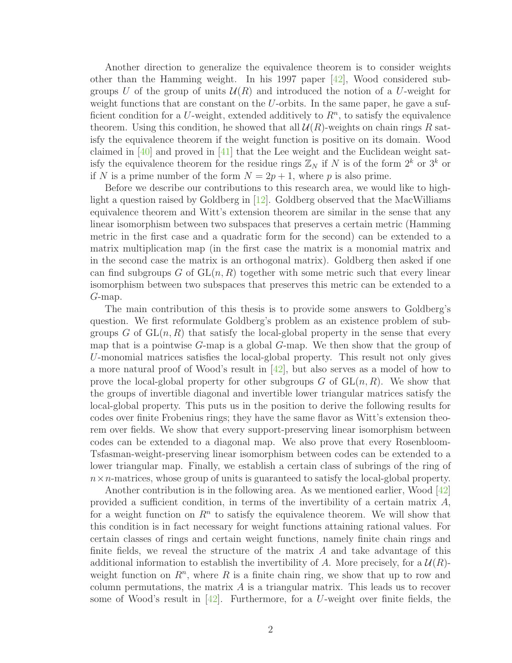Another direction to generalize the equivalence theorem is to consider weights other than the Hamming weight. In his 1997 paper [42], Wood considered subgroups U of the group of units  $\mathcal{U}(R)$  and introduced the notion of a U-weight for weight functions that are constant on the U-orbits. In the same paper, he gave a sufficient condition for a  $U$ -weight, extended additively to  $R<sup>n</sup>$ , to satisfy the equivalence theorem. Using this condition, he showed that all  $\mathcal{U}(R)$ -weights on chain rings R satisfy the equivalence theorem if the weight function is positive on its domain. Wood claimed in [40] and proved in [41] that the Lee weight and the Euclidean weight satisfy the equivalence theorem for the residue rings  $\mathbb{Z}_N$  if N is of the form  $2^k$  or  $3^k$  or if N is a prime number of the form  $N = 2p + 1$ , where p is also prime.

Before we describe our contributions to this research area, we would like to highlight a question raised by Goldberg in [12]. Goldberg observed that the MacWilliams equivalence theorem and Witt's extension theorem are similar in the sense that any linear isomorphism between two subspaces that preserves a certain metric (Hamming metric in the first case and a quadratic form for the second) can be extended to a matrix multiplication map (in the first case the matrix is a monomial matrix and in the second case the matrix is an orthogonal matrix). Goldberg then asked if one can find subgroups G of  $GL(n, R)$  together with some metric such that every linear isomorphism between two subspaces that preserves this metric can be extended to a G-map.

The main contribution of this thesis is to provide some answers to Goldberg's question. We first reformulate Goldberg's problem as an existence problem of subgroups G of  $GL(n, R)$  that satisfy the local-global property in the sense that every map that is a pointwise  $G$ -map is a global  $G$ -map. We then show that the group of U-monomial matrices satisfies the local-global property. This result not only gives a more natural proof of Wood's result in [42], but also serves as a model of how to prove the local-global property for other subgroups  $G$  of  $GL(n, R)$ . We show that the groups of invertible diagonal and invertible lower triangular matrices satisfy the local-global property. This puts us in the position to derive the following results for codes over finite Frobenius rings; they have the same flavor as Witt's extension theorem over fields. We show that every support-preserving linear isomorphism between codes can be extended to a diagonal map. We also prove that every Rosenbloom-Tsfasman-weight-preserving linear isomorphism between codes can be extended to a lower triangular map. Finally, we establish a certain class of subrings of the ring of  $n \times n$ -matrices, whose group of units is guaranteed to satisfy the local-global property.

Another contribution is in the following area. As we mentioned earlier, Wood  $|42|$ provided a sufficient condition, in terms of the invertibility of a certain matrix  $A$ , for a weight function on  $R<sup>n</sup>$  to satisfy the equivalence theorem. We will show that this condition is in fact necessary for weight functions attaining rational values. For certain classes of rings and certain weight functions, namely finite chain rings and finite fields, we reveal the structure of the matrix  $A$  and take advantage of this additional information to establish the invertibility of A. More precisely, for a  $\mathcal{U}(R)$ weight function on  $R<sup>n</sup>$ , where R is a finite chain ring, we show that up to row and column permutations, the matrix  $A$  is a triangular matrix. This leads us to recover some of Wood's result in  $[42]$ . Furthermore, for a U-weight over finite fields, the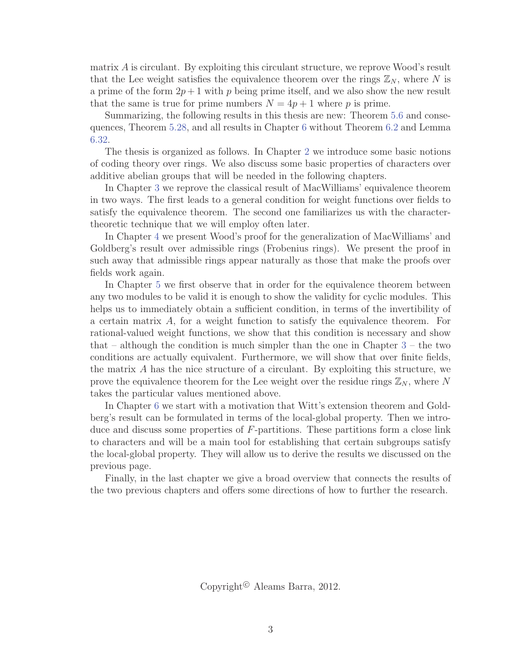matrix A is circulant. By exploiting this circulant structure, we reprove Wood's result that the Lee weight satisfies the equivalence theorem over the rings  $\mathbb{Z}_N$ , where N is a prime of the form  $2p + 1$  with p being prime itself, and we also show the new result that the same is true for prime numbers  $N = 4p + 1$  where p is prime.

Summarizing, the following results in this thesis are new: Theorem 5.6 and consequences, Theorem 5.28, and all results in Chapter 6 without Theorem 6.2 and Lemma 6.32.

The thesis is organized as follows. In Chapter 2 we introduce some basic notions of coding theory over rings. We also discuss some basic properties of characters over additive abelian groups that will be needed in the following chapters.

In Chapter 3 we reprove the classical result of MacWilliams' equivalence theorem in two ways. The first leads to a general condition for weight functions over fields to satisfy the equivalence theorem. The second one familiarizes us with the charactertheoretic technique that we will employ often later.

In Chapter 4 we present Wood's proof for the generalization of MacWilliams' and Goldberg's result over admissible rings (Frobenius rings). We present the proof in such away that admissible rings appear naturally as those that make the proofs over fields work again.

In Chapter 5 we first observe that in order for the equivalence theorem between any two modules to be valid it is enough to show the validity for cyclic modules. This helps us to immediately obtain a sufficient condition, in terms of the invertibility of a certain matrix A, for a weight function to satisfy the equivalence theorem. For rational-valued weight functions, we show that this condition is necessary and show that  $-$  although the condition is much simpler than the one in Chapter  $3$  – the two conditions are actually equivalent. Furthermore, we will show that over finite fields, the matrix A has the nice structure of a circulant. By exploiting this structure, we prove the equivalence theorem for the Lee weight over the residue rings  $\mathbb{Z}_N$ , where N takes the particular values mentioned above.

In Chapter 6 we start with a motivation that Witt's extension theorem and Goldberg's result can be formulated in terms of the local-global property. Then we introduce and discuss some properties of F-partitions. These partitions form a close link to characters and will be a main tool for establishing that certain subgroups satisfy the local-global property. They will allow us to derive the results we discussed on the previous page.

Finally, in the last chapter we give a broad overview that connects the results of the two previous chapters and offers some directions of how to further the research.

Copyright<sup>©</sup> Aleams Barra, 2012.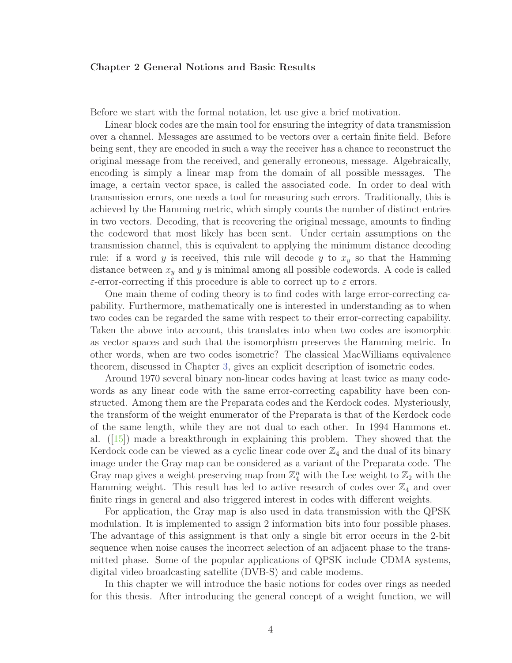#### Chapter 2 General Notions and Basic Results

Before we start with the formal notation, let use give a brief motivation.

Linear block codes are the main tool for ensuring the integrity of data transmission over a channel. Messages are assumed to be vectors over a certain finite field. Before being sent, they are encoded in such a way the receiver has a chance to reconstruct the original message from the received, and generally erroneous, message. Algebraically, encoding is simply a linear map from the domain of all possible messages. The image, a certain vector space, is called the associated code. In order to deal with transmission errors, one needs a tool for measuring such errors. Traditionally, this is achieved by the Hamming metric, which simply counts the number of distinct entries in two vectors. Decoding, that is recovering the original message, amounts to finding the codeword that most likely has been sent. Under certain assumptions on the transmission channel, this is equivalent to applying the minimum distance decoding rule: if a word y is received, this rule will decode y to  $x<sub>y</sub>$  so that the Hamming distance between  $x_y$  and y is minimal among all possible codewords. A code is called  $\varepsilon$ -error-correcting if this procedure is able to correct up to  $\varepsilon$  errors.

One main theme of coding theory is to find codes with large error-correcting capability. Furthermore, mathematically one is interested in understanding as to when two codes can be regarded the same with respect to their error-correcting capability. Taken the above into account, this translates into when two codes are isomorphic as vector spaces and such that the isomorphism preserves the Hamming metric. In other words, when are two codes isometric? The classical MacWilliams equivalence theorem, discussed in Chapter 3, gives an explicit description of isometric codes.

Around 1970 several binary non-linear codes having at least twice as many codewords as any linear code with the same error-correcting capability have been constructed. Among them are the Preparata codes and the Kerdock codes. Mysteriously, the transform of the weight enumerator of the Preparata is that of the Kerdock code of the same length, while they are not dual to each other. In 1994 Hammons et. al. ([15]) made a breakthrough in explaining this problem. They showed that the Kerdock code can be viewed as a cyclic linear code over  $\mathbb{Z}_4$  and the dual of its binary image under the Gray map can be considered as a variant of the Preparata code. The Gray map gives a weight preserving map from  $\mathbb{Z}_4^n$  with the Lee weight to  $\mathbb{Z}_2$  with the Hamming weight. This result has led to active research of codes over  $\mathbb{Z}_4$  and over finite rings in general and also triggered interest in codes with different weights.

For application, the Gray map is also used in data transmission with the QPSK modulation. It is implemented to assign 2 information bits into four possible phases. The advantage of this assignment is that only a single bit error occurs in the 2-bit sequence when noise causes the incorrect selection of an adjacent phase to the transmitted phase. Some of the popular applications of QPSK include CDMA systems, digital video broadcasting satellite (DVB-S) and cable modems.

In this chapter we will introduce the basic notions for codes over rings as needed for this thesis. After introducing the general concept of a weight function, we will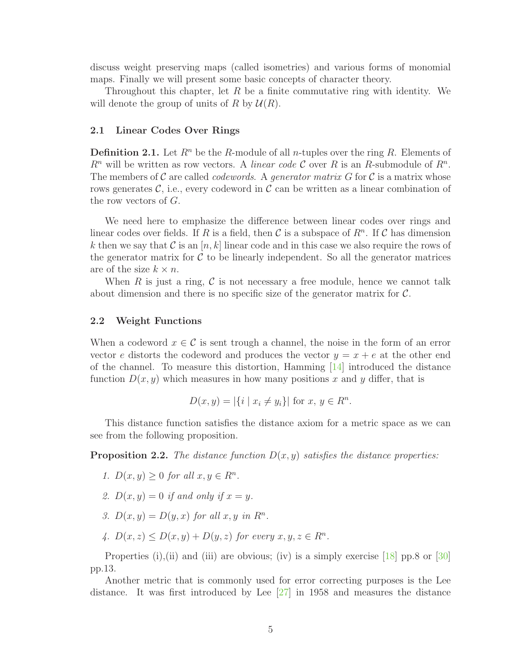discuss weight preserving maps (called isometries) and various forms of monomial maps. Finally we will present some basic concepts of character theory.

Throughout this chapter, let  $R$  be a finite commutative ring with identity. We will denote the group of units of R by  $\mathcal{U}(R)$ .

#### 2.1 Linear Codes Over Rings

**Definition 2.1.** Let  $R^n$  be the R-module of all n-tuples over the ring R. Elements of  $R^n$  will be written as row vectors. A linear code C over R is an R-submodule of  $R^n$ . The members of C are called *codewords.* A generator matrix G for C is a matrix whose rows generates  $\mathcal{C}$ , i.e., every codeword in  $\mathcal{C}$  can be written as a linear combination of the row vectors of G.

We need here to emphasize the difference between linear codes over rings and linear codes over fields. If R is a field, then C is a subspace of  $R<sup>n</sup>$ . If C has dimension k then we say that C is an  $[n, k]$  linear code and in this case we also require the rows of the generator matrix for  $C$  to be linearly independent. So all the generator matrices are of the size  $k \times n$ .

When R is just a ring,  $\mathcal C$  is not necessary a free module, hence we cannot talk about dimension and there is no specific size of the generator matrix for C.

#### 2.2 Weight Functions

When a codeword  $x \in \mathcal{C}$  is sent trough a channel, the noise in the form of an error vector e distorts the codeword and produces the vector  $y = x + e$  at the other end of the channel. To measure this distortion, Hamming [14] introduced the distance function  $D(x, y)$  which measures in how many positions x and y differ, that is

$$
D(x,y) = |\{i \mid x_i \neq y_i\}| \text{ for } x, y \in R^n.
$$

This distance function satisfies the distance axiom for a metric space as we can see from the following proposition.

**Proposition 2.2.** The distance function  $D(x, y)$  satisfies the distance properties:

- 1.  $D(x, y) \geq 0$  for all  $x, y \in R^n$ .
- 2.  $D(x, y) = 0$  if and only if  $x = y$ .
- 3.  $D(x, y) = D(y, x)$  for all  $x, y$  in  $R<sup>n</sup>$ .
- 4.  $D(x, z) \leq D(x, y) + D(y, z)$  for every  $x, y, z \in \mathbb{R}^n$ .

Properties (i),(ii) and (iii) are obvious; (iv) is a simply exercise [18] pp.8 or [30] pp.13.

Another metric that is commonly used for error correcting purposes is the Lee distance. It was first introduced by Lee [27] in 1958 and measures the distance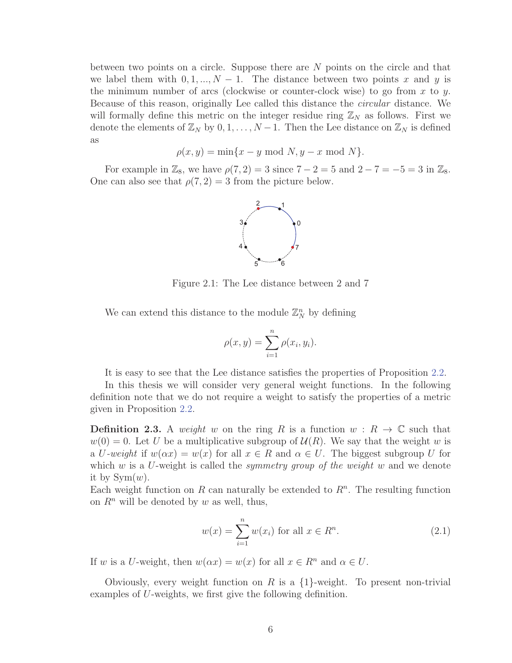between two points on a circle. Suppose there are N points on the circle and that we label them with  $0, 1, ..., N - 1$ . The distance between two points x and y is the minimum number of arcs (clockwise or counter-clock wise) to go from  $x$  to  $y$ . Because of this reason, originally Lee called this distance the *circular* distance. We will formally define this metric on the integer residue ring  $\mathbb{Z}_N$  as follows. First we denote the elements of  $\mathbb{Z}_N$  by  $0, 1, \ldots, N-1$ . Then the Lee distance on  $\mathbb{Z}_N$  is defined as

$$
\rho(x, y) = \min\{x - y \mod N, y - x \mod N\}.
$$

For example in  $\mathbb{Z}_8$ , we have  $\rho(7,2) = 3$  since  $7 - 2 = 5$  and  $2 - 7 = -5 = 3$  in  $\mathbb{Z}_8$ . One can also see that  $\rho(7,2) = 3$  from the picture below.



Figure 2.1: The Lee distance between 2 and 7

We can extend this distance to the module  $\mathbb{Z}_N^n$  by defining

$$
\rho(x,y) = \sum_{i=1}^n \rho(x_i, y_i).
$$

It is easy to see that the Lee distance satisfies the properties of Proposition 2.2.

In this thesis we will consider very general weight functions. In the following definition note that we do not require a weight to satisfy the properties of a metric given in Proposition 2.2.

**Definition 2.3.** A weight w on the ring R is a function  $w : R \to \mathbb{C}$  such that  $w(0) = 0$ . Let U be a multiplicative subgroup of  $\mathcal{U}(R)$ . We say that the weight w is a U-weight if  $w(\alpha x) = w(x)$  for all  $x \in R$  and  $\alpha \in U$ . The biggest subgroup U for which w is a U-weight is called the *symmetry group of the weight w* and we denote it by  $Sym(w)$ .

Each weight function on R can naturally be extended to  $R<sup>n</sup>$ . The resulting function on  $R^n$  will be denoted by w as well, thus,

$$
w(x) = \sum_{i=1}^{n} w(x_i) \text{ for all } x \in R^n.
$$
 (2.1)

If w is a U-weight, then  $w(\alpha x) = w(x)$  for all  $x \in \mathbb{R}^n$  and  $\alpha \in U$ .

Obviously, every weight function on R is a  $\{1\}$ -weight. To present non-trivial examples of U-weights, we first give the following definition.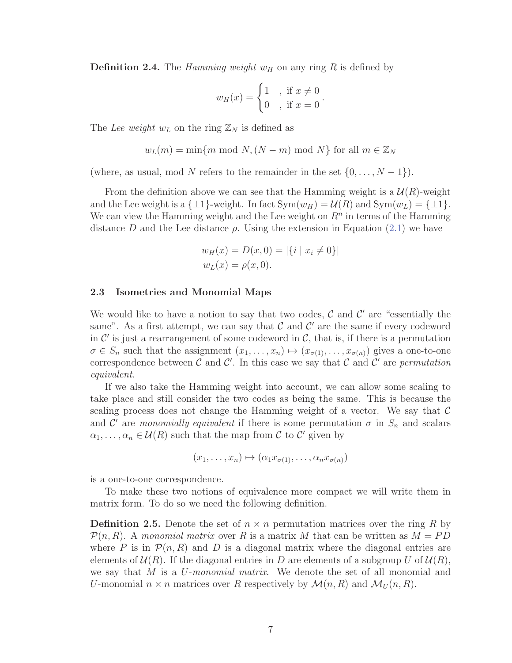**Definition 2.4.** The *Hamming weight*  $w_H$  on any ring R is defined by

$$
w_H(x) = \begin{cases} 1, & \text{if } x \neq 0 \\ 0, & \text{if } x = 0 \end{cases}.
$$

The Lee weight  $w_L$  on the ring  $\mathbb{Z}_N$  is defined as

$$
w_L(m) = \min\{m \mod N, (N-m) \mod N\}
$$
 for all  $m \in \mathbb{Z}_N$ 

(where, as usual, mod N refers to the remainder in the set  $\{0, \ldots, N-1\}$ ).

From the definition above we can see that the Hamming weight is a  $\mathcal{U}(R)$ -weight and the Lee weight is a  $\{\pm 1\}$ -weight. In fact  $Sym(w_H) = \mathcal{U}(R)$  and  $Sym(w_L) = \{\pm 1\}$ . We can view the Hamming weight and the Lee weight on  $R<sup>n</sup>$  in terms of the Hamming distance D and the Lee distance  $\rho$ . Using the extension in Equation (2.1) we have

$$
w_H(x) = D(x, 0) = |\{i \mid x_i \neq 0\}|
$$
  

$$
w_L(x) = \rho(x, 0).
$$

#### 2.3 Isometries and Monomial Maps

We would like to have a notion to say that two codes,  $\mathcal C$  and  $\mathcal C'$  are "essentially the same". As a first attempt, we can say that  $\mathcal C$  and  $\mathcal C'$  are the same if every codeword in  $\mathcal{C}'$  is just a rearrangement of some codeword in  $\mathcal{C}$ , that is, if there is a permutation  $\sigma \in S_n$  such that the assignment  $(x_1, \ldots, x_n) \mapsto (x_{\sigma(1)}, \ldots, x_{\sigma(n)})$  gives a one-to-one correspondence between C and C'. In this case we say that C and C' are *permutation* equivalent.

If we also take the Hamming weight into account, we can allow some scaling to take place and still consider the two codes as being the same. This is because the scaling process does not change the Hamming weight of a vector. We say that  $\mathcal C$ and C' are monomially equivalent if there is some permutation  $\sigma$  in  $S_n$  and scalars  $\alpha_1, \ldots, \alpha_n \in \mathcal{U}(R)$  such that the map from  $\mathcal C$  to  $\mathcal C'$  given by

$$
(x_1, \ldots, x_n) \mapsto (\alpha_1 x_{\sigma(1)}, \ldots, \alpha_n x_{\sigma(n)})
$$

is a one-to-one correspondence.

To make these two notions of equivalence more compact we will write them in matrix form. To do so we need the following definition.

**Definition 2.5.** Denote the set of  $n \times n$  permutation matrices over the ring R by  $\mathcal{P}(n, R)$ . A monomial matrix over R is a matrix M that can be written as  $M = PD$ where P is in  $\mathcal{P}(n, R)$  and D is a diagonal matrix where the diagonal entries are elements of  $\mathcal{U}(R)$ . If the diagonal entries in D are elements of a subgroup U of  $\mathcal{U}(R)$ , we say that M is a  $U$ -monomial matrix. We denote the set of all monomial and U-monomial  $n \times n$  matrices over R respectively by  $\mathcal{M}(n, R)$  and  $\mathcal{M}_U(n, R)$ .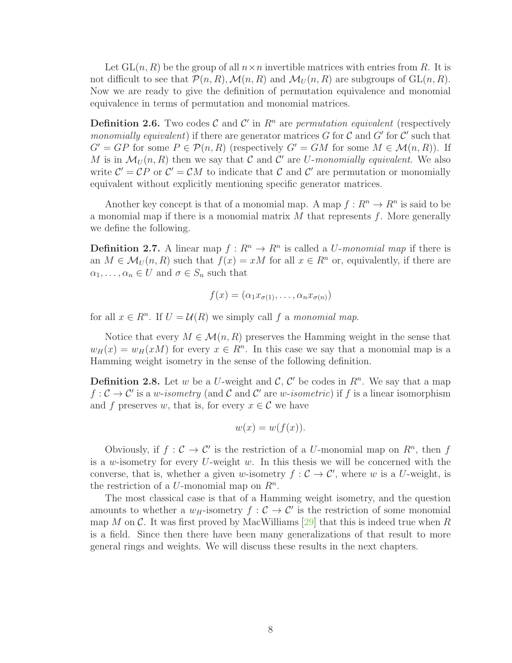Let  $GL(n, R)$  be the group of all  $n \times n$  invertible matrices with entries from R. It is not difficult to see that  $\mathcal{P}(n, R), \mathcal{M}(n, R)$  and  $\mathcal{M}_U(n, R)$  are subgroups of  $GL(n, R)$ . Now we are ready to give the definition of permutation equivalence and monomial equivalence in terms of permutation and monomial matrices.

**Definition 2.6.** Two codes  $\mathcal{C}$  and  $\mathcal{C}'$  in  $\mathbb{R}^n$  are permutation equivalent (respectively monomially equivalent) if there are generator matrices G for C and G' for C' such that  $G' = GP$  for some  $P \in \mathcal{P}(n, R)$  (respectively  $G' = GM$  for some  $M \in \mathcal{M}(n, R)$ ). If M is in  $\mathcal{M}_U(n, R)$  then we say that C and C' are U-monomially equivalent. We also write  $\mathcal{C}' = \mathcal{C}P$  or  $\mathcal{C}' = \mathcal{C}M$  to indicate that  $\mathcal C$  and  $\mathcal C'$  are permutation or monomially equivalent without explicitly mentioning specific generator matrices.

Another key concept is that of a monomial map. A map  $f: R^n \to R^n$  is said to be a monomial map if there is a monomial matrix  $M$  that represents  $f$ . More generally we define the following.

**Definition 2.7.** A linear map  $f: R^n \to R^n$  is called a *U*-monomial map if there is an  $M \in \mathcal{M}_U(n, R)$  such that  $f(x) = xM$  for all  $x \in R^n$  or, equivalently, if there are  $\alpha_1, \ldots, \alpha_n \in U$  and  $\sigma \in S_n$  such that

$$
f(x) = (\alpha_1 x_{\sigma(1)}, \dots, \alpha_n x_{\sigma(n)})
$$

for all  $x \in R^n$ . If  $U = \mathcal{U}(R)$  we simply call f a monomial map.

Notice that every  $M \in \mathcal{M}(n, R)$  preserves the Hamming weight in the sense that  $w_H(x) = w_H(x)$  for every  $x \in R^n$ . In this case we say that a monomial map is a Hamming weight isometry in the sense of the following definition.

**Definition 2.8.** Let w be a U-weight and  $\mathcal{C}, \mathcal{C}'$  be codes in  $\mathbb{R}^n$ . We say that a map  $f: \mathcal{C} \to \mathcal{C}'$  is a *w-isometry* (and  $\mathcal{C}$  and  $\mathcal{C}'$  are *w-isometric*) if f is a linear isomorphism and f preserves w, that is, for every  $x \in \mathcal{C}$  we have

$$
w(x) = w(f(x)).
$$

Obviously, if  $f: \mathcal{C} \to \mathcal{C}'$  is the restriction of a U-monomial map on  $\mathbb{R}^n$ , then f is a w-isometry for every U-weight  $w$ . In this thesis we will be concerned with the converse, that is, whether a given w-isometry  $f: \mathcal{C} \to \mathcal{C}'$ , where w is a U-weight, is the restriction of a  $U$ -monomial map on  $R<sup>n</sup>$ .

The most classical case is that of a Hamming weight isometry, and the question amounts to whether a  $w_H$ -isometry  $f: \mathcal{C} \to \mathcal{C}'$  is the restriction of some monomial map M on C. It was first proved by MacWilliams [29] that this is indeed true when R is a field. Since then there have been many generalizations of that result to more general rings and weights. We will discuss these results in the next chapters.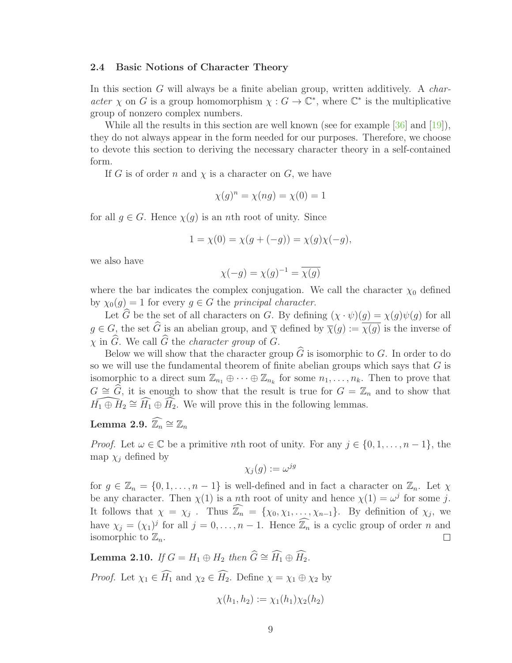#### 2.4 Basic Notions of Character Theory

In this section  $G$  will always be a finite abelian group, written additively. A *char*acter  $\chi$  on G is a group homomorphism  $\chi: G \to \mathbb{C}^*$ , where  $\mathbb{C}^*$  is the multiplicative group of nonzero complex numbers.

While all the results in this section are well known (see for example [36] and [19]), they do not always appear in the form needed for our purposes. Therefore, we choose to devote this section to deriving the necessary character theory in a self-contained form.

If G is of order n and  $\chi$  is a character on G, we have

$$
\chi(g)^n = \chi(ng) = \chi(0) = 1
$$

for all  $g \in G$ . Hence  $\chi(g)$  is an *n*th root of unity. Since

$$
1 = \chi(0) = \chi(g + (-g)) = \chi(g)\chi(-g),
$$

we also have

$$
\chi(-g) = \chi(g)^{-1} = \overline{\chi(g)}
$$

where the bar indicates the complex conjugation. We call the character  $\chi_0$  defined by  $\chi_0(g) = 1$  for every  $g \in G$  the principal character.

Let  $\widehat{G}$  be the set of all characters on G. By defining  $(\chi \cdot \psi)(g) = \chi(g)\psi(g)$  for all  $g \in G$ , the set  $\widehat{G}$  is an abelian group, and  $\overline{\chi}$  defined by  $\overline{\chi}(g) := \overline{\chi(g)}$  is the inverse of  $\chi$  in  $\widehat{G}$ . We call  $\widehat{G}$  the *character group* of G.

Below we will show that the character group  $\tilde{G}$  is isomorphic to  $G$ . In order to do so we will use the fundamental theorem of finite abelian groups which says that  $G$  is isomorphic to a direct sum  $\mathbb{Z}_{n_1} \oplus \cdots \oplus \mathbb{Z}_{n_k}$  for some  $n_1, \ldots, n_k$ . Then to prove that  $G \cong \widehat{G}$ , it is enough to show that the result is true for  $G = \mathbb{Z}_n$  and to show that  $\widehat{H_1 \oplus H_2} \cong \widehat{H_1} \oplus \widehat{H_2}$ . We will prove this in the following lemmas.

Lemma 2.9.  $\widehat{\mathbb{Z}_n} \cong \mathbb{Z}_n$ 

*Proof.* Let  $\omega \in \mathbb{C}$  be a primitive *n*th root of unity. For any  $j \in \{0, 1, \ldots, n-1\}$ , the map  $\chi_j$  defined by

$$
\chi_j(g):=\omega^{j g}
$$

for  $g \in \mathbb{Z}_n = \{0, 1, \ldots, n-1\}$  is well-defined and in fact a character on  $\mathbb{Z}_n$ . Let  $\chi$ be any character. Then  $\chi(1)$  is a nth root of unity and hence  $\chi(1) = \omega^j$  for some j. It follows that  $\chi = \chi_j$ . Thus  $\mathbb{Z}_n = {\chi_0, \chi_1, ..., \chi_{n-1}}$ . By definition of  $\chi_j$ , we have  $\chi_j = (\chi_1)^j$  for all  $j = 0, \ldots, n-1$ . Hence  $\overline{\mathbb{Z}_n}$  is a cyclic group of order n and isomorphic to  $\mathbb{Z}_n$ .

Lemma 2.10. If  $G = H_1 \oplus H_2$  then  $\widehat{G} \cong \widehat{H}_1 \oplus \widehat{H}_2$ .

*Proof.* Let  $\chi_1 \in \widehat{H}_1$  and  $\chi_2 \in \widehat{H}_2$ . Define  $\chi = \chi_1 \oplus \chi_2$  by

$$
\chi(h_1, h_2) := \chi_1(h_1)\chi_2(h_2)
$$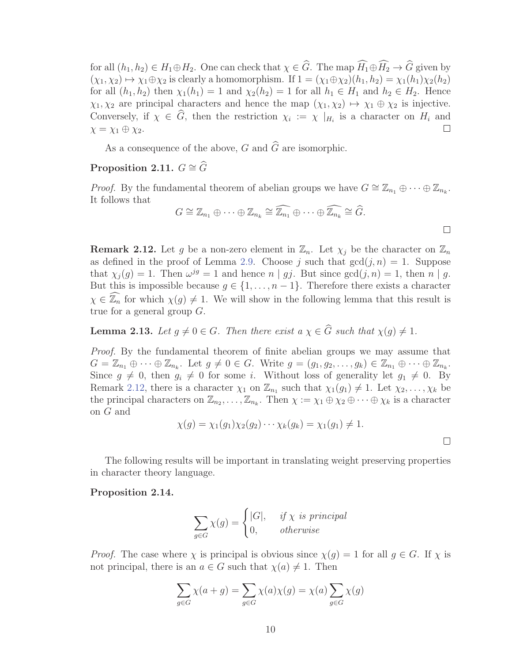for all  $(h_1, h_2) \in H_1 \oplus H_2$ . One can check that  $\chi \in \widehat{G}$ . The map  $\widehat{H}_1 \oplus \widehat{H}_2 \to \widehat{G}$  given by  $(\chi_1, \chi_2) \mapsto \chi_1 \oplus \chi_2$  is clearly a homomorphism. If  $1 = (\chi_1 \oplus \chi_2)(h_1, h_2) = \chi_1(h_1)\chi_2(h_2)$ for all  $(h_1, h_2)$  then  $\chi_1(h_1) = 1$  and  $\chi_2(h_2) = 1$  for all  $h_1 \in H_1$  and  $h_2 \in H_2$ . Hence  $\chi_1, \chi_2$  are principal characters and hence the map  $(\chi_1, \chi_2) \mapsto \chi_1 \oplus \chi_2$  is injective. Conversely, if  $\chi \in G$ , then the restriction  $\chi_i := \chi |_{H_i}$  is a character on  $H_i$  and  $\chi = \chi_1 \oplus \chi_2.$  $\Box$ 

As a consequence of the above, G and  $\widehat{G}$  are isomorphic.

## Proposition 2.11.  $G \cong \widehat{G}$

*Proof.* By the fundamental theorem of abelian groups we have  $G \cong \mathbb{Z}_{n_1} \oplus \cdots \oplus \mathbb{Z}_{n_k}$ . It follows that

$$
G \cong \mathbb{Z}_{n_1} \oplus \cdots \oplus \mathbb{Z}_{n_k} \cong \widehat{\mathbb{Z}_{n_1}} \oplus \cdots \oplus \widehat{\mathbb{Z}_{n_k}} \cong \widehat{G}.
$$

**Remark 2.12.** Let g be a non-zero element in  $\mathbb{Z}_n$ . Let  $\chi_j$  be the character on  $\mathbb{Z}_n$ as defined in the proof of Lemma 2.9. Choose j such that  $gcd(j, n) = 1$ . Suppose that  $\chi_j(g) = 1$ . Then  $\omega^{jg} = 1$  and hence  $n | gj$ . But since  $gcd(j, n) = 1$ , then  $n | g$ . But this is impossible because  $g \in \{1, \ldots, n-1\}$ . Therefore there exists a character  $\chi \in \mathbb{Z}_n$  for which  $\chi(g) \neq 1$ . We will show in the following lemma that this result is true for a general group  $G$ .

**Lemma 2.13.** Let  $g \neq 0 \in G$ . Then there exist  $a \chi \in \widehat{G}$  such that  $\chi(g) \neq 1$ .

Proof. By the fundamental theorem of finite abelian groups we may assume that  $G = \mathbb{Z}_{n_1} \oplus \cdots \oplus \mathbb{Z}_{n_k}$ . Let  $g \neq 0 \in G$ . Write  $g = (g_1, g_2, \ldots, g_k) \in \mathbb{Z}_{n_1} \oplus \cdots \oplus \mathbb{Z}_{n_k}$ . Since  $g \neq 0$ , then  $g_i \neq 0$  for some i. Without loss of generality let  $g_1 \neq 0$ . By Remark 2.12, there is a character  $\chi_1$  on  $\mathbb{Z}_{n_1}$  such that  $\chi_1(g_1) \neq 1$ . Let  $\chi_2, \ldots, \chi_k$  be the principal characters on  $\mathbb{Z}_{n_2},\ldots,\mathbb{Z}_{n_k}$ . Then  $\chi := \chi_1 \oplus \chi_2 \oplus \cdots \oplus \chi_k$  is a character on G and

$$
\chi(g) = \chi_1(g_1)\chi_2(g_2)\cdots\chi_k(g_k) = \chi_1(g_1) \neq 1.
$$

 $\Box$ 

The following results will be important in translating weight preserving properties in character theory language.

#### Proposition 2.14.

$$
\sum_{g \in G} \chi(g) = \begin{cases} |G|, & if \chi \text{ is principal} \\ 0, & otherwise \end{cases}
$$

*Proof.* The case where  $\chi$  is principal is obvious since  $\chi(g) = 1$  for all  $g \in G$ . If  $\chi$  is not principal, there is an  $a \in G$  such that  $\chi(a) \neq 1$ . Then

$$
\sum_{g \in G} \chi(a+g) = \sum_{g \in G} \chi(a)\chi(g) = \chi(a) \sum_{g \in G} \chi(g)
$$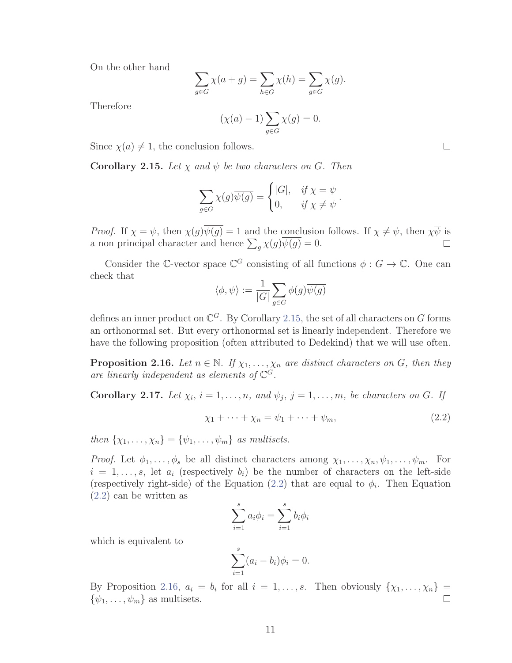On the other hand

$$
\sum_{g \in G} \chi(a+g) = \sum_{h \in G} \chi(h) = \sum_{g \in G} \chi(g).
$$

Therefore

$$
(\chi(a) - 1) \sum_{g \in G} \chi(g) = 0.
$$

Since  $\chi(a) \neq 1$ , the conclusion follows.

**Corollary 2.15.** Let  $\chi$  and  $\psi$  be two characters on G. Then

$$
\sum_{g \in G} \chi(g)\overline{\psi(g)} = \begin{cases} |G|, & \text{if } \chi = \psi \\ 0, & \text{if } \chi \neq \psi \end{cases}.
$$

*Proof.* If  $\chi = \psi$ , then  $\chi(g)\overline{\psi(g)} = 1$  and the conclusion follows. If  $\chi \neq \psi$ , then  $\chi \overline{\psi}$  is a non principal character and hence  $\sum_{g} \chi(g)\overline{\psi(g)} = 0.$  $\Box$ 

Consider the C-vector space  $\mathbb{C}^G$  consisting of all functions  $\phi : G \to \mathbb{C}$ . One can check that

$$
\langle \phi, \psi \rangle := \frac{1}{|G|} \sum_{g \in G} \phi(g) \overline{\psi(g)}
$$

defines an inner product on  $\mathbb{C}^G$ . By Corollary 2.15, the set of all characters on G forms an orthonormal set. But every orthonormal set is linearly independent. Therefore we have the following proposition (often attributed to Dedekind) that we will use often.

**Proposition 2.16.** Let  $n \in \mathbb{N}$ . If  $\chi_1, \ldots, \chi_n$  are distinct characters on G, then they are linearly independent as elements of  $\mathbb{C}^G$ .

**Corollary 2.17.** Let  $\chi_i$ ,  $i = 1, \ldots, n$ , and  $\psi_j$ ,  $j = 1, \ldots, m$ , be characters on G. If

$$
\chi_1 + \dots + \chi_n = \psi_1 + \dots + \psi_m,\tag{2.2}
$$

then  $\{\chi_1, \ldots, \chi_n\} = \{\psi_1, \ldots, \psi_m\}$  as multisets.

*Proof.* Let  $\phi_1, \ldots, \phi_s$  be all distinct characters among  $\chi_1, \ldots, \chi_n, \psi_1, \ldots, \psi_m$ . For  $i = 1, \ldots, s$ , let  $a_i$  (respectively  $b_i$ ) be the number of characters on the left-side (respectively right-side) of the Equation (2.2) that are equal to  $\phi_i$ . Then Equation (2.2) can be written as

$$
\sum_{i=1}^{s} a_i \phi_i = \sum_{i=1}^{s} b_i \phi_i
$$

which is equivalent to

$$
\sum_{i=1}^{s} (a_i - b_i)\phi_i = 0.
$$

By Proposition 2.16,  $a_i = b_i$  for all  $i = 1, \ldots, s$ . Then obviously  $\{\chi_1, \ldots, \chi_n\}$  $\{\psi_1, \ldots, \psi_m\}$  as multisets.

 $\Box$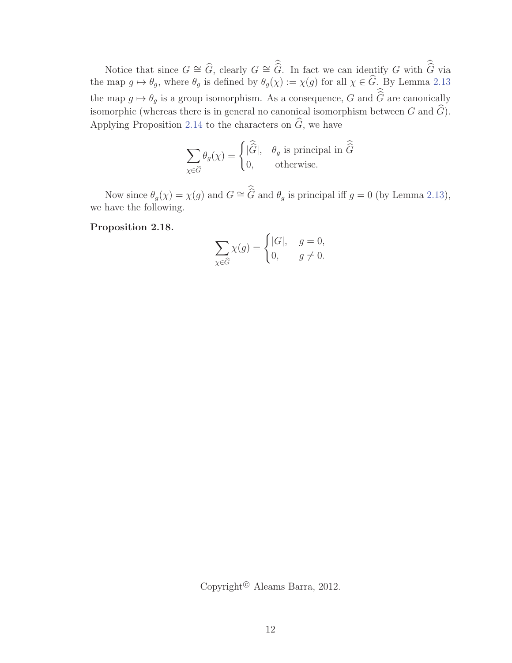Notice that since  $G \cong \widehat{G}$ , clearly  $G \cong \widehat{G}$ . In fact we can identify G with  $\widehat{G}$  via the map  $g \mapsto \theta_g$ , where  $\theta_g$  is defined by  $\theta_g(\chi) := \chi(g)$  for all  $\chi \in G$ . By Lemma 2.13 the map  $g \mapsto \theta_g$  is a group isomorphism. As a consequence, G and  $\widehat{\widehat{G}}$  are canonically isomorphic (whereas there is in general no canonical isomorphism between G and  $\widehat{G}$ ). Applying Proposition 2.14 to the characters on  $\widehat{G}$ , we have

$$
\sum_{\chi \in \widehat{G}} \theta_g(\chi) = \begin{cases} |\widehat{\widehat{G}}|, & \theta_g \text{ is principal in } \widehat{\widehat{G}} \\ 0, & \text{otherwise.} \end{cases}
$$

Now since  $\theta_g(\chi) = \chi(g)$  and  $G \cong \widehat{G}$  and  $\theta_g$  is principal iff  $g = 0$  (by Lemma 2.13), we have the following.

Proposition 2.18.

$$
\sum_{\chi \in \widehat{G}} \chi(g) = \begin{cases} |G|, & g = 0, \\ 0, & g \neq 0. \end{cases}
$$

Copyright<sup>©</sup> Aleams Barra, 2012.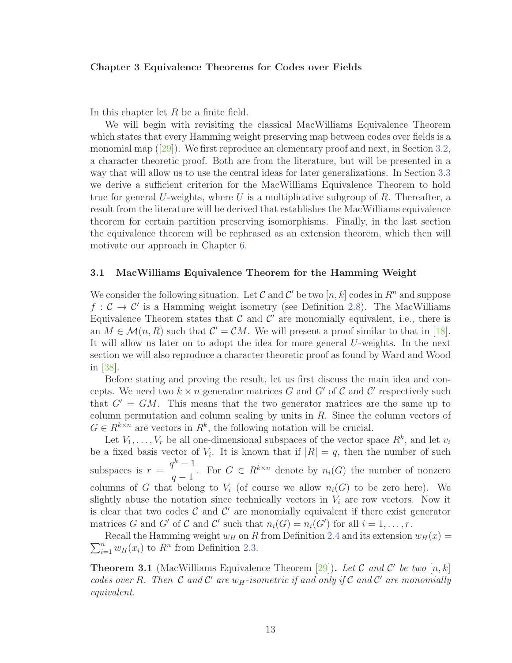#### Chapter 3 Equivalence Theorems for Codes over Fields

In this chapter let  $R$  be a finite field.

We will begin with revisiting the classical MacWilliams Equivalence Theorem which states that every Hamming weight preserving map between codes over fields is a monomial map ([29]). We first reproduce an elementary proof and next, in Section 3.2, a character theoretic proof. Both are from the literature, but will be presented in a way that will allow us to use the central ideas for later generalizations. In Section 3.3 we derive a sufficient criterion for the MacWilliams Equivalence Theorem to hold true for general U-weights, where U is a multiplicative subgroup of  $R$ . Thereafter, a result from the literature will be derived that establishes the MacWilliams equivalence theorem for certain partition preserving isomorphisms. Finally, in the last section the equivalence theorem will be rephrased as an extension theorem, which then will motivate our approach in Chapter 6.

#### 3.1 MacWilliams Equivalence Theorem for the Hamming Weight

We consider the following situation. Let C and C' be two  $[n, k]$  codes in  $R^n$  and suppose  $f: \mathcal{C} \to \mathcal{C}'$  is a Hamming weight isometry (see Definition 2.8). The MacWilliams Equivalence Theorem states that  $\mathcal C$  and  $\mathcal C'$  are monomially equivalent, i.e., there is an  $M \in \mathcal{M}(n, R)$  such that  $\mathcal{C}' = \mathcal{C}M$ . We will present a proof similar to that in [18]. It will allow us later on to adopt the idea for more general U-weights. In the next section we will also reproduce a character theoretic proof as found by Ward and Wood in [38].

Before stating and proving the result, let us first discuss the main idea and concepts. We need two  $k \times n$  generator matrices G and G' of C and C' respectively such that  $G' = GM$ . This means that the two generator matrices are the same up to column permutation and column scaling by units in R. Since the column vectors of  $G \in R^{k \times n}$  are vectors in  $R^k$ , the following notation will be crucial.

Let  $V_1, \ldots, V_r$  be all one-dimensional subspaces of the vector space  $R^k$ , and let  $v_i$ be a fixed basis vector of  $V_i$ . It is known that if  $|R| = q$ , then the number of such subspaces is  $r =$  $q^k-1$  $\frac{q-1}{q-1}$ . For  $G \in R^{k \times n}$  denote by  $n_i(G)$  the number of nonzero columns of G that belong to  $V_i$  (of course we allow  $n_i(G)$  to be zero here). We slightly abuse the notation since technically vectors in  $V_i$  are row vectors. Now it is clear that two codes  $\mathcal C$  and  $\mathcal C'$  are monomially equivalent if there exist generator matrices G and G' of C and C' such that  $n_i(G) = n_i(G')$  for all  $i = 1, \ldots, r$ .

 $\sum_{i=1}^{n} w_H(x_i)$  to  $R^n$  from Definition 2.3. Recall the Hamming weight  $w_H$  on R from Definition 2.4 and its extension  $w_H(x) =$ 

**Theorem 3.1** (MacWilliams Equivalence Theorem [29]). Let C and C' be two  $[n, k]$ codes over R. Then  $\mathcal C$  and  $\mathcal C'$  are  $w_H$ -isometric if and only if  $\mathcal C$  and  $\mathcal C'$  are monomially equivalent.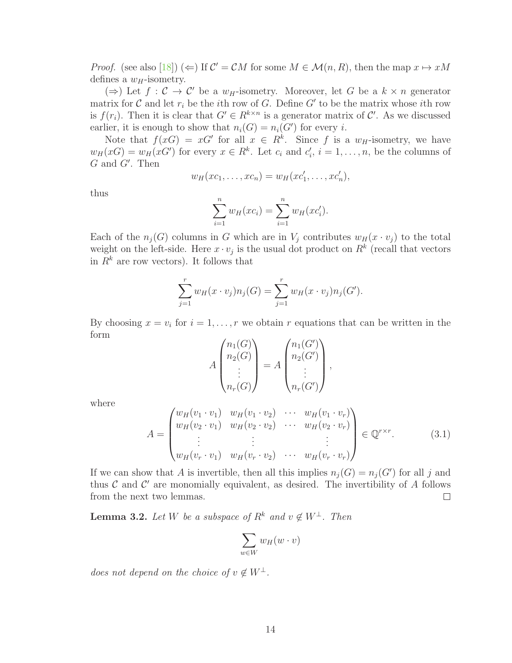*Proof.* (see also [18]) ( $\Leftarrow$ ) If  $\mathcal{C}' = \mathcal{C}M$  for some  $M \in \mathcal{M}(n, R)$ , then the map  $x \mapsto xM$ defines a  $w_H$ -isometry.

 $(\Rightarrow)$  Let  $f : C \to C'$  be a  $w_H$ -isometry. Moreover, let G be a  $k \times n$  generator matrix for  $C$  and let  $r_i$  be the *i*th row of  $G$ . Define  $G'$  to be the matrix whose *i*th row is  $f(r_i)$ . Then it is clear that  $G' \in R^{k \times n}$  is a generator matrix of C'. As we discussed earlier, it is enough to show that  $n_i(G) = n_i(G')$  for every *i*.

Note that  $f(xG) = xG'$  for all  $x \in R^k$ . Since f is a  $w_H$ -isometry, we have  $w_H(xG) = w_H(xG')$  for every  $x \in R^k$ . Let  $c_i$  and  $c'_i$ ,  $i = 1, \ldots, n$ , be the columns of  $G$  and  $G'$ . Then

$$
w_H(xc_1,\ldots,xc_n)=w_H(xc'_1,\ldots,xc'_n),
$$

thus

where

$$
\sum_{i=1}^{n} w_H(xc_i) = \sum_{i=1}^{n} w_H(xc'_i).
$$

Each of the  $n_j(G)$  columns in G which are in  $V_j$  contributes  $w_H(x \cdot v_j)$  to the total weight on the left-side. Here  $x \cdot v_j$  is the usual dot product on  $R^k$  (recall that vectors in  $R^k$  are row vectors). It follows that

$$
\sum_{j=1}^{r} w_H(x \cdot v_j) n_j(G) = \sum_{j=1}^{r} w_H(x \cdot v_j) n_j(G').
$$

By choosing  $x = v_i$  for  $i = 1, \ldots, r$  we obtain r equations that can be written in the form  $\sim$ 

$$
A\begin{pmatrix} n_1(G) \\ n_2(G) \\ \vdots \\ n_r(G) \end{pmatrix} = A \begin{pmatrix} n_1(G') \\ n_2(G') \\ \vdots \\ n_r(G') \end{pmatrix},
$$
  

$$
A = \begin{pmatrix} w_H(v_1 \cdot v_1) & w_H(v_1 \cdot v_2) & \cdots & w_H(v_1 \cdot v_r) \\ w_H(v_2 \cdot v_1) & w_H(v_2 \cdot v_2) & \cdots & w_H(v_2 \cdot v_r) \\ \vdots & \vdots & \ddots & \vdots \end{pmatrix} \in \mathbb{Q}^{r \times r}.
$$
 (3.1)

$$
A = \begin{pmatrix} w_H(v_2 \cdot v_1) & w_H(v_2 \cdot v_2) & \cdots & w_H(v_2 \cdot v_r) \\ \vdots & \vdots & & \vdots \\ w_H(v_r \cdot v_1) & w_H(v_r \cdot v_2) & \cdots & w_H(v_r \cdot v_r) \end{pmatrix} \in \mathbb{Q}^{r \times r}.
$$
 (3.1)

If we can show that A is invertible, then all this implies  $n_j(G) = n_j(G')$  for all j and thus  $\mathcal C$  and  $\mathcal C'$  are monomially equivalent, as desired. The invertibility of A follows from the next two lemmas.  $\Box$ 

**Lemma 3.2.** Let W be a subspace of  $R^k$  and  $v \notin W^{\perp}$ . Then

$$
\sum_{w \in W} w_H(w \cdot v)
$$

does not depend on the choice of  $v \notin W^{\perp}$ .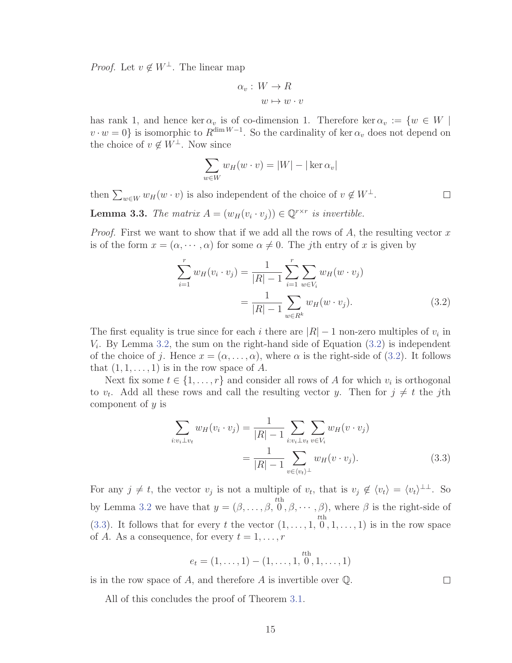*Proof.* Let  $v \notin W^{\perp}$ . The linear map

$$
\alpha_v: W \to R
$$

$$
w \mapsto w \cdot v
$$

has rank 1, and hence ker  $\alpha_v$  is of co-dimension 1. Therefore ker  $\alpha_v := \{w \in W \mid$  $v \cdot w = 0$  is isomorphic to  $R^{\dim W-1}$ . So the cardinality of ker  $\alpha_v$  does not depend on the choice of  $v \notin W^{\perp}$ . Now since

$$
\sum_{w \in W} w_H(w \cdot v) = |W| - |\ker \alpha_v|
$$

then  $\sum_{w \in W} w_H(w \cdot v)$  is also independent of the choice of  $v \notin W^{\perp}$ .  $\Box$ 

**Lemma 3.3.** The matrix  $A = (w_H(v_i \cdot v_j)) \in \mathbb{Q}^{r \times r}$  is invertible.

*Proof.* First we want to show that if we add all the rows of A, the resulting vector  $x$ is of the form  $x = (\alpha, \dots, \alpha)$  for some  $\alpha \neq 0$ . The *j*th entry of x is given by

$$
\sum_{i=1}^{r} w_H(v_i \cdot v_j) = \frac{1}{|R| - 1} \sum_{i=1}^{r} \sum_{w \in V_i} w_H(w \cdot v_j)
$$

$$
= \frac{1}{|R| - 1} \sum_{w \in R^k} w_H(w \cdot v_j).
$$
(3.2)

The first equality is true since for each i there are  $|R| - 1$  non-zero multiples of  $v_i$  in  $V_i$ . By Lemma 3.2, the sum on the right-hand side of Equation  $(3.2)$  is independent of the choice of j. Hence  $x = (\alpha, \dots, \alpha)$ , where  $\alpha$  is the right-side of (3.2). It follows that  $(1, 1, \ldots, 1)$  is in the row space of A.

Next fix some  $t \in \{1, \ldots, r\}$  and consider all rows of A for which  $v_i$  is orthogonal to  $v_t$ . Add all these rows and call the resulting vector y. Then for  $j \neq t$  the jth component of  $y$  is

$$
\sum_{i:v_i \perp v_t} w_H(v_i \cdot v_j) = \frac{1}{|R|-1} \sum_{i:v_i \perp v_t} \sum_{v \in V_i} w_H(v \cdot v_j)
$$

$$
= \frac{1}{|R|-1} \sum_{v \in \langle v_t \rangle^{\perp}} w_H(v \cdot v_j). \tag{3.3}
$$

 $\Box$ 

For any  $j \neq t$ , the vector  $v_j$  is not a multiple of  $v_t$ , that is  $v_j \notin \langle v_t \rangle = \langle v_t \rangle^{\perp \perp}$ . So by Lemma 3.2 we have that  $y = (\beta, \ldots, \beta, \overset{\text{th}}{0}, \beta, \cdots, \beta)$ , where  $\beta$  is the right-side of  $(3.3)$ . It follows that for every t the vector  $(1, \ldots, 1, 0, 1, \ldots, 1)$  is in the row space tth of A. As a consequence, for every  $t = 1, \ldots, r$ 

$$
e_t = (1, \ldots, 1) - (1, \ldots, 1, \overset{\text{th}}{0}, 1, \ldots, 1)
$$

is in the row space of A, and therefore A is invertible over  $\mathbb{Q}$ .

All of this concludes the proof of Theorem 3.1.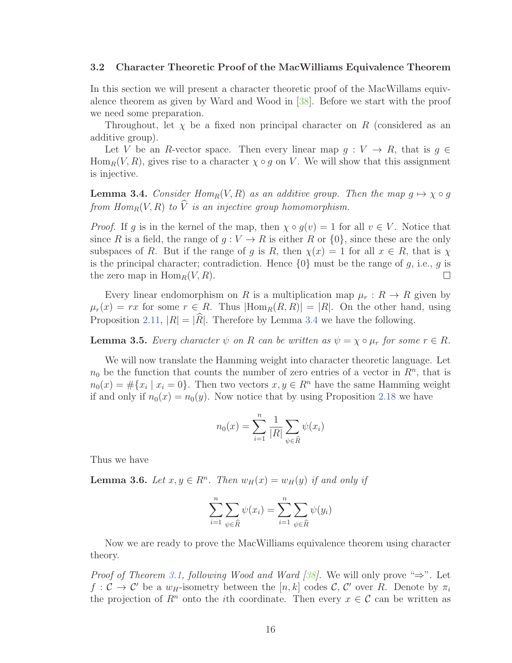#### 3.2 Character Theoretic Proof of the MacWilliams Equivalence Theorem

In this section we will present a character theoretic proof of the MacWillams equivalence theorem as given by Ward and Wood in [38]. Before we start with the proof we need some preparation.

Throughout, let  $\chi$  be a fixed non principal character on R (considered as an additive group).

Let V be an R-vector space. Then every linear map  $g: V \to R$ , that is  $g \in$  $\text{Hom}_R(V, R)$ , gives rise to a character  $\chi \circ q$  on V. We will show that this assignment is injective.

**Lemma 3.4.** Consider Hom<sub>R</sub>(V, R) as an additive group. Then the map  $g \mapsto \chi \circ g$ from  $Hom_R(V, R)$  to  $\hat{V}$  is an injective group homomorphism.

*Proof.* If g is in the kernel of the map, then  $\chi \circ g(v) = 1$  for all  $v \in V$ . Notice that since R is a field, the range of  $g: V \to R$  is either R or  $\{0\}$ , since these are the only subspaces of R. But if the range of g is R, then  $\chi(x) = 1$  for all  $x \in R$ , that is  $\chi$ is the principal character; contradiction. Hence  $\{0\}$  must be the range of g, i.e., g is the zero map in  $\text{Hom}_R(V, R)$ .  $\Box$ 

Every linear endomorphism on R is a multiplication map  $\mu_r : R \to R$  given by  $\mu_r(x) = rx$  for some  $r \in R$ . Thus  $|Hom_R(R, R)| = |R|$ . On the other hand, using Proposition 2.11,  $|R| = |\hat{R}|$ . Therefore by Lemma 3.4 we have the following.

**Lemma 3.5.** Every character  $\psi$  on R can be written as  $\psi = \chi \circ \mu_r$  for some  $r \in R$ .

We will now translate the Hamming weight into character theoretic language. Let  $n_0$  be the function that counts the number of zero entries of a vector in  $R^n$ , that is  $n_0(x) = \#\{x_i \mid x_i = 0\}.$  Then two vectors  $x, y \in \mathbb{R}^n$  have the same Hamming weight if and only if  $n_0(x) = n_0(y)$ . Now notice that by using Proposition 2.18 we have

$$
n_0(x) = \sum_{i=1}^{n} \frac{1}{|R|} \sum_{\psi \in \hat{R}} \psi(x_i)
$$

Thus we have

**Lemma 3.6.** Let  $x, y \in \mathbb{R}^n$ . Then  $w_H(x) = w_H(y)$  if and only if

$$
\sum_{i=1}^{n} \sum_{\psi \in \widehat{R}} \psi(x_i) = \sum_{i=1}^{n} \sum_{\psi \in \widehat{R}} \psi(y_i)
$$

Now we are ready to prove the MacWilliams equivalence theorem using character theory.

*Proof of Theorem 3.1, following Wood and Ward [38].* We will only prove " $\Rightarrow$ ". Let  $f: \mathcal{C} \to \mathcal{C}'$  be a  $w_H$ -isometry between the  $[n, k]$  codes  $\mathcal{C}, \mathcal{C}'$  over R. Denote by  $\pi_i$ the projection of  $R^n$  onto the *i*th coordinate. Then every  $x \in \mathcal{C}$  can be written as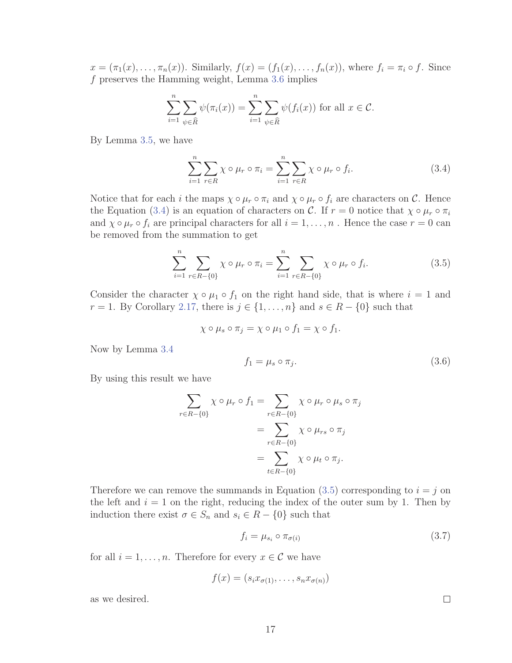$x = (\pi_1(x), \ldots, \pi_n(x))$ . Similarly,  $f(x) = (f_1(x), \ldots, f_n(x))$ , where  $f_i = \pi_i \circ f$ . Since  $f$  preserves the Hamming weight, Lemma 3.6 implies

$$
\sum_{i=1}^{n} \sum_{\psi \in \widehat{R}} \psi(\pi_i(x)) = \sum_{i=1}^{n} \sum_{\psi \in \widehat{R}} \psi(f_i(x))
$$
 for all  $x \in \mathcal{C}$ .

By Lemma 3.5, we have

$$
\sum_{i=1}^{n} \sum_{r \in R} \chi \circ \mu_r \circ \pi_i = \sum_{i=1}^{n} \sum_{r \in R} \chi \circ \mu_r \circ f_i.
$$
 (3.4)

Notice that for each i the maps  $\chi \circ \mu_r \circ \pi_i$  and  $\chi \circ \mu_r \circ f_i$  are characters on C. Hence the Equation (3.4) is an equation of characters on C. If  $r = 0$  notice that  $\chi \circ \mu_r \circ \pi_i$ and  $\chi \circ \mu_r \circ f_i$  are principal characters for all  $i = 1, \ldots, n$ . Hence the case  $r = 0$  can be removed from the summation to get

$$
\sum_{i=1}^{n} \sum_{r \in R - \{0\}} \chi \circ \mu_r \circ \pi_i = \sum_{i=1}^{n} \sum_{r \in R - \{0\}} \chi \circ \mu_r \circ f_i.
$$
 (3.5)

Consider the character  $\chi \circ \mu_1 \circ f_1$  on the right hand side, that is where  $i = 1$  and  $r = 1$ . By Corollary 2.17, there is  $j \in \{1, \ldots, n\}$  and  $s \in R - \{0\}$  such that

$$
\chi \circ \mu_s \circ \pi_j = \chi \circ \mu_1 \circ f_1 = \chi \circ f_1.
$$

Now by Lemma 3.4

$$
f_1 = \mu_s \circ \pi_j. \tag{3.6}
$$

By using this result we have

$$
\sum_{r \in R - \{0\}} \chi \circ \mu_r \circ f_1 = \sum_{r \in R - \{0\}} \chi \circ \mu_r \circ \mu_s \circ \pi_j
$$

$$
= \sum_{r \in R - \{0\}} \chi \circ \mu_{rs} \circ \pi_j
$$

$$
= \sum_{t \in R - \{0\}} \chi \circ \mu_t \circ \pi_j.
$$

Therefore we can remove the summands in Equation (3.5) corresponding to  $i = j$  on the left and  $i = 1$  on the right, reducing the index of the outer sum by 1. Then by induction there exist  $\sigma \in S_n$  and  $s_i \in R - \{0\}$  such that

$$
f_i = \mu_{s_i} \circ \pi_{\sigma(i)} \tag{3.7}
$$

for all  $i = 1, \ldots, n$ . Therefore for every  $x \in \mathcal{C}$  we have

$$
f(x) = (s_i x_{\sigma(1)}, \dots, s_n x_{\sigma(n)})
$$

as we desired.

 $\Box$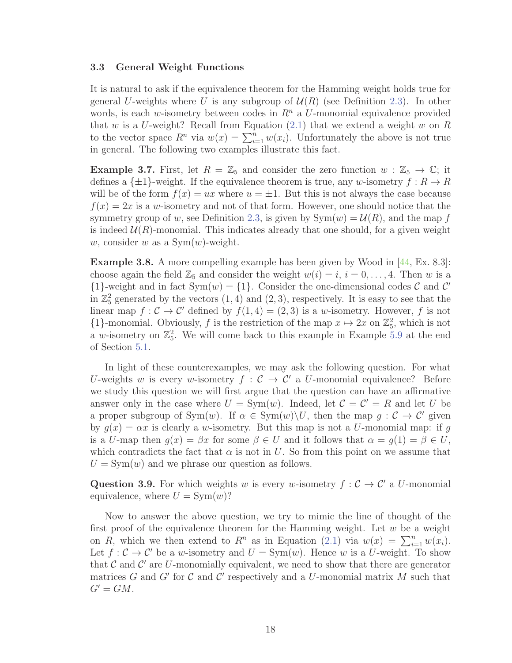#### 3.3 General Weight Functions

It is natural to ask if the equivalence theorem for the Hamming weight holds true for general U-weights where U is any subgroup of  $\mathcal{U}(R)$  (see Definition 2.3). In other words, is each w-isometry between codes in  $\mathbb{R}^n$  a U-monomial equivalence provided that w is a U-weight? Recall from Equation  $(2.1)$  that we extend a weight w on R to the vector space  $R^n$  via  $w(x) = \sum_{i=1}^n w(x_i)$ . Unfortunately the above is not true in general. The following two examples illustrate this fact.

**Example 3.7.** First, let  $R = \mathbb{Z}_5$  and consider the zero function  $w : \mathbb{Z}_5 \to \mathbb{C}$ ; it defines a  $\{\pm 1\}$ -weight. If the equivalence theorem is true, any w-isometry  $f: R \to R$ will be of the form  $f(x) = ux$  where  $u = \pm 1$ . But this is not always the case because  $f(x) = 2x$  is a w-isometry and not of that form. However, one should notice that the symmetry group of w, see Definition 2.3, is given by  $Sym(w) = \mathcal{U}(R)$ , and the map f is indeed  $\mathcal{U}(R)$ -monomial. This indicates already that one should, for a given weight w, consider w as a  $Sym(w)$ -weight.

Example 3.8. A more compelling example has been given by Wood in [44, Ex. 8.3]: choose again the field  $\mathbb{Z}_5$  and consider the weight  $w(i) = i, i = 0, \ldots, 4$ . Then w is a  ${1}$ -weight and in fact Sym $(w) = {1}$ . Consider the one-dimensional codes C and C' in  $\mathbb{Z}_5^2$  generated by the vectors  $(1,4)$  and  $(2,3)$ , respectively. It is easy to see that the linear map  $f: \mathcal{C} \to \mathcal{C}'$  defined by  $f(1, 4) = (2, 3)$  is a w-isometry. However, f is not  $\{1\}$ -monomial. Obviously, f is the restriction of the map  $x \mapsto 2x$  on  $\mathbb{Z}_5^2$ , which is not a w-isometry on  $\mathbb{Z}_5^2$ . We will come back to this example in Example 5.9 at the end of Section 5.1.

In light of these counterexamples, we may ask the following question. For what U-weights w is every w-isometry  $f : \mathcal{C} \to \mathcal{C}'$  a U-monomial equivalence? Before we study this question we will first argue that the question can have an affirmative answer only in the case where  $U = \text{Sym}(w)$ . Indeed, let  $C = C' = R$  and let U be a proper subgroup of Sym(w). If  $\alpha \in \text{Sym}(w) \backslash U$ , then the map  $g : \mathcal{C} \to \mathcal{C}'$  given by  $g(x) = \alpha x$  is clearly a w-isometry. But this map is not a U-monomial map: if g is a U-map then  $g(x) = \beta x$  for some  $\beta \in U$  and it follows that  $\alpha = g(1) = \beta \in U$ , which contradicts the fact that  $\alpha$  is not in U. So from this point on we assume that  $U = Sym(w)$  and we phrase our question as follows.

Question 3.9. For which weights w is every w-isometry  $f: \mathcal{C} \to \mathcal{C}'$  a U-monomial equivalence, where  $U = \text{Sym}(w)$ ?

Now to answer the above question, we try to mimic the line of thought of the first proof of the equivalence theorem for the Hamming weight. Let  $w$  be a weight on R, which we then extend to  $R^n$  as in Equation (2.1) via  $w(x) = \sum_{i=1}^n w(x_i)$ . Let  $f: \mathcal{C} \to \mathcal{C}'$  be a w-isometry and  $U = \text{Sym}(w)$ . Hence w is a U-weight. To show that  $\mathcal C$  and  $\mathcal C'$  are U-monomially equivalent, we need to show that there are generator matrices G and G' for C and C' respectively and a U-monomial matrix M such that  $G' = GM$ .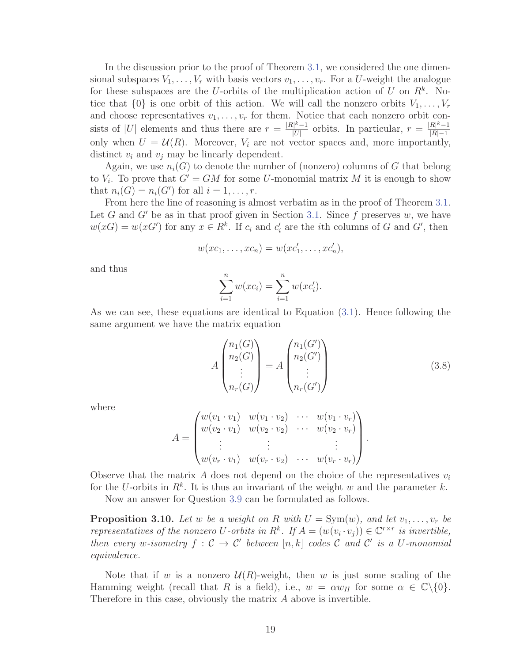In the discussion prior to the proof of Theorem 3.1, we considered the one dimensional subspaces  $V_1, \ldots, V_r$  with basis vectors  $v_1, \ldots, v_r$ . For a U-weight the analogue for these subspaces are the U-orbits of the multiplication action of U on  $R^k$ . Notice that  $\{0\}$  is one orbit of this action. We will call the nonzero orbits  $V_1, \ldots, V_r$ and choose representatives  $v_1, \ldots, v_r$  for them. Notice that each nonzero orbit consists of |U| elements and thus there are  $r = \frac{|R|^k - 1}{|H|}$  $\frac{|\mathcal{R}|^{k}-1}{|\mathcal{U}|}$  orbits. In particular,  $r = \frac{|\mathcal{R}|^{k}-1}{|\mathcal{R}|-1}$  $|R|-1$ only when  $U = U(R)$ . Moreover,  $V_i$  are not vector spaces and, more importantly, distinct  $v_i$  and  $v_j$  may be linearly dependent.

Again, we use  $n_i(G)$  to denote the number of (nonzero) columns of G that belong to  $V_i$ . To prove that  $G' = GM$  for some U-monomial matrix M it is enough to show that  $n_i(G) = n_i(G')$  for all  $i = 1, \ldots, r$ .

From here the line of reasoning is almost verbatim as in the proof of Theorem 3.1. Let G and G' be as in that proof given in Section 3.1. Since f preserves w, we have  $w(xG) = w(xG')$  for any  $x \in R^k$ . If  $c_i$  and  $c'_i$  are the *i*th columns of G and G', then

$$
w(xc_1,\ldots,xc_n)=w(xc'_1,\ldots,xc'_n),
$$

and thus

$$
\sum_{i=1}^{n} w(xc_i) = \sum_{i=1}^{n} w(xc'_i).
$$

As we can see, these equations are identical to Equation (3.1). Hence following the same argument we have the matrix equation

$$
A \begin{pmatrix} n_1(G) \\ n_2(G) \\ \vdots \\ n_r(G) \end{pmatrix} = A \begin{pmatrix} n_1(G') \\ n_2(G') \\ \vdots \\ n_r(G') \end{pmatrix}
$$
 (3.8)

.

where

$$
A = \begin{pmatrix} w(v_1 \cdot v_1) & w(v_1 \cdot v_2) & \cdots & w(v_1 \cdot v_r) \\ w(v_2 \cdot v_1) & w(v_2 \cdot v_2) & \cdots & w(v_2 \cdot v_r) \\ \vdots & \vdots & & \vdots \\ w(v_r \cdot v_1) & w(v_r \cdot v_2) & \cdots & w(v_r \cdot v_r) \end{pmatrix}
$$

Observe that the matrix A does not depend on the choice of the representatives  $v_i$ for the U-orbits in  $R^k$ . It is thus an invariant of the weight w and the parameter k.

Now an answer for Question 3.9 can be formulated as follows.

**Proposition 3.10.** Let w be a weight on R with  $U = \text{Sym}(w)$ , and let  $v_1, \ldots, v_r$  be representatives of the nonzero U-orbits in  $R^k$ . If  $A = (w(v_i \cdot v_j)) \in \mathbb{C}^{r \times r}$  is invertible, then every w-isometry  $f: \mathcal{C} \to \mathcal{C}'$  between  $[n, k]$  codes  $\mathcal C$  and  $\mathcal C'$  is a U-monomial equivalence.

Note that if w is a nonzero  $\mathcal{U}(R)$ -weight, then w is just some scaling of the Hamming weight (recall that R is a field), i.e.,  $w = \alpha w_H$  for some  $\alpha \in \mathbb{C} \setminus \{0\}.$ Therefore in this case, obviously the matrix A above is invertible.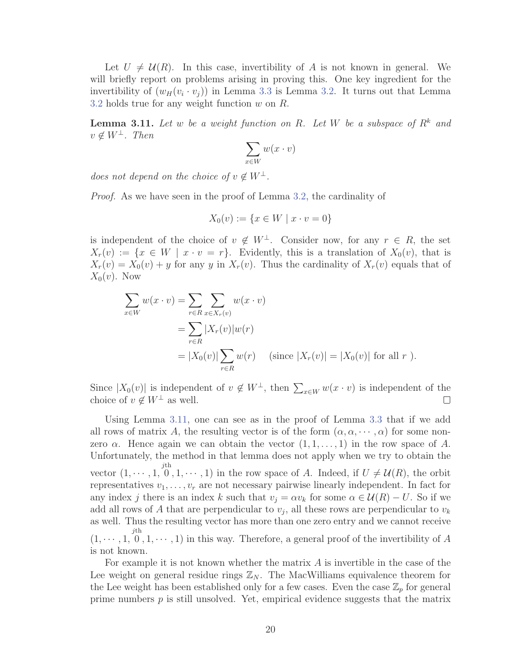Let  $U \neq \mathcal{U}(R)$ . In this case, invertibility of A is not known in general. We will briefly report on problems arising in proving this. One key ingredient for the invertibility of  $(w_H(v_i \cdot v_j))$  in Lemma 3.3 is Lemma 3.2. It turns out that Lemma 3.2 holds true for any weight function  $w$  on  $R$ .

**Lemma 3.11.** Let w be a weight function on R. Let W be a subspace of  $R^k$  and  $v \notin W^{\perp}$ . Then

$$
\sum_{x \in W} w(x \cdot v)
$$

does not depend on the choice of  $v \notin W^{\perp}$ .

Proof. As we have seen in the proof of Lemma 3.2, the cardinality of

$$
X_0(v) := \{ x \in W \mid x \cdot v = 0 \}
$$

is independent of the choice of  $v \notin W^{\perp}$ . Consider now, for any  $r \in R$ , the set  $X_r(v) := \{x \in W \mid x \cdot v = r\}.$  Evidently, this is a translation of  $X_0(v)$ , that is  $X_r(v) = X_0(v) + y$  for any y in  $X_r(v)$ . Thus the cardinality of  $X_r(v)$  equals that of  $X_0(v)$ . Now

$$
\sum_{x \in W} w(x \cdot v) = \sum_{r \in R} \sum_{x \in X_r(v)} w(x \cdot v)
$$
  
= 
$$
\sum_{r \in R} |X_r(v)|w(r)
$$
  
= 
$$
|X_0(v)| \sum_{r \in R} w(r) \quad \text{(since } |X_r(v)| = |X_0(v)| \text{ for all } r \text{ ).}
$$

Since  $|X_0(v)|$  is independent of  $v \notin W^{\perp}$ , then  $\sum_{x \in W} w(x \cdot v)$  is independent of the choice of  $v \notin W^{\perp}$  as well.

Using Lemma 3.11, one can see as in the proof of Lemma 3.3 that if we add all rows of matrix A, the resulting vector is of the form  $(\alpha, \alpha, \dots, \alpha)$  for some nonzero  $\alpha$ . Hence again we can obtain the vector  $(1, 1, \ldots, 1)$  in the row space of A. Unfortunately, the method in that lemma does not apply when we try to obtain the vector  $(1, \dots, 1, 0, 1, \dots, 1)$  in the row space of A. Indeed, if  $U \neq \mathcal{U}(R)$ , the orbit jth representatives  $v_1, \ldots, v_r$  are not necessary pairwise linearly independent. In fact for any index j there is an index k such that  $v_j = \alpha v_k$  for some  $\alpha \in \mathcal{U}(R) - U$ . So if we add all rows of A that are perpendicular to  $v_j$ , all these rows are perpendicular to  $v_k$ as well. Thus the resulting vector has more than one zero entry and we cannot receive  $(1, \dots, 1, 0, 1, \dots, 1)$  in this way. Therefore, a general proof of the invertibility of A is not known.

For example it is not known whether the matrix A is invertible in the case of the Lee weight on general residue rings  $\mathbb{Z}_N$ . The MacWilliams equivalence theorem for the Lee weight has been established only for a few cases. Even the case  $\mathbb{Z}_p$  for general prime numbers  $p$  is still unsolved. Yet, empirical evidence suggests that the matrix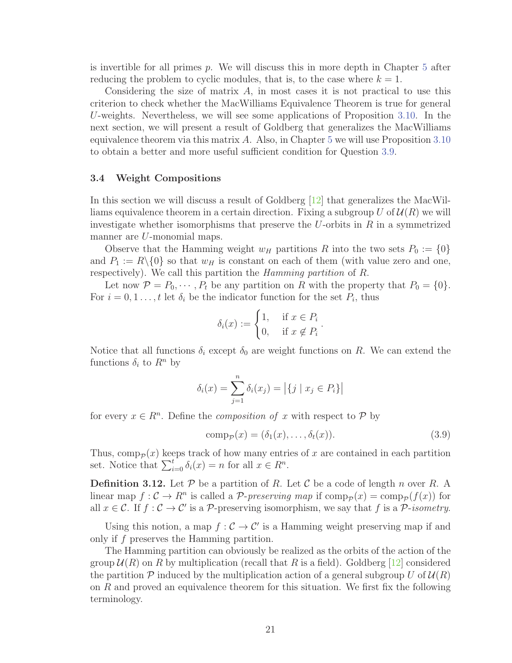is invertible for all primes  $p$ . We will discuss this in more depth in Chapter  $5$  after reducing the problem to cyclic modules, that is, to the case where  $k = 1$ .

Considering the size of matrix  $A$ , in most cases it is not practical to use this criterion to check whether the MacWilliams Equivalence Theorem is true for general U-weights. Nevertheless, we will see some applications of Proposition 3.10. In the next section, we will present a result of Goldberg that generalizes the MacWilliams equivalence theorem via this matrix A. Also, in Chapter 5 we will use Proposition 3.10 to obtain a better and more useful sufficient condition for Question 3.9.

#### 3.4 Weight Compositions

In this section we will discuss a result of Goldberg  $|12|$  that generalizes the MacWilliams equivalence theorem in a certain direction. Fixing a subgroup  $U$  of  $\mathcal{U}(R)$  we will investigate whether isomorphisms that preserve the U-orbits in  $R$  in a symmetrized manner are U-monomial maps.

Observe that the Hamming weight  $w_H$  partitions R into the two sets  $P_0 := \{0\}$ and  $P_1 := R \setminus \{0\}$  so that  $w_H$  is constant on each of them (with value zero and one, respectively). We call this partition the *Hamming partition* of R.

Let now  $\mathcal{P} = P_0, \cdots, P_t$  be any partition on R with the property that  $P_0 = \{0\}.$ For  $i = 0, 1, \ldots, t$  let  $\delta_i$  be the indicator function for the set  $P_i$ , thus

$$
\delta_i(x) := \begin{cases} 1, & \text{if } x \in P_i \\ 0, & \text{if } x \notin P_i \end{cases}.
$$

Notice that all functions  $\delta_i$  except  $\delta_0$  are weight functions on R. We can extend the functions  $\delta_i$  to  $R^n$  by

$$
\delta_i(x) = \sum_{j=1}^n \delta_i(x_j) = |\{j \mid x_j \in P_i\}|
$$

for every  $x \in \mathbb{R}^n$ . Define the *composition of* x with respect to P by

$$
comp_{\mathcal{P}}(x) = (\delta_1(x), \dots, \delta_t(x)).
$$
\n(3.9)

Thus, comp<sub>p</sub> $(x)$  keeps track of how many entries of x are contained in each partition set. Notice that  $\sum_{i=0}^{t} \delta_i(x) = n$  for all  $x \in R^n$ .

**Definition 3.12.** Let P be a partition of R. Let C be a code of length n over R. A linear map  $f : \mathcal{C} \to \mathbb{R}^n$  is called a  $\mathcal{P}\text{-}preserving map$  if  $comp_{\mathcal{P}}(x) = comp_{\mathcal{P}}(f(x))$  for all  $x \in \mathcal{C}$ . If  $f : \mathcal{C} \to \mathcal{C}'$  is a P-preserving isomorphism, we say that f is a P-isometry.

Using this notion, a map  $f: \mathcal{C} \to \mathcal{C}'$  is a Hamming weight preserving map if and only if f preserves the Hamming partition.

The Hamming partition can obviously be realized as the orbits of the action of the group  $\mathcal{U}(R)$  on R by multiplication (recall that R is a field). Goldberg [12] considered the partition  $\mathcal P$  induced by the multiplication action of a general subgroup U of  $\mathcal U(R)$ on  $R$  and proved an equivalence theorem for this situation. We first fix the following terminology.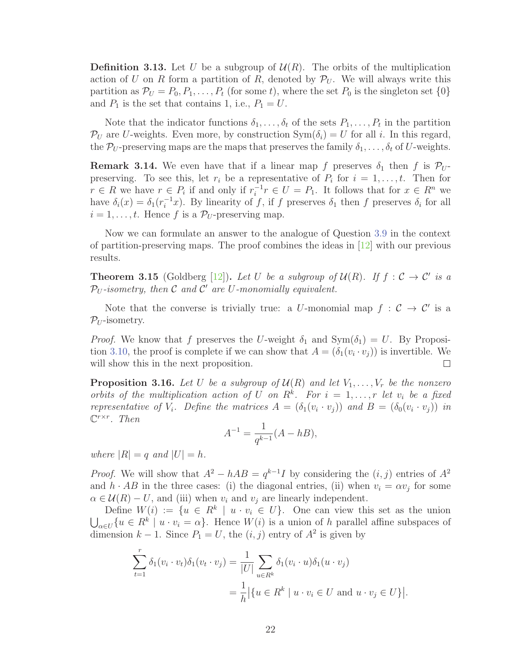**Definition 3.13.** Let U be a subgroup of  $\mathcal{U}(R)$ . The orbits of the multiplication action of U on R form a partition of R, denoted by  $\mathcal{P}_U$ . We will always write this partition as  $\mathcal{P}_U = P_0, P_1, \ldots, P_t$  (for some t), where the set  $P_0$  is the singleton set  $\{0\}$ and  $P_1$  is the set that contains 1, i.e.,  $P_1 = U$ .

Note that the indicator functions  $\delta_1, \ldots, \delta_t$  of the sets  $P_1, \ldots, P_t$  in the partition  $\mathcal{P}_U$  are U-weights. Even more, by construction  $\text{Sym}(\delta_i) = U$  for all i. In this regard, the  $\mathcal{P}_U$ -preserving maps are the maps that preserves the family  $\delta_1, \ldots, \delta_t$  of U-weights.

**Remark 3.14.** We even have that if a linear map f preserves  $\delta_1$  then f is  $\mathcal{P}_U$ preserving. To see this, let  $r_i$  be a representative of  $P_i$  for  $i = 1, \ldots, t$ . Then for  $r \in R$  we have  $r \in P_i$  if and only if  $r_i^{-1}r \in U = P_1$ . It follows that for  $x \in R^n$  we have  $\delta_i(x) = \delta_1(r_i^{-1}x)$ . By linearity of f, if f preserves  $\delta_1$  then f preserves  $\delta_i$  for all  $i = 1, \ldots, t$ . Hence f is a  $\mathcal{P}_U$ -preserving map.

Now we can formulate an answer to the analogue of Question 3.9 in the context of partition-preserving maps. The proof combines the ideas in  $[12]$  with our previous results.

**Theorem 3.15** (Goldberg [12]). Let U be a subgroup of  $\mathcal{U}(R)$ . If  $f: \mathcal{C} \to \mathcal{C}'$  is a  $\mathcal{P}_U$ -isometry, then  $\mathcal C$  and  $\mathcal C'$  are U-monomially equivalent.

Note that the converse is trivially true: a U-monomial map  $f: \mathcal{C} \to \mathcal{C}'$  is a  $\mathcal{P}_U$ -isometry.

*Proof.* We know that f preserves the U-weight  $\delta_1$  and  $Sym(\delta_1) = U$ . By Proposition 3.10, the proof is complete if we can show that  $A = (\delta_1(v_i \cdot v_j))$  is invertible. We will show this in the next proposition.  $\Box$ 

**Proposition 3.16.** Let U be a subgroup of  $\mathcal{U}(R)$  and let  $V_1, \ldots, V_r$  be the nonzero orbits of the multiplication action of U on  $R^k$ . For  $i = 1, ..., r$  let  $v_i$  be a fixed representative of  $V_i$ . Define the matrices  $A = (\delta_1(v_i \cdot v_j))$  and  $B = (\delta_0(v_i \cdot v_j))$  in  $\mathbb{C}^{r \times r}$ . Then

$$
A^{-1} = \frac{1}{q^{k-1}}(A - hB),
$$

where  $|R| = q$  and  $|U| = h$ .

*Proof.* We will show that  $A^2 - hAB = q^{k-1}I$  by considering the  $(i, j)$  entries of  $A^2$ and  $h \cdot AB$  in the three cases: (i) the diagonal entries, (ii) when  $v_i = \alpha v_j$  for some  $\alpha \in \mathcal{U}(R) - U$ , and (iii) when  $v_i$  and  $v_j$  are linearly independent.

Define  $W(i) := \{u \in R^k \mid u \cdot v_i \in U\}$ . One can view this set as the union  $\bigcup_{\alpha \in U} \{u \in R^k \mid u \cdot v_i = \alpha\}.$  Hence  $W(i)$  is a union of h parallel affine subspaces of dimension  $k - 1$ . Since  $P_1 = U$ , the  $(i, j)$  entry of  $A^2$  is given by

$$
\sum_{t=1}^r \delta_1(v_i \cdot v_t) \delta_1(v_t \cdot v_j) = \frac{1}{|U|} \sum_{u \in R^k} \delta_1(v_i \cdot u) \delta_1(u \cdot v_j)
$$
  
= 
$$
\frac{1}{h} |\{u \in R^k \mid u \cdot v_i \in U \text{ and } u \cdot v_j \in U\}|.
$$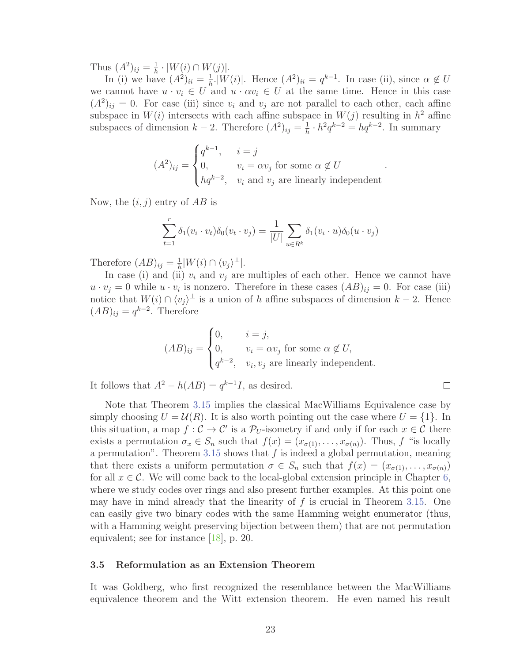Thus  $(A^2)_{ij} = \frac{1}{h}$  $\frac{1}{h} \cdot |W(i) \cap W(j)|.$ 

In (i) we have  $(A^2)_{ii} = \frac{1}{h}$  $\frac{1}{h}$ . |W(i)|. Hence  $(A^2)_{ii} = q^{k-1}$ . In case (ii), since  $\alpha \notin U$ we cannot have  $u \cdot v_i \in U$  and  $u \cdot \alpha v_i \in U$  at the same time. Hence in this case  $(A^2)_{ij} = 0$ . For case (iii) since  $v_i$  and  $v_j$  are not parallel to each other, each affine subspace in  $W(i)$  intersects with each affine subspace in  $W(j)$  resulting in  $h^2$  affine subspaces of dimension  $k-2$ . Therefore  $(A^2)_{ij} = \frac{1}{h}$  $\frac{1}{h} \cdot h^2 q^{k-2} = h q^{k-2}$ . In summary

$$
(A2)ij = \begin{cases} qk-1, & i = j \\ 0, & vi = \alpha vj \text{ for some } \alpha \notin U \\ hqk-2, & vi \text{ and } vj \text{ are linearly independent} \end{cases}
$$

.

 $\Box$ 

Now, the  $(i, j)$  entry of AB is

$$
\sum_{t=1}^r \delta_1(v_i \cdot v_t) \delta_0(v_t \cdot v_j) = \frac{1}{|U|} \sum_{u \in R^k} \delta_1(v_i \cdot u) \delta_0(u \cdot v_j)
$$

Therefore  $(AB)_{ij} = \frac{1}{h}$  $\frac{1}{h} |W(i) \cap \langle v_j \rangle^{\perp}|.$ 

In case (i) and (ii)  $v_i$  and  $v_j$  are multiples of each other. Hence we cannot have  $u \cdot v_j = 0$  while  $u \cdot v_i$  is nonzero. Therefore in these cases  $(AB)_{ij} = 0$ . For case (iii) notice that  $W(i) \cap \langle v_j \rangle^{\perp}$  is a union of h affine subspaces of dimension  $k-2$ . Hence  $(AB)_{ij} = q^{k-2}$ . Therefore

$$
(AB)_{ij} = \begin{cases} 0, & i = j, \\ 0, & v_i = \alpha v_j \text{ for some } \alpha \notin U, \\ q^{k-2}, & v_i, v_j \text{ are linearly independent.} \end{cases}
$$

It follows that  $A^2 - h(AB) = q^{k-1}I$ , as desired.

Note that Theorem 3.15 implies the classical MacWilliams Equivalence case by simply choosing  $U = \mathcal{U}(R)$ . It is also worth pointing out the case where  $U = \{1\}$ . In this situation, a map  $f: \mathcal{C} \to \mathcal{C}'$  is a  $\mathcal{P}_U$ -isometry if and only if for each  $x \in \mathcal{C}$  there exists a permutation  $\sigma_x \in S_n$  such that  $f(x) = (x_{\sigma(1)}, \ldots, x_{\sigma(n)})$ . Thus, f "is locally a permutation". Theorem 3.15 shows that  $f$  is indeed a global permutation, meaning that there exists a uniform permutation  $\sigma \in S_n$  such that  $f(x) = (x_{\sigma(1)}, \ldots, x_{\sigma(n)})$ for all  $x \in \mathcal{C}$ . We will come back to the local-global extension principle in Chapter 6, where we study codes over rings and also present further examples. At this point one may have in mind already that the linearity of  $f$  is crucial in Theorem 3.15. One can easily give two binary codes with the same Hamming weight enumerator (thus, with a Hamming weight preserving bijection between them) that are not permutation equivalent; see for instance [18], p. 20.

#### 3.5 Reformulation as an Extension Theorem

It was Goldberg, who first recognized the resemblance between the MacWilliams equivalence theorem and the Witt extension theorem. He even named his result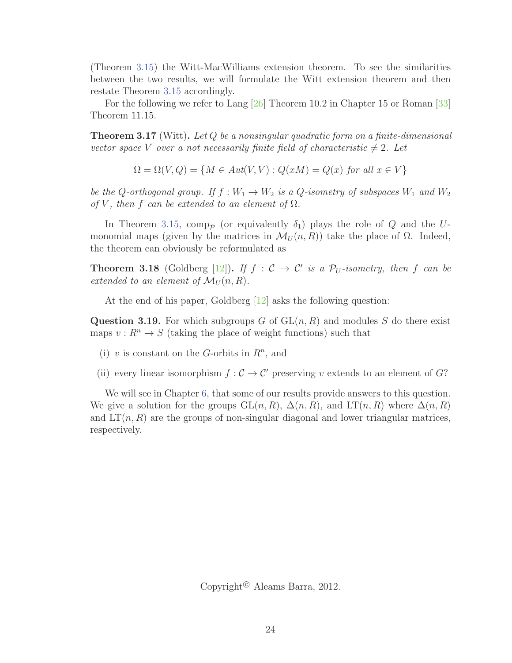(Theorem 3.15) the Witt-MacWilliams extension theorem. To see the similarities between the two results, we will formulate the Witt extension theorem and then restate Theorem 3.15 accordingly.

For the following we refer to Lang [26] Theorem 10.2 in Chapter 15 or Roman [33] Theorem 11.15.

**Theorem 3.17** (Witt). Let Q be a nonsingular quadratic form on a finite-dimensional vector space V over a not necessarily finite field of characteristic  $\neq 2$ . Let

$$
\Omega = \Omega(V, Q) = \{ M \in Aut(V, V) : Q(xM) = Q(x) \text{ for all } x \in V \}
$$

be the Q-orthogonal group. If  $f: W_1 \to W_2$  is a Q-isometry of subspaces  $W_1$  and  $W_2$ of V, then f can be extended to an element of  $\Omega$ .

In Theorem 3.15, comp<sub>p</sub> (or equivalently  $\delta_1$ ) plays the role of Q and the Umonomial maps (given by the matrices in  $\mathcal{M}_U(n, R)$ ) take the place of  $\Omega$ . Indeed, the theorem can obviously be reformulated as

**Theorem 3.18** (Goldberg [12]). If  $f : C \to C'$  is a  $\mathcal{P}_U$ -isometry, then  $f$  can be extended to an element of  $\mathcal{M}_U(n, R)$ .

At the end of his paper, Goldberg [12] asks the following question:

Question 3.19. For which subgroups G of  $GL(n, R)$  and modules S do there exist maps  $v: R^n \to S$  (taking the place of weight functions) such that

(i) v is constant on the G-orbits in  $R<sup>n</sup>$ , and

(ii) every linear isomorphism  $f : \mathcal{C} \to \mathcal{C}'$  preserving v extends to an element of G?

We will see in Chapter 6, that some of our results provide answers to this question. We give a solution for the groups  $GL(n, R)$ ,  $\Delta(n, R)$ , and  $LT(n, R)$  where  $\Delta(n, R)$ and  $LT(n, R)$  are the groups of non-singular diagonal and lower triangular matrices, respectively.

Copyright<sup>©</sup> Aleams Barra, 2012.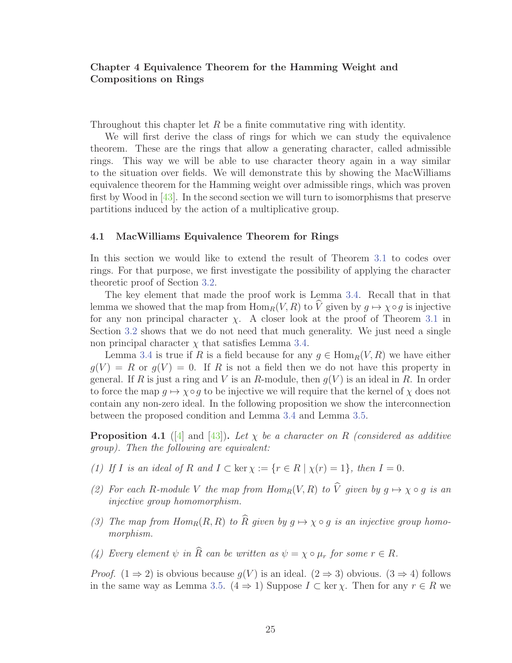## Chapter 4 Equivalence Theorem for the Hamming Weight and Compositions on Rings

Throughout this chapter let R be a finite commutative ring with identity.

We will first derive the class of rings for which we can study the equivalence theorem. These are the rings that allow a generating character, called admissible rings. This way we will be able to use character theory again in a way similar to the situation over fields. We will demonstrate this by showing the MacWilliams equivalence theorem for the Hamming weight over admissible rings, which was proven first by Wood in [43]. In the second section we will turn to isomorphisms that preserve partitions induced by the action of a multiplicative group.

#### 4.1 MacWilliams Equivalence Theorem for Rings

In this section we would like to extend the result of Theorem 3.1 to codes over rings. For that purpose, we first investigate the possibility of applying the character theoretic proof of Section 3.2.

The key element that made the proof work is Lemma 3.4. Recall that in that lemma we showed that the map from  $\text{Hom}_R(V, R)$  to  $\hat{V}$  given by  $g \mapsto \chi \circ g$  is injective for any non principal character  $\chi$ . A closer look at the proof of Theorem 3.1 in Section 3.2 shows that we do not need that much generality. We just need a single non principal character  $\chi$  that satisfies Lemma 3.4.

Lemma 3.4 is true if R is a field because for any  $g \in \text{Hom}_R(V, R)$  we have either  $g(V) = R$  or  $g(V) = 0$ . If R is not a field then we do not have this property in general. If R is just a ring and V is an R-module, then  $q(V)$  is an ideal in R. In order to force the map  $q \mapsto \chi \circ q$  to be injective we will require that the kernel of  $\chi$  does not contain any non-zero ideal. In the following proposition we show the interconnection between the proposed condition and Lemma 3.4 and Lemma 3.5.

**Proposition 4.1** ([4] and [43]). Let  $\chi$  be a character on R (considered as additive group). Then the following are equivalent:

- (1) If I is an ideal of R and  $I \subset \ker \chi := \{r \in R \mid \chi(r) = 1\}$ , then  $I = 0$ .
- (2) For each R-module V the map from  $Hom_R(V, R)$  to  $\hat{V}$  given by  $g \mapsto \chi \circ g$  is an injective group homomorphism.
- (3) The map from  $Hom_R(R, R)$  to  $\widehat{R}$  given by  $g \mapsto \chi \circ g$  is an injective group homomorphism.
- (4) Every element  $\psi$  in  $\widehat{R}$  can be written as  $\psi = \chi \circ \mu_r$  for some  $r \in R$ .

*Proof.*  $(1 \Rightarrow 2)$  is obvious because  $g(V)$  is an ideal.  $(2 \Rightarrow 3)$  obvious.  $(3 \Rightarrow 4)$  follows in the same way as Lemma 3.5.  $(4 \Rightarrow 1)$  Suppose  $I \subset \text{ker } \chi$ . Then for any  $r \in R$  we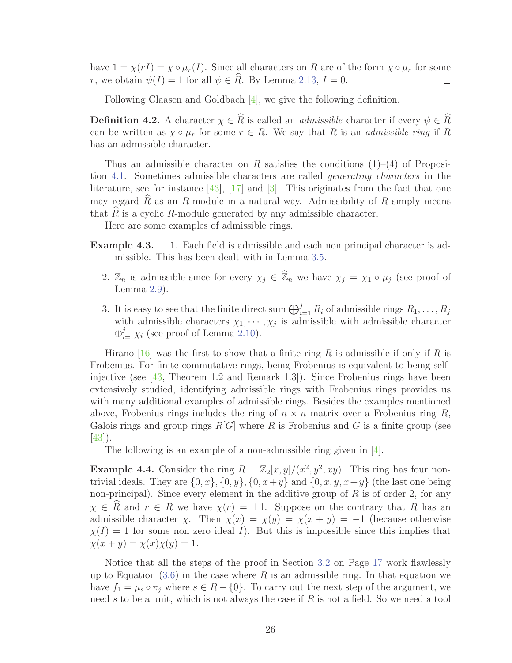have  $1 = \chi(rI) = \chi \circ \mu_r(I)$ . Since all characters on R are of the form  $\chi \circ \mu_r$  for some r, we obtain  $\psi(I) = 1$  for all  $\psi \in \widehat{R}$ . By Lemma 2.13,  $I = 0$ .  $\Box$ 

Following Claasen and Goldbach [4], we give the following definition.

**Definition 4.2.** A character  $\chi \in \widehat{R}$  is called an *admissible* character if every  $\psi \in \widehat{R}$ can be written as  $\chi \circ \mu_r$  for some  $r \in R$ . We say that R is an *admissible ring* if R has an admissible character.

Thus an admissible character on R satisfies the conditions  $(1)-(4)$  of Proposition 4.1. Sometimes admissible characters are called generating characters in the literature, see for instance  $[43]$ ,  $[17]$  and  $[3]$ . This originates from the fact that one may regard  $\widehat{R}$  as an R-module in a natural way. Admissibility of R simply means that  $R$  is a cyclic  $R$ -module generated by any admissible character.

Here are some examples of admissible rings.

- Example 4.3. 1. Each field is admissible and each non principal character is admissible. This has been dealt with in Lemma 3.5.
	- 2.  $\mathbb{Z}_n$  is admissible since for every  $\chi_j \in \widehat{\mathbb{Z}}_n$  we have  $\chi_j = \chi_1 \circ \mu_j$  (see proof of Lemma 2.9).
	- 3. It is easy to see that the finite direct sum  $\bigoplus_{i=1}^{j} R_i$  of admissible rings  $R_1, \ldots, R_j$ with admissible characters  $\chi_1, \cdots, \chi_j$  is admissible with admissible character  $\oplus_{i=1}^{j} \chi_i$  (see proof of Lemma 2.10).

Hirano [16] was the first to show that a finite ring R is admissible if only if R is Frobenius. For finite commutative rings, being Frobenius is equivalent to being selfinjective (see  $\left[43, \text{ Theorem } 1.2 \text{ and Remark } 1.3\right]$ ). Since Frobenius rings have been extensively studied, identifying admissible rings with Frobenius rings provides us with many additional examples of admissible rings. Besides the examples mentioned above, Frobenius rings includes the ring of  $n \times n$  matrix over a Frobenius ring R, Galois rings and group rings  $R[G]$  where R is Frobenius and G is a finite group (see [43]).

The following is an example of a non-admissible ring given in [4].

**Example 4.4.** Consider the ring  $R = \mathbb{Z}_2[x, y]/(x^2, y^2, xy)$ . This ring has four nontrivial ideals. They are  $\{0, x\}, \{0, y\}, \{0, x+y\}$  and  $\{0, x, y, x+y\}$  (the last one being non-principal). Since every element in the additive group of  $R$  is of order 2, for any  $\chi \in R$  and  $r \in R$  we have  $\chi(r) = \pm 1$ . Suppose on the contrary that R has an admissible character  $\chi$ . Then  $\chi(x) = \chi(y) = \chi(x + y) = -1$  (because otherwise  $\chi(I) = 1$  for some non zero ideal I). But this is impossible since this implies that  $\chi(x+y) = \chi(x)\chi(y) = 1.$ 

Notice that all the steps of the proof in Section 3.2 on Page 17 work flawlessly up to Equation  $(3.6)$  in the case where R is an admissible ring. In that equation we have  $f_1 = \mu_s \circ \pi_j$  where  $s \in R - \{0\}$ . To carry out the next step of the argument, we need s to be a unit, which is not always the case if  $R$  is not a field. So we need a tool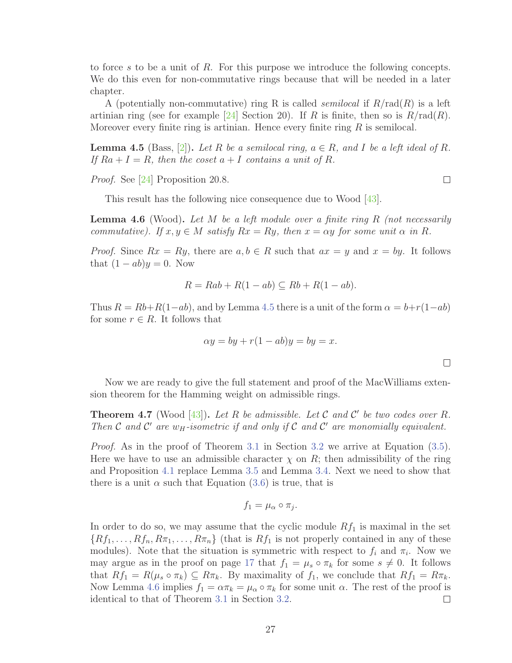to force s to be a unit of R. For this purpose we introduce the following concepts. We do this even for non-commutative rings because that will be needed in a later chapter.

A (potentially non-commutative) ring R is called *semilocal* if  $R$ /rad( $R$ ) is a left artinian ring (see for example [24] Section 20). If R is finite, then so is  $R/\text{rad}(R)$ . Moreover every finite ring is artinian. Hence every finite ring  $R$  is semilocal.

**Lemma 4.5** (Bass, [2]). Let R be a semilocal ring,  $a \in R$ , and I be a left ideal of R. If  $Ra + I = R$ , then the coset  $a + I$  contains a unit of R.

Proof. See [24] Proposition 20.8.

This result has the following nice consequence due to Wood [43].

**Lemma 4.6** (Wood). Let M be a left module over a finite ring R (not necessarily commutative). If  $x, y \in M$  satisfy  $Rx = Ry$ , then  $x = \alpha y$  for some unit  $\alpha$  in R.

*Proof.* Since  $Rx = Ry$ , there are  $a, b \in R$  such that  $ax = y$  and  $x = by$ . It follows that  $(1 - ab)y = 0$ . Now

$$
R = Rab + R(1 - ab) \subseteq Rb + R(1 - ab).
$$

Thus  $R = Rb+R(1-ab)$ , and by Lemma 4.5 there is a unit of the form  $\alpha = b+r(1-ab)$ for some  $r \in R$ . It follows that

$$
\alpha y = by + r(1 - ab)y = by = x.
$$

 $\Box$ 

Now we are ready to give the full statement and proof of the MacWilliams extension theorem for the Hamming weight on admissible rings.

**Theorem 4.7** (Wood [43]). Let R be admissible. Let C and C' be two codes over R. Then C and C' are  $w_H$ -isometric if and only if C and C' are monomially equivalent.

*Proof.* As in the proof of Theorem 3.1 in Section 3.2 we arrive at Equation (3.5). Here we have to use an admissible character  $\chi$  on R; then admissibility of the ring and Proposition 4.1 replace Lemma 3.5 and Lemma 3.4. Next we need to show that there is a unit  $\alpha$  such that Equation (3.6) is true, that is

$$
f_1 = \mu_\alpha \circ \pi_j.
$$

In order to do so, we may assume that the cyclic module  $Rf_1$  is maximal in the set  $\{Rf_1, \ldots, Rf_n, R\pi_1, \ldots, R\pi_n\}$  (that is  $Rf_1$  is not properly contained in any of these modules). Note that the situation is symmetric with respect to  $f_i$  and  $\pi_i$ . Now we may argue as in the proof on page 17 that  $f_1 = \mu_s \circ \pi_k$  for some  $s \neq 0$ . It follows that  $Rf_1 = R(\mu_s \circ \pi_k) \subseteq R\pi_k$ . By maximality of  $f_1$ , we conclude that  $Rf_1 = R\pi_k$ . Now Lemma 4.6 implies  $f_1 = \alpha \pi_k = \mu_\alpha \circ \pi_k$  for some unit  $\alpha$ . The rest of the proof is identical to that of Theorem 3.1 in Section 3.2.  $\Box$ 

 $\Box$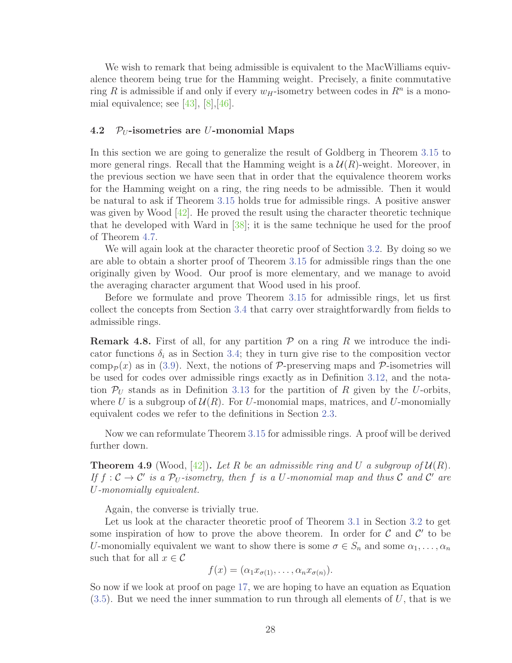We wish to remark that being admissible is equivalent to the MacWilliams equivalence theorem being true for the Hamming weight. Precisely, a finite commutative ring R is admissible if and only if every  $w_H$ -isometry between codes in  $R^n$  is a monomial equivalence; see  $[43]$ ,  $[8]$ ,  $[46]$ .

# 4.2  $\mathcal{P}_U$ -isometries are *U*-monomial Maps

In this section we are going to generalize the result of Goldberg in Theorem 3.15 to more general rings. Recall that the Hamming weight is a  $\mathcal{U}(R)$ -weight. Moreover, in the previous section we have seen that in order that the equivalence theorem works for the Hamming weight on a ring, the ring needs to be admissible. Then it would be natural to ask if Theorem 3.15 holds true for admissible rings. A positive answer was given by Wood  $[42]$ . He proved the result using the character theoretic technique that he developed with Ward in [38]; it is the same technique he used for the proof of Theorem 4.7.

We will again look at the character theoretic proof of Section 3.2. By doing so we are able to obtain a shorter proof of Theorem 3.15 for admissible rings than the one originally given by Wood. Our proof is more elementary, and we manage to avoid the averaging character argument that Wood used in his proof.

Before we formulate and prove Theorem 3.15 for admissible rings, let us first collect the concepts from Section 3.4 that carry over straightforwardly from fields to admissible rings.

**Remark 4.8.** First of all, for any partition  $\mathcal{P}$  on a ring R we introduce the indicator functions  $\delta_i$  as in Section 3.4; they in turn give rise to the composition vector comp<sub>p</sub> $(x)$  as in (3.9). Next, the notions of P-preserving maps and P-isometries will be used for codes over admissible rings exactly as in Definition 3.12, and the notation  $\mathcal{P}_U$  stands as in Definition 3.13 for the partition of R given by the U-orbits, where U is a subgroup of  $\mathcal{U}(R)$ . For U-monomial maps, matrices, and U-monomially equivalent codes we refer to the definitions in Section 2.3.

Now we can reformulate Theorem 3.15 for admissible rings. A proof will be derived further down.

**Theorem 4.9** (Wood, [42]). Let R be an admissible ring and U a subgroup of  $\mathcal{U}(R)$ . If  $f: \mathcal{C} \to \mathcal{C}'$  is a  $\mathcal{P}_U$ -isometry, then f is a U-monomial map and thus  $\mathcal{C}$  and  $\mathcal{C}'$  are U-monomially equivalent.

Again, the converse is trivially true.

Let us look at the character theoretic proof of Theorem 3.1 in Section 3.2 to get some inspiration of how to prove the above theorem. In order for  $\mathcal C$  and  $\mathcal C'$  to be U-monomially equivalent we want to show there is some  $\sigma \in S_n$  and some  $\alpha_1, \ldots, \alpha_n$ such that for all  $x \in \mathcal{C}$ 

$$
f(x)=(\alpha_1x_{\sigma(1)},\ldots,\alpha_nx_{\sigma(n)}).
$$

So now if we look at proof on page 17, we are hoping to have an equation as Equation  $(3.5)$ . But we need the inner summation to run through all elements of U, that is we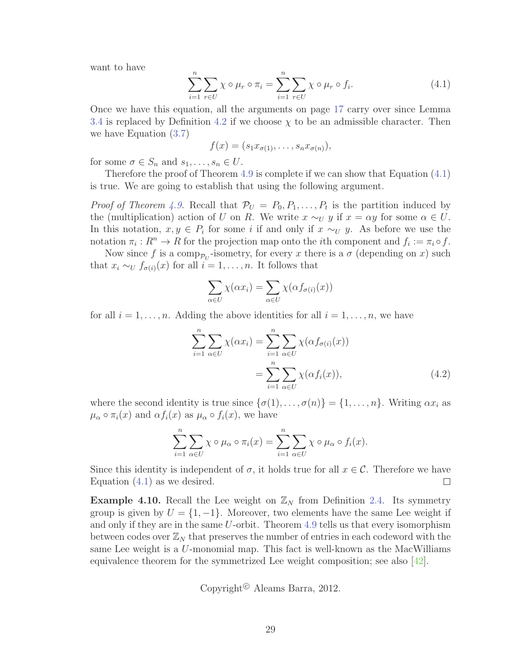want to have

$$
\sum_{i=1}^{n} \sum_{r \in U} \chi \circ \mu_r \circ \pi_i = \sum_{i=1}^{n} \sum_{r \in U} \chi \circ \mu_r \circ f_i.
$$
 (4.1)

Once we have this equation, all the arguments on page 17 carry over since Lemma 3.4 is replaced by Definition 4.2 if we choose  $\chi$  to be an admissible character. Then we have Equation (3.7)

$$
f(x)=(s_1x_{\sigma(1)},\ldots,s_nx_{\sigma(n)}),
$$

for some  $\sigma \in S_n$  and  $s_1, \ldots, s_n \in U$ .

Therefore the proof of Theorem 4.9 is complete if we can show that Equation (4.1) is true. We are going to establish that using the following argument.

*Proof of Theorem 4.9.* Recall that  $\mathcal{P}_U = P_0, P_1, \ldots, P_t$  is the partition induced by the (multiplication) action of U on R. We write  $x \sim_U y$  if  $x = \alpha y$  for some  $\alpha \in U$ . In this notation,  $x, y \in P_i$  for some i if and only if  $x \sim_U y$ . As before we use the notation  $\pi_i: R^n \to R$  for the projection map onto the *i*<sup>th</sup> component and  $f_i := \pi_i \circ f$ .

Now since f is a comp<sub>pu</sub>-isometry, for every x there is a  $\sigma$  (depending on x) such that  $x_i \sim_U f_{\sigma(i)}(x)$  for all  $i = 1, \ldots, n$ . It follows that

$$
\sum_{\alpha \in U} \chi(\alpha x_i) = \sum_{\alpha \in U} \chi(\alpha f_{\sigma(i)}(x))
$$

for all  $i = 1, \ldots, n$ . Adding the above identities for all  $i = 1, \ldots, n$ , we have

$$
\sum_{i=1}^{n} \sum_{\alpha \in U} \chi(\alpha x_i) = \sum_{i=1}^{n} \sum_{\alpha \in U} \chi(\alpha f_{\sigma(i)}(x))
$$

$$
= \sum_{i=1}^{n} \sum_{\alpha \in U} \chi(\alpha f_i(x)), \qquad (4.2)
$$

where the second identity is true since  $\{\sigma(1), \ldots, \sigma(n)\} = \{1, \ldots, n\}$ . Writing  $\alpha x_i$  as  $\mu_{\alpha} \circ \pi_i(x)$  and  $\alpha f_i(x)$  as  $\mu_{\alpha} \circ f_i(x)$ , we have

$$
\sum_{i=1}^{n} \sum_{\alpha \in U} \chi \circ \mu_{\alpha} \circ \pi_{i}(x) = \sum_{i=1}^{n} \sum_{\alpha \in U} \chi \circ \mu_{\alpha} \circ f_{i}(x).
$$

Since this identity is independent of  $\sigma$ , it holds true for all  $x \in \mathcal{C}$ . Therefore we have Equation (4.1) as we desired.  $\Box$ 

**Example 4.10.** Recall the Lee weight on  $\mathbb{Z}_N$  from Definition 2.4. Its symmetry group is given by  $U = \{1, -1\}$ . Moreover, two elements have the same Lee weight if and only if they are in the same U-orbit. Theorem 4.9 tells us that every isomorphism between codes over  $\mathbb{Z}_N$  that preserves the number of entries in each codeword with the same Lee weight is a U-monomial map. This fact is well-known as the MacWilliams equivalence theorem for the symmetrized Lee weight composition; see also [42].

Copyright<sup>©</sup> Aleams Barra, 2012.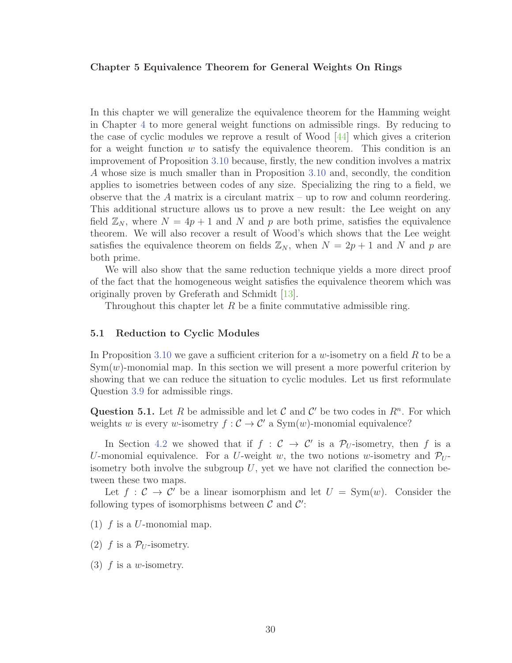#### Chapter 5 Equivalence Theorem for General Weights On Rings

In this chapter we will generalize the equivalence theorem for the Hamming weight in Chapter 4 to more general weight functions on admissible rings. By reducing to the case of cyclic modules we reprove a result of Wood [44] which gives a criterion for a weight function  $w$  to satisfy the equivalence theorem. This condition is an improvement of Proposition 3.10 because, firstly, the new condition involves a matrix A whose size is much smaller than in Proposition 3.10 and, secondly, the condition applies to isometries between codes of any size. Specializing the ring to a field, we observe that the  $A$  matrix is a circulant matrix – up to row and column reordering. This additional structure allows us to prove a new result: the Lee weight on any field  $\mathbb{Z}_N$ , where  $N = 4p + 1$  and N and p are both prime, satisfies the equivalence theorem. We will also recover a result of Wood's which shows that the Lee weight satisfies the equivalence theorem on fields  $\mathbb{Z}_N$ , when  $N = 2p + 1$  and N and p are both prime.

We will also show that the same reduction technique yields a more direct proof of the fact that the homogeneous weight satisfies the equivalence theorem which was originally proven by Greferath and Schmidt [13].

Throughout this chapter let  $R$  be a finite commutative admissible ring.

# 5.1 Reduction to Cyclic Modules

In Proposition 3.10 we gave a sufficient criterion for a w-isometry on a field R to be a  $Sym(w)$ -monomial map. In this section we will present a more powerful criterion by showing that we can reduce the situation to cyclic modules. Let us first reformulate Question 3.9 for admissible rings.

Question 5.1. Let R be admissible and let C and C' be two codes in  $R<sup>n</sup>$ . For which weights w is every w-isometry  $f : C \to C'$  a Sym $(w)$ -monomial equivalence?

In Section 4.2 we showed that if  $f : \mathcal{C} \to \mathcal{C}'$  is a  $\mathcal{P}_U$ -isometry, then f is a U-monomial equivalence. For a U-weight w, the two notions w-isometry and  $\mathcal{P}_U$ isometry both involve the subgroup  $U$ , yet we have not clarified the connection between these two maps.

Let  $f : C \to C'$  be a linear isomorphism and let  $U = \text{Sym}(w)$ . Consider the following types of isomorphisms between  $\mathcal C$  and  $\mathcal C'$ :

- (1)  $f$  is a  $U$ -monomial map.
- (2) f is a  $P_U$ -isometry.
- (3)  $f$  is a *w*-isometry.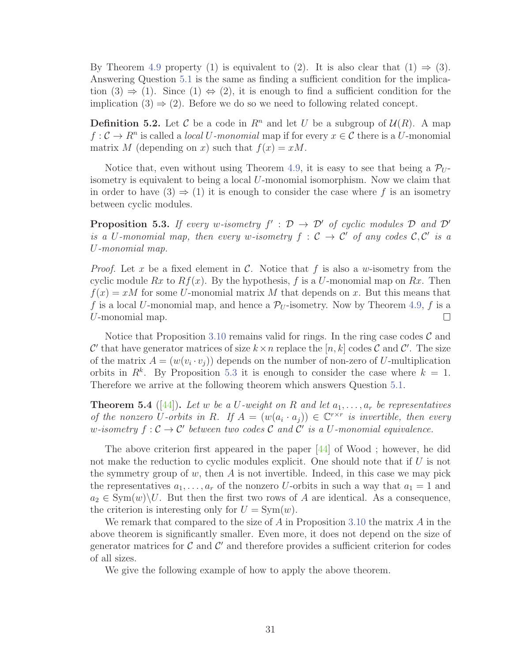By Theorem 4.9 property (1) is equivalent to (2). It is also clear that  $(1) \Rightarrow (3)$ . Answering Question 5.1 is the same as finding a sufficient condition for the implication  $(3) \Rightarrow (1)$ . Since  $(1) \Leftrightarrow (2)$ , it is enough to find a sufficient condition for the implication  $(3) \Rightarrow (2)$ . Before we do so we need to following related concept.

**Definition 5.2.** Let C be a code in  $\mathbb{R}^n$  and let U be a subgroup of  $\mathcal{U}(\mathbb{R})$ . A map  $f: \mathcal{C} \to \mathbb{R}^n$  is called a *local U-monomial* map if for every  $x \in \mathcal{C}$  there is a U-monomial matrix M (depending on x) such that  $f(x) = xM$ .

Notice that, even without using Theorem 4.9, it is easy to see that being a  $P_{U}$ isometry is equivalent to being a local U-monomial isomorphism. Now we claim that in order to have  $(3) \Rightarrow (1)$  it is enough to consider the case where f is an isometry between cyclic modules.

**Proposition 5.3.** If every w-isometry  $f' : D \to D'$  of cyclic modules D and D' is a U-monomial map, then every w-isometry  $f: \mathcal{C} \to \mathcal{C}'$  of any codes  $\mathcal{C}, \mathcal{C}'$  is a U-monomial map.

*Proof.* Let x be a fixed element in C. Notice that f is also a w-isometry from the cyclic module Rx to  $Rf(x)$ . By the hypothesis, f is a U-monomial map on Rx. Then  $f(x) = xM$  for some U-monomial matrix M that depends on x. But this means that f is a local U-monomial map, and hence a  $\mathcal{P}_U$ -isometry. Now by Theorem 4.9, f is a U-monomial map.  $\Box$ 

Notice that Proposition 3.10 remains valid for rings. In the ring case codes  $\mathcal C$  and  $\mathcal{C}'$  that have generator matrices of size  $k \times n$  replace the  $[n, k]$  codes  $\mathcal{C}$  and  $\mathcal{C}'$ . The size of the matrix  $A = (w(v_i \cdot v_j))$  depends on the number of non-zero of U-multiplication orbits in  $R^k$ . By Proposition 5.3 it is enough to consider the case where  $k = 1$ . Therefore we arrive at the following theorem which answers Question 5.1.

**Theorem 5.4** ([44]). Let w be a U-weight on R and let  $a_1, \ldots, a_r$  be representatives of the nonzero U-orbits in R. If  $A = (w(a_i \cdot a_j)) \in \mathbb{C}^{r \times r}$  is invertible, then every w-isometry  $f: \mathcal{C} \to \mathcal{C}'$  between two codes  $\mathcal C$  and  $\mathcal C'$  is a U-monomial equivalence.

The above criterion first appeared in the paper [44] of Wood ; however, he did not make the reduction to cyclic modules explicit. One should note that if  $U$  is not the symmetry group of  $w$ , then  $A$  is not invertible. Indeed, in this case we may pick the representatives  $a_1, \ldots, a_r$  of the nonzero U-orbits in such a way that  $a_1 = 1$  and  $a_2 \in \text{Sym}(w) \backslash U$ . But then the first two rows of A are identical. As a consequence, the criterion is interesting only for  $U = \text{Sym}(w)$ .

We remark that compared to the size of A in Proposition 3.10 the matrix A in the above theorem is significantly smaller. Even more, it does not depend on the size of generator matrices for  $\mathcal C$  and  $\mathcal C'$  and therefore provides a sufficient criterion for codes of all sizes.

We give the following example of how to apply the above theorem.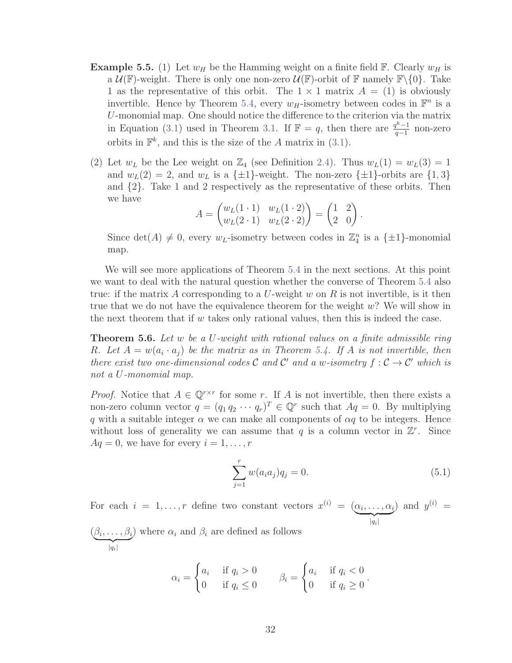- **Example 5.5.** (1) Let  $w_H$  be the Hamming weight on a finite field  $\mathbb{F}$ . Clearly  $w_H$  is a  $\mathcal{U}(\mathbb{F})$ -weight. There is only one non-zero  $\mathcal{U}(\mathbb{F})$ -orbit of  $\mathbb{F}$  namely  $\mathbb{F}\setminus\{0\}$ . Take 1 as the representative of this orbit. The  $1 \times 1$  matrix  $A = (1)$  is obviously invertible. Hence by Theorem 5.4, every  $w_H$ -isometry between codes in  $\mathbb{F}^n$  is a U-monomial map. One should notice the difference to the criterion via the matrix in Equation (3.1) used in Theorem 3.1. If  $\mathbb{F} = q$ , then there are  $\frac{q^{k}-1}{q-1}$  $\frac{q^{n}-1}{q-1}$  non-zero orbits in  $\mathbb{F}^k$ , and this is the size of the A matrix in (3.1).
- (2) Let  $w_L$  be the Lee weight on  $\mathbb{Z}_4$  (see Definition 2.4). Thus  $w_L(1) = w_L(3) = 1$ and  $w_L(2) = 2$ , and  $w_L$  is a  $\{\pm 1\}$ -weight. The non-zero  $\{\pm 1\}$ -orbits are  $\{1,3\}$ and {2}. Take 1 and 2 respectively as the representative of these orbits. Then we have

$$
A = \begin{pmatrix} w_L(1 \cdot 1) & w_L(1 \cdot 2) \\ w_L(2 \cdot 1) & w_L(2 \cdot 2) \end{pmatrix} = \begin{pmatrix} 1 & 2 \\ 2 & 0 \end{pmatrix}.
$$

Since  $\det(A) \neq 0$ , every  $w_L$ -isometry between codes in  $\mathbb{Z}_4^n$  is a  $\{\pm 1\}$ -monomial map.

We will see more applications of Theorem 5.4 in the next sections. At this point we want to deal with the natural question whether the converse of Theorem 5.4 also true: if the matrix A corresponding to a U-weight w on R is not invertible, is it then true that we do not have the equivalence theorem for the weight  $w$ ? We will show in the next theorem that if  $w$  takes only rational values, then this is indeed the case.

**Theorem 5.6.** Let w be a U-weight with rational values on a finite admissible ring R. Let  $A = w(a_i \cdot a_j)$  be the matrix as in Theorem 5.4. If A is not invertible, then there exist two one-dimensional codes C and C' and a w-isometry  $f: C \to C'$  which is not a U-monomial map.

*Proof.* Notice that  $A \in \mathbb{Q}^{r \times r}$  for some r. If A is not invertible, then there exists a non-zero column vector  $q = (q_1 q_2 \cdots q_r)^T \in \mathbb{Q}^r$  such that  $Aq = 0$ . By multiplying q with a suitable integer  $\alpha$  we can make all components of  $\alpha q$  to be integers. Hence without loss of generality we can assume that  $q$  is a column vector in  $\mathbb{Z}^r$ . Since  $Aq = 0$ , we have for every  $i = 1, \ldots, r$ 

$$
\sum_{j=1}^{r} w(a_i a_j) q_j = 0.
$$
\n(5.1)

For each  $i = 1, \ldots, r$  define two constant vectors  $x^{(i)} = (\alpha_i, \ldots, \alpha_i)$  $| q_i|$ ) and  $y^{(i)} =$ 

 $(\beta_i,\ldots,\beta_i)$  $| q_i|$ ) where  $\alpha_i$  and  $\beta_i$  are defined as follows

$$
\alpha_i = \begin{cases} a_i & \text{if } q_i > 0 \\ 0 & \text{if } q_i \le 0 \end{cases} \qquad \beta_i = \begin{cases} a_i & \text{if } q_i < 0 \\ 0 & \text{if } q_i \ge 0 \end{cases}.
$$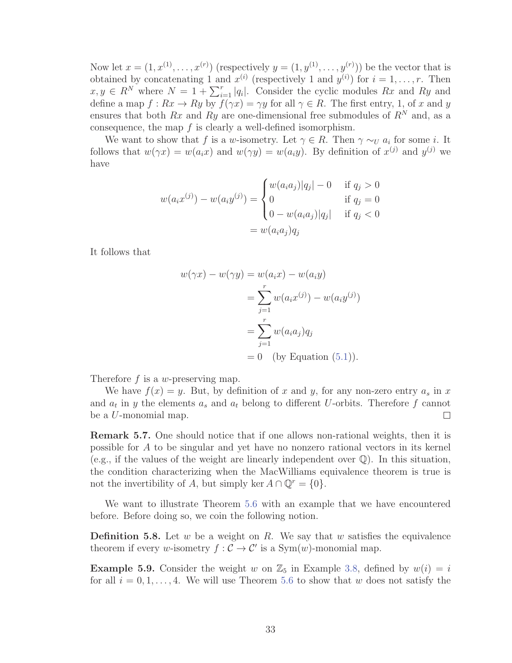Now let  $x = (1, x^{(1)}, \ldots, x^{(r)})$  (respectively  $y = (1, y^{(1)}, \ldots, y^{(r)})$ ) be the vector that is obtained by concatenating 1 and  $x^{(i)}$  (respectively 1 and  $y^{(i)}$ ) for  $i = 1, \ldots, r$ . Then  $x, y \in R^N$  where  $N = 1 + \sum_{i=1}^r |q_i|$ . Consider the cyclic modules  $Rx$  and  $Ry$  and define a map  $f: Rx \to Ry$  by  $f(\gamma x) = \gamma y$  for all  $\gamma \in R$ . The first entry, 1, of x and y ensures that both  $Rx$  and  $Ry$  are one-dimensional free submodules of  $R^N$  and, as a consequence, the map  $f$  is clearly a well-defined isomorphism.

We want to show that f is a w-isometry. Let  $\gamma \in R$ . Then  $\gamma \sim_U a_i$  for some i. It follows that  $w(\gamma x) = w(a_i x)$  and  $w(\gamma y) = w(a_i y)$ . By definition of  $x^{(j)}$  and  $y^{(j)}$  we have

$$
w(a_i x^{(j)}) - w(a_i y^{(j)}) = \begin{cases} w(a_i a_j) |q_j| - 0 & \text{if } q_j > 0\\ 0 & \text{if } q_j = 0\\ 0 - w(a_i a_j) |q_j| & \text{if } q_j < 0 \end{cases}
$$

$$
= w(a_i a_j) q_j
$$

It follows that

$$
w(\gamma x) - w(\gamma y) = w(a_i x) - w(a_i y)
$$
  
= 
$$
\sum_{j=1}^{r} w(a_i x^{(j)}) - w(a_i y^{(j)})
$$
  
= 
$$
\sum_{j=1}^{r} w(a_i a_j) q_j
$$
  
= 0 (by Equation (5.1)).

Therefore  $f$  is a w-preserving map.

We have  $f(x) = y$ . But, by definition of x and y, for any non-zero entry  $a_s$  in x and  $a_t$  in y the elements  $a_s$  and  $a_t$  belong to different U-orbits. Therefore f cannot be a  $U$ -monomial map.  $\Box$ 

Remark 5.7. One should notice that if one allows non-rational weights, then it is possible for A to be singular and yet have no nonzero rational vectors in its kernel (e.g., if the values of the weight are linearly independent over Q). In this situation, the condition characterizing when the MacWilliams equivalence theorem is true is not the invertibility of A, but simply ker  $A \cap \mathbb{Q}^r = \{0\}.$ 

We want to illustrate Theorem 5.6 with an example that we have encountered before. Before doing so, we coin the following notion.

**Definition 5.8.** Let w be a weight on R. We say that w satisfies the equivalence theorem if every w-isometry  $f : \mathcal{C} \to \mathcal{C}'$  is a  $Sym(w)$ -monomial map.

**Example 5.9.** Consider the weight w on  $\mathbb{Z}_5$  in Example 3.8, defined by  $w(i) = i$ for all  $i = 0, 1, \ldots, 4$ . We will use Theorem 5.6 to show that w does not satisfy the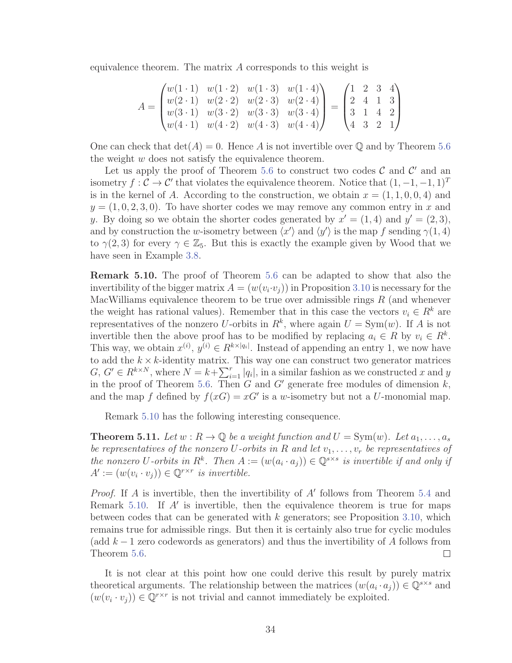equivalence theorem. The matrix A corresponds to this weight is

$$
A = \begin{pmatrix} w(1 \cdot 1) & w(1 \cdot 2) & w(1 \cdot 3) & w(1 \cdot 4) \\ w(2 \cdot 1) & w(2 \cdot 2) & w(2 \cdot 3) & w(2 \cdot 4) \\ w(3 \cdot 1) & w(3 \cdot 2) & w(3 \cdot 3) & w(3 \cdot 4) \\ w(4 \cdot 1) & w(4 \cdot 2) & w(4 \cdot 3) & w(4 \cdot 4) \end{pmatrix} = \begin{pmatrix} 1 & 2 & 3 & 4 \\ 2 & 4 & 1 & 3 \\ 3 & 1 & 4 & 2 \\ 4 & 3 & 2 & 1 \end{pmatrix}
$$

One can check that  $\det(A) = 0$ . Hence A is not invertible over Q and by Theorem 5.6 the weight  $w$  does not satisfy the equivalence theorem.

Let us apply the proof of Theorem 5.6 to construct two codes  $\mathcal C$  and  $\mathcal C'$  and an isometry  $f: \mathcal{C} \to \mathcal{C}'$  that violates the equivalence theorem. Notice that  $(1, -1, -1, 1)^T$ is in the kernel of A. According to the construction, we obtain  $x = (1, 1, 0, 0, 4)$  and  $y = (1, 0, 2, 3, 0)$ . To have shorter codes we may remove any common entry in x and y. By doing so we obtain the shorter codes generated by  $x' = (1, 4)$  and  $y' = (2, 3)$ , and by construction the w-isometry between  $\langle x' \rangle$  and  $\langle y' \rangle$  is the map f sending  $\gamma(1, 4)$ to  $\gamma(2,3)$  for every  $\gamma \in \mathbb{Z}_5$ . But this is exactly the example given by Wood that we have seen in Example 3.8.

Remark 5.10. The proof of Theorem 5.6 can be adapted to show that also the invertibility of the bigger matrix  $A = (w(v_i \cdot v_j))$  in Proposition 3.10 is necessary for the MacWilliams equivalence theorem to be true over admissible rings  $R$  (and whenever the weight has rational values). Remember that in this case the vectors  $v_i \in R^k$  are representatives of the nonzero U-orbits in  $R^k$ , where again  $U = \text{Sym}(w)$ . If A is not invertible then the above proof has to be modified by replacing  $a_i \in R$  by  $v_i \in R^k$ . This way, we obtain  $x^{(i)}$ ,  $y^{(i)} \in R^{k \times |q_i|}$ . Instead of appending an entry 1, we now have to add the  $k \times k$ -identity matrix. This way one can construct two generator matrices  $G, G' \in R^{k \times N}$ , where  $N = k + \sum_{i=1}^{r} |q_i|$ , in a similar fashion as we constructed x and y in the proof of Theorem 5.6. Then G and G' generate free modules of dimension  $k$ , and the map f defined by  $f(xG) = xG'$  is a w-isometry but not a U-monomial map.

Remark 5.10 has the following interesting consequence.

**Theorem 5.11.** Let  $w : R \to \mathbb{Q}$  be a weight function and  $U = \text{Sym}(w)$ . Let  $a_1, \ldots, a_s$ be representatives of the nonzero U-orbits in R and let  $v_1, \ldots, v_r$  be representatives of the nonzero U-orbits in  $R^k$ . Then  $A := (w(a_i \cdot a_j)) \in \mathbb{Q}^{s \times s}$  is invertible if and only if  $A' := (w(v_i \cdot v_j)) \in \mathbb{Q}^{r \times r}$  is invertible.

*Proof.* If A is invertible, then the invertibility of  $A'$  follows from Theorem 5.4 and Remark 5.10. If  $A'$  is invertible, then the equivalence theorem is true for maps between codes that can be generated with  $k$  generators; see Proposition 3.10, which remains true for admissible rings. But then it is certainly also true for cyclic modules (add  $k-1$  zero codewords as generators) and thus the invertibility of A follows from Theorem 5.6.  $\Box$ 

It is not clear at this point how one could derive this result by purely matrix theoretical arguments. The relationship between the matrices  $(w(a_i \cdot a_j)) \in \mathbb{Q}^{s \times s}$  and  $(w(v_i \cdot v_j)) \in \mathbb{Q}^{r \times r}$  is not trivial and cannot immediately be exploited.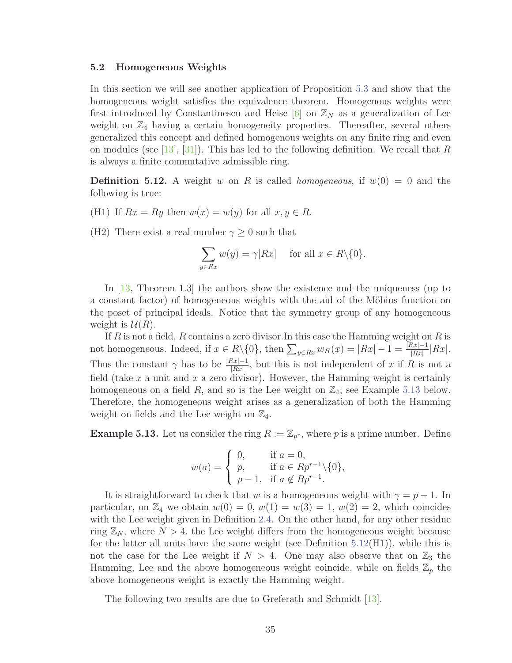# 5.2 Homogeneous Weights

In this section we will see another application of Proposition 5.3 and show that the homogeneous weight satisfies the equivalence theorem. Homogenous weights were first introduced by Constantinescu and Heise  $[6]$  on  $\mathbb{Z}_N$  as a generalization of Lee weight on  $\mathbb{Z}_4$  having a certain homogeneity properties. Thereafter, several others generalized this concept and defined homogenous weights on any finite ring and even on modules (see [13], [31]). This has led to the following definition. We recall that R is always a finite commutative admissible ring.

**Definition 5.12.** A weight w on R is called *homogeneous*, if  $w(0) = 0$  and the following is true:

- (H1) If  $Rx = Ry$  then  $w(x) = w(y)$  for all  $x, y \in R$ .
- (H2) There exist a real number  $\gamma \geq 0$  such that

$$
\sum_{y \in Rx} w(y) = \gamma |Rx| \quad \text{ for all } x \in R \setminus \{0\}.
$$

In [13, Theorem 1.3] the authors show the existence and the uniqueness (up to a constant factor) of homogeneous weights with the aid of the Möbius function on the poset of principal ideals. Notice that the symmetry group of any homogeneous weight is  $\mathcal{U}(R)$ .

If R is not a field, R contains a zero divisor. In this case the Hamming weight on R is not homogeneous. Indeed, if  $x \in R \setminus \{0\}$ , then  $\sum_{y \in Rx} w_H(x) = |Rx| - 1 = \frac{|Rx| - 1}{|Rx|} |Rx|$ . Thus the constant  $\gamma$  has to be  $\frac{|Rx|-1}{|Rx|}$ , but this is not independent of x if R is not a field (take x a unit and x a zero divisor). However, the Hamming weight is certainly homogeneous on a field R, and so is the Lee weight on  $\mathbb{Z}_4$ ; see Example 5.13 below. Therefore, the homogeneous weight arises as a generalization of both the Hamming weight on fields and the Lee weight on  $\mathbb{Z}_4$ .

**Example 5.13.** Let us consider the ring  $R := \mathbb{Z}_{p^r}$ , where p is a prime number. Define

$$
w(a) = \begin{cases} 0, & \text{if } a = 0, \\ p, & \text{if } a \in Rp^{r-1} \setminus \{0\}, \\ p-1, & \text{if } a \notin Rp^{r-1}. \end{cases}
$$

It is straightforward to check that w is a homogeneous weight with  $\gamma = p - 1$ . In particular, on  $\mathbb{Z}_4$  we obtain  $w(0) = 0, w(1) = w(3) = 1, w(2) = 2$ , which coincides with the Lee weight given in Definition 2.4. On the other hand, for any other residue ring  $\mathbb{Z}_N$ , where  $N > 4$ , the Lee weight differs from the homogeneous weight because for the latter all units have the same weight (see Definition 5.12(H1)), while this is not the case for the Lee weight if  $N > 4$ . One may also observe that on  $\mathbb{Z}_3$  the Hamming, Lee and the above homogeneous weight coincide, while on fields  $\mathbb{Z}_p$  the above homogeneous weight is exactly the Hamming weight.

The following two results are due to Greferath and Schmidt [13].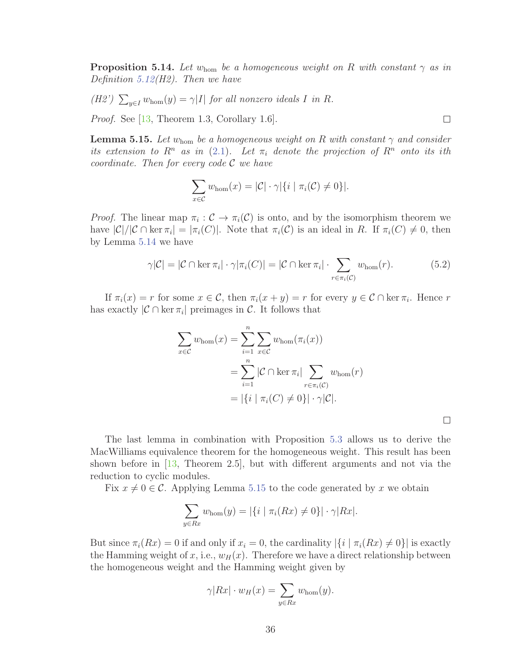**Proposition 5.14.** Let  $w_{\text{hom}}$  be a homogeneous weight on R with constant  $\gamma$  as in Definition 5.12( $H2$ ). Then we have

(H2') 
$$
\sum_{y \in I} w_{\text{hom}}(y) = \gamma |I|
$$
 for all nonzero ideals I in R.

*Proof.* See  $[13,$  Theorem 1.3, Corollary 1.6.

**Lemma 5.15.** Let  $w_{\text{hom}}$  be a homogeneous weight on R with constant  $\gamma$  and consider its extension to  $R^n$  as in (2.1). Let  $\pi_i$  denote the projection of  $R^n$  onto its ith coordinate. Then for every code  $\mathcal C$  we have

$$
\sum_{x \in \mathcal{C}} w_{\text{hom}}(x) = |\mathcal{C}| \cdot \gamma |\{i \mid \pi_i(\mathcal{C}) \neq 0\}|.
$$

*Proof.* The linear map  $\pi_i : C \to \pi_i(C)$  is onto, and by the isomorphism theorem we have  $|\mathcal{C}|/|\mathcal{C} \cap \ker \pi_i| = |\pi_i(C)|$ . Note that  $\pi_i(\mathcal{C})$  is an ideal in R. If  $\pi_i(C) \neq 0$ , then by Lemma 5.14 we have

$$
\gamma|\mathcal{C}| = |\mathcal{C} \cap \ker \pi_i| \cdot \gamma|\pi_i(C)| = |\mathcal{C} \cap \ker \pi_i| \cdot \sum_{r \in \pi_i(\mathcal{C})} w_{\text{hom}}(r). \tag{5.2}
$$

If  $\pi_i(x) = r$  for some  $x \in \mathcal{C}$ , then  $\pi_i(x + y) = r$  for every  $y \in \mathcal{C} \cap \ker \pi_i$ . Hence r has exactly  $|\mathcal{C} \cap \ker \pi_i|$  preimages in C. It follows that

$$
\sum_{x \in \mathcal{C}} w_{\text{hom}}(x) = \sum_{i=1}^{n} \sum_{x \in \mathcal{C}} w_{\text{hom}}(\pi_i(x))
$$

$$
= \sum_{i=1}^{n} |\mathcal{C} \cap \ker \pi_i| \sum_{r \in \pi_i(\mathcal{C})} w_{\text{hom}}(r)
$$

$$
= |\{i \mid \pi_i(C) \neq 0\}| \cdot \gamma |\mathcal{C}|.
$$

The last lemma in combination with Proposition 5.3 allows us to derive the MacWilliams equivalence theorem for the homogeneous weight. This result has been shown before in [13, Theorem 2.5], but with different arguments and not via the reduction to cyclic modules.

Fix  $x \neq 0 \in \mathcal{C}$ . Applying Lemma 5.15 to the code generated by x we obtain

$$
\sum_{y \in Rx} w_{\text{hom}}(y) = |\{i \mid \pi_i(Rx) \neq 0\}| \cdot \gamma |Rx|.
$$

But since  $\pi_i(Rx) = 0$  if and only if  $x_i = 0$ , the cardinality  $|\{i \mid \pi_i(Rx) \neq 0\}|$  is exactly the Hamming weight of x, i.e.,  $w_H(x)$ . Therefore we have a direct relationship between the homogeneous weight and the Hamming weight given by

$$
\gamma |Rx| \cdot w_H(x) = \sum_{y \in Rx} w_{\text{hom}}(y).
$$

 $\Box$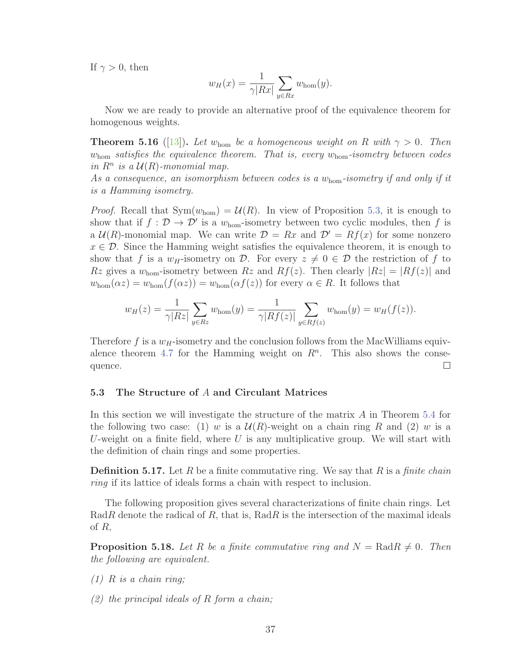If  $\gamma > 0$ , then

$$
w_H(x) = \frac{1}{\gamma |Rx|} \sum_{y \in Rx} w_{\text{hom}}(y).
$$

Now we are ready to provide an alternative proof of the equivalence theorem for homogenous weights.

**Theorem 5.16** ([13]). Let  $w_{\text{hom}}$  be a homogeneous weight on R with  $\gamma > 0$ . Then  $w<sub>hom</sub>$  satisfies the equivalence theorem. That is, every  $w<sub>hom</sub>$ -isometry between codes in  $R^n$  is a  $\mathcal{U}(R)$ -monomial map.

As a consequence, an isomorphism between codes is a  $w_{\text{hom}}$ -isometry if and only if it is a Hamming isometry.

*Proof.* Recall that  $Sym(w_{hom}) = U(R)$ . In view of Proposition 5.3, it is enough to show that if  $f: \mathcal{D} \to \mathcal{D}'$  is a  $w_{\text{hom}}$ -isometry between two cyclic modules, then f is a  $\mathcal{U}(R)$ -monomial map. We can write  $\mathcal{D} = Rx$  and  $\mathcal{D}' = Rf(x)$  for some nonzero  $x \in \mathcal{D}$ . Since the Hamming weight satisfies the equivalence theorem, it is enough to show that f is a  $w_H$ -isometry on D. For every  $z \neq 0 \in \mathcal{D}$  the restriction of f to Rz gives a  $w_{\text{hom}}$ -isometry between Rz and  $Rf(z)$ . Then clearly  $|Rz| = |Rf(z)|$  and  $w_{\text{hom}}(\alpha z) = w_{\text{hom}}(f(\alpha z)) = w_{\text{hom}}(\alpha f(z))$  for every  $\alpha \in R$ . It follows that

$$
w_H(z) = \frac{1}{\gamma |Rz|} \sum_{y \in Rz} w_{\text{hom}}(y) = \frac{1}{\gamma |Rf(z)|} \sum_{y \in Rf(z)} w_{\text{hom}}(y) = w_H(f(z)).
$$

Therefore f is a  $w_H$ -isometry and the conclusion follows from the MacWilliams equivalence theorem 4.7 for the Hamming weight on  $R<sup>n</sup>$ . This also shows the consequence.  $\Box$ 

# 5.3 The Structure of A and Circulant Matrices

In this section we will investigate the structure of the matrix A in Theorem 5.4 for the following two case: (1) w is a  $\mathcal{U}(R)$ -weight on a chain ring R and (2) w is a U-weight on a finite field, where U is any multiplicative group. We will start with the definition of chain rings and some properties.

**Definition 5.17.** Let R be a finite commutative ring. We say that R is a *finite chain* ring if its lattice of ideals forms a chain with respect to inclusion.

The following proposition gives several characterizations of finite chain rings. Let RadR denote the radical of R, that is, RadR is the intersection of the maximal ideals of R,

**Proposition 5.18.** Let R be a finite commutative ring and  $N = \text{Rad}R \neq 0$ . Then the following are equivalent.

- $(1)$  R is a chain ring;
- (2) the principal ideals of R form a chain;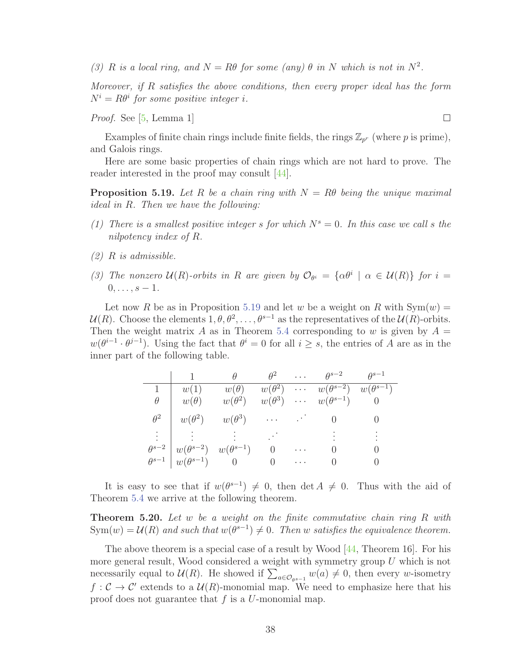(3) R is a local ring, and  $N = R\theta$  for some (any)  $\theta$  in N which is not in  $N^2$ .

Moreover, if  $R$  satisfies the above conditions, then every proper ideal has the form  $N^i = R\theta^i$  for some positive integer i.

 $\Box$ 

Proof. See [5, Lemma 1]

Examples of finite chain rings include finite fields, the rings  $\mathbb{Z}_{p^r}$  (where p is prime), and Galois rings.

Here are some basic properties of chain rings which are not hard to prove. The reader interested in the proof may consult [44].

**Proposition 5.19.** Let R be a chain ring with  $N = R\theta$  being the unique maximal ideal in R. Then we have the following:

- (1) There is a smallest positive integer s for which  $N^s = 0$ . In this case we call s the nilpotency index of R.
- (2) R is admissible.
- (3) The nonzero  $\mathcal{U}(R)$ -orbits in R are given by  $\mathcal{O}_{\theta^i} = {\alpha \theta^i \mid \alpha \in \mathcal{U}(R)}$  for  $i =$  $0, \ldots, s-1.$

Let now R be as in Proposition 5.19 and let w be a weight on R with  $Sym(w)$  $\mathcal{U}(R)$ . Choose the elements  $1, \theta, \theta^2, \ldots, \theta^{s-1}$  as the representatives of the  $\mathcal{U}(R)$ -orbits. Then the weight matrix A as in Theorem 5.4 corresponding to w is given by  $A =$  $w(\theta^{i-1} \cdot \theta^{j-1})$ . Using the fact that  $\theta^i = 0$  for all  $i \geq s$ , the entries of A are as in the inner part of the following table.

|            |                                                                                          |               | $\theta^2$                                                         | $\cdots$ | $\theta^{s-2}$                                       | $\theta^{s-1}$ |
|------------|------------------------------------------------------------------------------------------|---------------|--------------------------------------------------------------------|----------|------------------------------------------------------|----------------|
|            | w(1)                                                                                     | $w(\theta)$   | $w(\theta^2)$                                                      |          | $\cdots \quad w(\theta^{s-2}) \quad w(\theta^{s-1})$ |                |
| $\theta$   | $w(\theta)$                                                                              | $w(\theta^2)$ |                                                                    |          | $w(\theta^3) \quad \cdots \quad w(\theta^{s-1})$     |                |
| $\theta^2$ | $w(\theta^2)$                                                                            | $w(\theta^3)$ | $\mathbf{r} \cdot \mathbf{r} = \mathbf{r} \cdot \mathbf{r}$ . Then |          |                                                      |                |
|            |                                                                                          |               |                                                                    |          |                                                      |                |
|            | $\theta^{s-2}$ $w(\theta^{s-2})$ $w(\theta^{s-1})$<br>$\theta^{s-1}$ $w(\theta^{s-1})$ 0 |               |                                                                    |          |                                                      |                |
|            |                                                                                          |               |                                                                    |          |                                                      |                |

It is easy to see that if  $w(\theta^{s-1}) \neq 0$ , then  $\det A \neq 0$ . Thus with the aid of Theorem 5.4 we arrive at the following theorem.

**Theorem 5.20.** Let w be a weight on the finite commutative chain ring R with  $\text{Sym}(w) = \mathcal{U}(R)$  and such that  $w(\theta^{s-1}) \neq 0$ . Then w satisfies the equivalence theorem.

The above theorem is a special case of a result by Wood [44, Theorem 16]. For his more general result, Wood considered a weight with symmetry group  $U$  which is not necessarily equal to  $\mathcal{U}(R)$ . He showed if  $\sum_{a \in \mathcal{O}_{\theta^{s-1}}} w(a) \neq 0$ , then every w-isometry  $f: \mathcal{C} \to \mathcal{C}'$  extends to a  $\mathcal{U}(R)$ -monomial map. We need to emphasize here that his proof does not guarantee that  $f$  is a  $U$ -monomial map.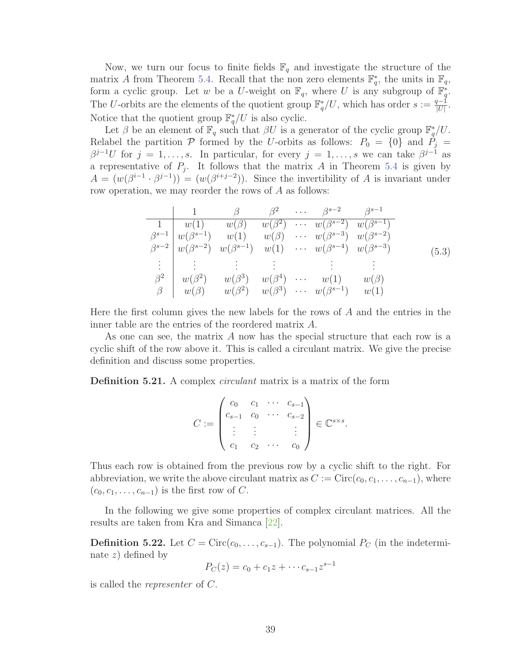Now, we turn our focus to finite fields  $\mathbb{F}_q$  and investigate the structure of the matrix A from Theorem 5.4. Recall that the non zero elements  $\mathbb{F}_q^*$ , the units in  $\mathbb{F}_q$ , form a cyclic group. Let w be a U-weight on  $\mathbb{F}_q$ , where U is any subgroup of  $\mathbb{F}_q^*$ . The U-orbits are the elements of the quotient group  $\mathbb{F}_q^*/U$ , which has order  $s := \frac{q-1}{|U|}$  $rac{1}{|U|}$ . Notice that the quotient group  $\mathbb{F}_q^*/U$  is also cyclic.

Let  $\beta$  be an element of  $\mathbb{F}_q$  such that  $\beta U$  is a generator of the cyclic group  $\mathbb{F}_q^*/U$ . Relabel the partition P formed by the U-orbits as follows:  $P_0 = \{0\}$  and  $P_j =$  $\beta^{j-1}U$  for  $j=1,\ldots,s$ . In particular, for every  $j=1,\ldots,s$  we can take  $\beta^{j-1}$  as a representative of  $P_j$ . It follows that the matrix A in Theorem 5.4 is given by  $A = (w(\beta^{i-1} \cdot \beta^{j-1})) = (w(\beta^{i+j-2}))$ . Since the invertibility of A is invariant under row operation, we may reorder the rows of  $A$  as follows:

$$
\begin{array}{c|ccccccccc}\n & 1 & \beta & \beta^2 & \cdots & \beta^{s-2} & \beta^{s-1} \\
\hline\n1 & w(1) & w(\beta) & w(\beta^2) & \cdots & w(\beta^{s-2}) & w(\beta^{s-1}) \\
\beta^{s-1} & w(\beta^{s-1}) & w(1) & w(\beta) & \cdots & w(\beta^{s-3}) & w(\beta^{s-2}) \\
\beta^{s-2} & w(\beta^{s-2}) & w(\beta^{s-1}) & w(1) & \cdots & w(\beta^{s-4}) & w(\beta^{s-3}) \\
\vdots & \vdots & \vdots & \vdots & \vdots & \vdots \\
\beta^2 & w(\beta^2) & w(\beta^3) & w(\beta^4) & \cdots & w(1) & w(\beta) \\
\beta & w(\beta) & w(\beta^2) & w(\beta^3) & \cdots & w(\beta^{s-1}) & w(1)\n\end{array} (5.3)
$$

Here the first column gives the new labels for the rows of A and the entries in the inner table are the entries of the reordered matrix A.

As one can see, the matrix A now has the special structure that each row is a cyclic shift of the row above it. This is called a circulant matrix. We give the precise definition and discuss some properties.

**Definition 5.21.** A complex *circulant* matrix is a matrix of the form

$$
C := \begin{pmatrix} c_0 & c_1 & \cdots & c_{s-1} \\ c_{s-1} & c_0 & \cdots & c_{s-2} \\ \vdots & \vdots & & \vdots \\ c_1 & c_2 & \cdots & c_0 \end{pmatrix} \in \mathbb{C}^{s \times s}.
$$

Thus each row is obtained from the previous row by a cyclic shift to the right. For abbreviation, we write the above circulant matrix as  $C := \text{Circ}(c_0, c_1, \ldots, c_{n-1})$ , where  $(c_0, c_1, \ldots, c_{n-1})$  is the first row of C.

In the following we give some properties of complex circulant matrices. All the results are taken from Kra and Simanca [22].

**Definition 5.22.** Let  $C = \text{Circ}(c_0, \ldots, c_{s-1})$ . The polynomial  $P_C$  (in the indeterminate z) defined by

$$
P_C(z) = c_0 + c_1 z + \cdots + c_{s-1} z^{s-1}
$$

is called the representer of C.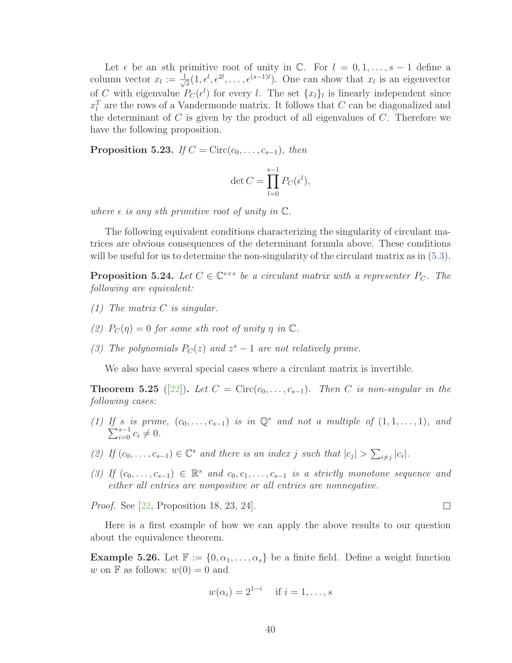Let  $\epsilon$  be an sth primitive root of unity in  $\mathbb{C}$ . For  $l = 0, 1, \ldots, s - 1$  define a column vector  $x_l := \frac{1}{\sqrt{l}}$  $\epsilon_s^{\epsilon}(1, \epsilon^l, \epsilon^{2l}, \dots, \epsilon^{(s-1)l})$ . One can show that  $x_l$  is an eigenvector of C with eigenvalue  $P_C(\epsilon^l)$  for every l. The set  $\{x_l\}_l$  is linearly independent since  $x_l^T$  are the rows of a Vandermonde matrix. It follows that  $C$  can be diagonalized and the determinant of  $C$  is given by the product of all eigenvalues of  $C$ . Therefore we have the following proposition.

**Proposition 5.23.** If  $C = \text{Circ}(c_0, \ldots, c_{s-1})$ , then

$$
\det C = \prod_{l=0}^{s-1} P_C(\epsilon^l),
$$

where  $\epsilon$  is any sth primitive root of unity in  $\mathbb{C}$ .

The following equivalent conditions characterizing the singularity of circulant matrices are obvious consequences of the determinant formula above. These conditions will be useful for us to determine the non-singularity of the circulant matrix as in  $(5.3)$ .

**Proposition 5.24.** Let  $C \in \mathbb{C}^{s \times s}$  be a circulant matrix with a representer  $P_C$ . The following are equivalent:

- (1) The matrix  $C$  is singular.
- (2)  $P_C(\eta) = 0$  for some sth root of unity  $\eta$  in  $\mathbb{C}$ .
- (3) The polynomials  $P_C(z)$  and  $z<sup>s</sup> 1$  are not relatively prime.

We also have several special cases where a circulant matrix is invertible.

**Theorem 5.25** ([22]). Let  $C = \text{Circ}(c_0, \ldots, c_{s-1})$ . Then C is non-singular in the following cases:

- (1) If s is prime,  $(c_0, \ldots, c_{s-1})$  is in  $\mathbb{Q}^s$  $\sum$ and not a multiple of  $(1, 1, \ldots, 1)$ , and  $_{i=0}^{s-1} c_i \neq 0.$
- (2) If  $(c_0, \ldots, c_{s-1}) \in \mathbb{C}^s$  and there is an index j such that  $|c_j| > \sum_{i \neq j} |c_i|$ .
- (3) If  $(c_0, \ldots, c_{s-1}) \in \mathbb{R}^s$  and  $c_0, c_1, \ldots, c_{s-1}$  is a strictly monotone sequence and either all entries are nonpositive or all entries are nonnegative.

*Proof.* See [22, Proposition 18, 23, 24].

Here is a first example of how we can apply the above results to our question about the equivalence theorem.

**Example 5.26.** Let  $\mathbb{F} := \{0, \alpha_1, \ldots, \alpha_s\}$  be a finite field. Define a weight function w on  $\mathbb F$  as follows:  $w(0) = 0$  and

$$
w(\alpha_i) = 2^{1-i} \quad \text{if } i = 1, \dots, s
$$

 $\Box$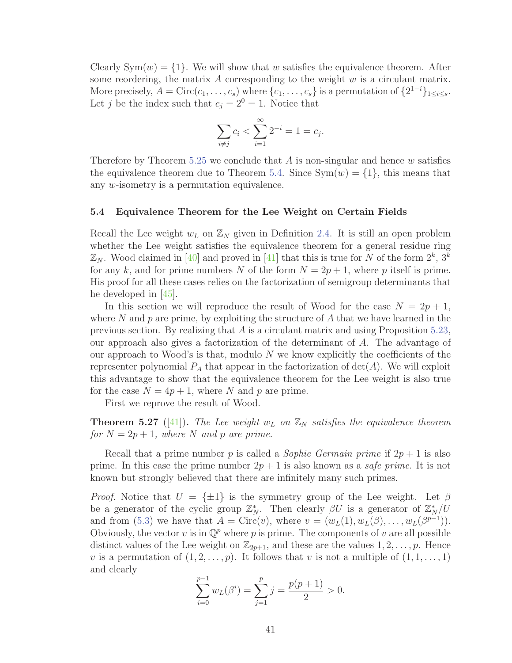Clearly  $Sym(w) = \{1\}$ . We will show that w satisfies the equivalence theorem. After some reordering, the matrix  $\tilde{A}$  corresponding to the weight  $w$  is a circulant matrix. More precisely,  $A = \text{Circ}(c_1, \ldots, c_s)$  where  $\{c_1, \ldots, c_s\}$  is a permutation of  $\{2^{1-i}\}_{1 \le i \le s}$ . Let j be the index such that  $c_j = 2^0 = 1$ . Notice that

$$
\sum_{i \neq j} c_i < \sum_{i=1}^{\infty} 2^{-i} = 1 = c_j.
$$

Therefore by Theorem 5.25 we conclude that A is non-singular and hence w satisfies the equivalence theorem due to Theorem 5.4. Since  $Sym(w) = \{1\}$ , this means that any w-isometry is a permutation equivalence.

## 5.4 Equivalence Theorem for the Lee Weight on Certain Fields

Recall the Lee weight  $w_L$  on  $\mathbb{Z}_N$  given in Definition 2.4. It is still an open problem whether the Lee weight satisfies the equivalence theorem for a general residue ring  $\mathbb{Z}_N$ . Wood claimed in [40] and proved in [41] that this is true for N of the form  $2^k$ ,  $3^k$ for any k, and for prime numbers N of the form  $N = 2p + 1$ , where p itself is prime. His proof for all these cases relies on the factorization of semigroup determinants that he developed in [45].

In this section we will reproduce the result of Wood for the case  $N = 2p + 1$ , where N and  $p$  are prime, by exploiting the structure of  $A$  that we have learned in the previous section. By realizing that A is a circulant matrix and using Proposition 5.23, our approach also gives a factorization of the determinant of A. The advantage of our approach to Wood's is that, modulo  $N$  we know explicitly the coefficients of the representer polynomial  $P_A$  that appear in the factorization of  $\det(A)$ . We will exploit this advantage to show that the equivalence theorem for the Lee weight is also true for the case  $N = 4p + 1$ , where N and p are prime.

First we reprove the result of Wood.

**Theorem 5.27** ([41]). The Lee weight  $w_L$  on  $\mathbb{Z}_N$  satisfies the equivalence theorem for  $N = 2p + 1$ , where N and p are prime.

Recall that a prime number p is called a *Sophie Germain prime* if  $2p + 1$  is also prime. In this case the prime number  $2p + 1$  is also known as a *safe prime*. It is not known but strongly believed that there are infinitely many such primes.

*Proof.* Notice that  $U = {\pm 1}$  is the symmetry group of the Lee weight. Let  $\beta$ be a generator of the cyclic group  $\mathbb{Z}_N^*$ . Then clearly  $\beta U$  is a generator of  $\mathbb{Z}_N^*/U$ and from (5.3) we have that  $A = \text{Circ}(v)$ , where  $v = (w_L(1), w_L(\beta), \dots, w_L(\beta^{p-1}))$ . Obviously, the vector v is in  $\mathbb{Q}^p$  where p is prime. The components of v are all possible distinct values of the Lee weight on  $\mathbb{Z}_{2p+1}$ , and these are the values  $1, 2, \ldots, p$ . Hence v is a permutation of  $(1, 2, \ldots, p)$ . It follows that v is not a multiple of  $(1, 1, \ldots, 1)$ and clearly

$$
\sum_{i=0}^{p-1} w_L(\beta^i) = \sum_{j=1}^p j = \frac{p(p+1)}{2} > 0.
$$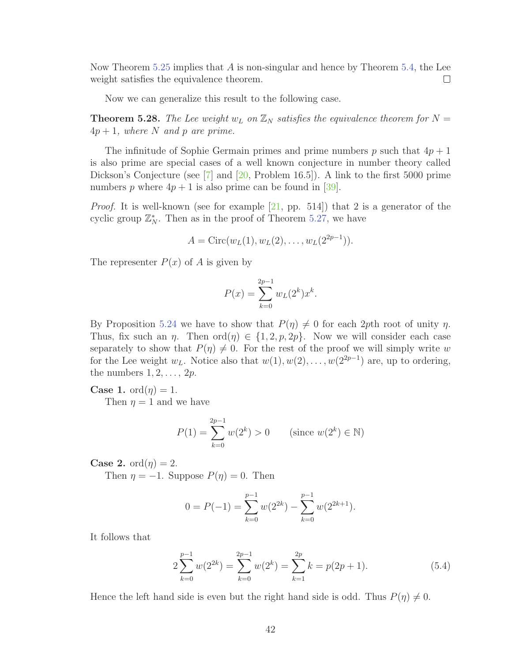Now Theorem 5.25 implies that A is non-singular and hence by Theorem 5.4, the Lee weight satisfies the equivalence theorem.  $\Box$ 

Now we can generalize this result to the following case.

**Theorem 5.28.** The Lee weight  $w_L$  on  $\mathbb{Z}_N$  satisfies the equivalence theorem for  $N =$  $4p+1$ , where N and p are prime.

The infinitude of Sophie Germain primes and prime numbers  $p$  such that  $4p + 1$ is also prime are special cases of a well known conjecture in number theory called Dickson's Conjecture (see [7] and [20, Problem 16.5]). A link to the first 5000 prime numbers p where  $4p + 1$  is also prime can be found in [39].

*Proof.* It is well-known (see for example  $[21, pp. 514]$ ) that 2 is a generator of the cyclic group  $\mathbb{Z}_N^*$ . Then as in the proof of Theorem 5.27, we have

$$
A = \text{Circ}(w_L(1), w_L(2), \dots, w_L(2^{2p-1})).
$$

The representer  $P(x)$  of A is given by

$$
P(x) = \sum_{k=0}^{2p-1} w_L(2^k) x^k.
$$

By Proposition 5.24 we have to show that  $P(\eta) \neq 0$  for each 2pth root of unity  $\eta$ . Thus, fix such an  $\eta$ . Then  $\text{ord}(\eta) \in \{1, 2, p, 2p\}$ . Now we will consider each case separately to show that  $P(\eta) \neq 0$ . For the rest of the proof we will simply write w for the Lee weight  $w_L$ . Notice also that  $w(1), w(2), \ldots, w(2^{2p-1})$  are, up to ordering, the numbers  $1, 2, \ldots, 2p$ .

**Case 1.** ord $(\eta) = 1$ .

Then  $\eta = 1$  and we have

$$
P(1) = \sum_{k=0}^{2p-1} w(2^k) > 0 \qquad \text{(since } w(2^k) \in \mathbb{N}\text{)}
$$

**Case 2.** ord $(\eta) = 2$ .

Then  $\eta = -1$ . Suppose  $P(\eta) = 0$ . Then

$$
0 = P(-1) = \sum_{k=0}^{p-1} w(2^{2k}) - \sum_{k=0}^{p-1} w(2^{2k+1}).
$$

It follows that

$$
2\sum_{k=0}^{p-1} w(2^{2k}) = \sum_{k=0}^{2p-1} w(2^k) = \sum_{k=1}^{2p} k = p(2p+1).
$$
 (5.4)

Hence the left hand side is even but the right hand side is odd. Thus  $P(\eta) \neq 0$ .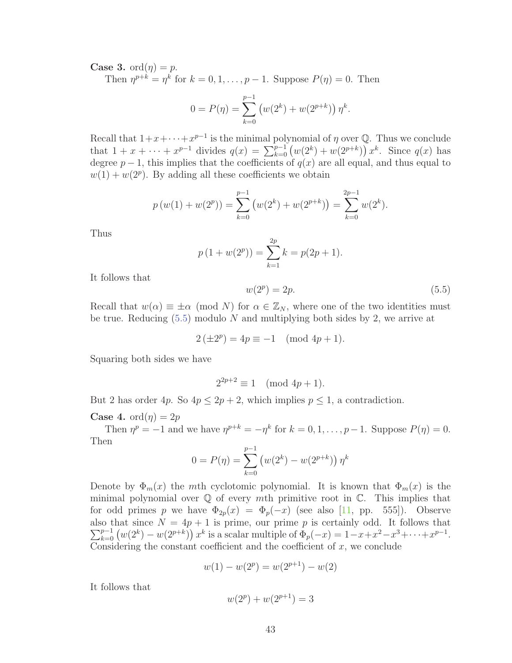**Case 3.** ord $(\eta) = p$ . Then  $\eta^{p+k} = \eta^k$  for  $k = 0, 1, \dots, p-1$ . Suppose  $P(\eta) = 0$ . Then

$$
0 = P(\eta) = \sum_{k=0}^{p-1} (w(2^k) + w(2^{p+k})) \eta^k.
$$

Recall that  $1+x+\cdots+x^{p-1}$  is the minimal polynomial of  $\eta$  over  $\mathbb Q$ . Thus we conclude that  $1 + x + \cdots + x^{p-1}$  divides  $q(x) = \sum_{k=0}^{p-1} (w(2^k) + w(2^{p+k})) x^k$ . Since  $q(x)$  has degree  $p-1$ , this implies that the coefficients of  $q(x)$  are all equal, and thus equal to  $w(1) + w(2<sup>p</sup>)$ . By adding all these coefficients we obtain

$$
p(w(1) + w(2p)) = \sum_{k=0}^{p-1} (w(2k) + w(2p+k)) = \sum_{k=0}^{2p-1} w(2k).
$$

Thus

$$
p(1 + w(2p)) = \sum_{k=1}^{2p} k = p(2p + 1).
$$

It follows that

$$
w(2^p) = 2p.\tag{5.5}
$$

Recall that  $w(\alpha) \equiv \pm \alpha \pmod{N}$  for  $\alpha \in \mathbb{Z}_N$ , where one of the two identities must be true. Reducing  $(5.5)$  modulo N and multiplying both sides by 2, we arrive at

$$
2(\pm 2^p) = 4p \equiv -1 \pmod{4p+1}
$$
.

Squaring both sides we have

$$
2^{2p+2} \equiv 1 \pmod{4p+1}.
$$

But 2 has order 4p. So  $4p \leq 2p+2$ , which implies  $p \leq 1$ , a contradiction.

**Case 4.** ord $(\eta) = 2p$ 

Then  $\eta^p = -1$  and we have  $\eta^{p+k} = -\eta^k$  for  $k = 0, 1, ..., p-1$ . Suppose  $P(\eta) = 0$ . Then

$$
0 = P(\eta) = \sum_{k=0}^{p-1} (w(2^k) - w(2^{p+k})) \eta^k
$$

Denote by  $\Phi_m(x)$  the mth cyclotomic polynomial. It is known that  $\Phi_m(x)$  is the minimal polynomial over  $\mathbb Q$  of every mth primitive root in  $\mathbb C$ . This implies that for odd primes p we have  $\Phi_{2p}(x) = \Phi_p(-x)$  (see also [11, pp. 555]). Observe  $\sum_{k=0}^{p-1} (w(2^k) - w(2^{p+k})) x^k$  is a scalar multiple of  $\Phi_p(-x) = 1 - x + x^2 - x^3 + \cdots + x^{p-1}$ . also that since  $N = 4p + 1$  is prime, our prime p is certainly odd. It follows that Considering the constant coefficient and the coefficient of  $x$ , we conclude

$$
w(1) - w(2p) = w(2p+1) - w(2)
$$

It follows that

$$
w(2^p) + w(2^{p+1}) = 3
$$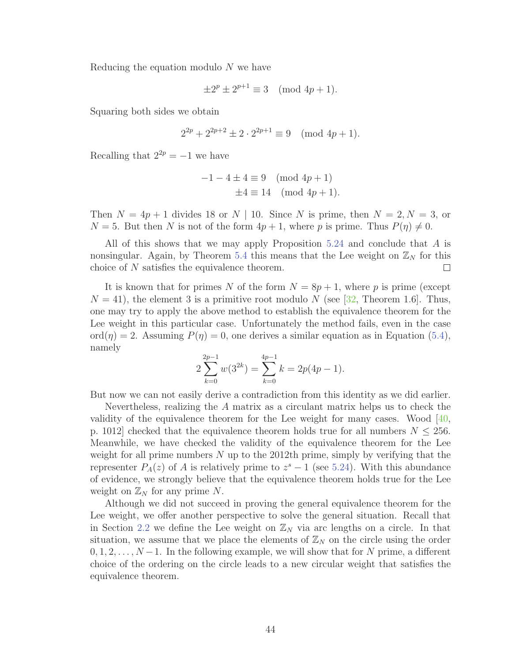Reducing the equation modulo N we have

$$
\pm 2^p \pm 2^{p+1} \equiv 3 \pmod{4p+1}.
$$

Squaring both sides we obtain

$$
2^{2p} + 2^{2p+2} \pm 2 \cdot 2^{2p+1} \equiv 9 \pmod{4p+1}.
$$

Recalling that  $2^{2p} = -1$  we have

$$
-1 - 4 \pm 4 \equiv 9 \pmod{4p+1}
$$
  

$$
\pm 4 \equiv 14 \pmod{4p+1}.
$$

Then  $N = 4p + 1$  divides 18 or N | 10. Since N is prime, then  $N = 2, N = 3$ , or  $N = 5$ . But then N is not of the form  $4p + 1$ , where p is prime. Thus  $P(\eta) \neq 0$ .

All of this shows that we may apply Proposition 5.24 and conclude that A is nonsingular. Again, by Theorem 5.4 this means that the Lee weight on  $\mathbb{Z}_N$  for this choice of N satisfies the equivalence theorem.  $\Box$ 

It is known that for primes N of the form  $N = 8p + 1$ , where p is prime (except  $N = 41$ ), the element 3 is a primitive root modulo N (see [32, Theorem 1.6]. Thus, one may try to apply the above method to establish the equivalence theorem for the Lee weight in this particular case. Unfortunately the method fails, even in the case  $\text{ord}(\eta) = 2$ . Assuming  $P(\eta) = 0$ , one derives a similar equation as in Equation (5.4), namely

$$
2\sum_{k=0}^{2p-1} w(3^{2k}) = \sum_{k=0}^{4p-1} k = 2p(4p - 1).
$$

But now we can not easily derive a contradiction from this identity as we did earlier.

Nevertheless, realizing the A matrix as a circulant matrix helps us to check the validity of the equivalence theorem for the Lee weight for many cases. Wood  $|40\rangle$ p. 1012 checked that the equivalence theorem holds true for all numbers  $N \le 256$ . Meanwhile, we have checked the validity of the equivalence theorem for the Lee weight for all prime numbers  $N$  up to the 2012th prime, simply by verifying that the representer  $P_A(z)$  of A is relatively prime to  $z^s - 1$  (see 5.24). With this abundance of evidence, we strongly believe that the equivalence theorem holds true for the Lee weight on  $\mathbb{Z}_N$  for any prime N.

Although we did not succeed in proving the general equivalence theorem for the Lee weight, we offer another perspective to solve the general situation. Recall that in Section 2.2 we define the Lee weight on  $\mathbb{Z}_N$  via arc lengths on a circle. In that situation, we assume that we place the elements of  $\mathbb{Z}_N$  on the circle using the order  $0, 1, 2, \ldots, N-1$ . In the following example, we will show that for N prime, a different choice of the ordering on the circle leads to a new circular weight that satisfies the equivalence theorem.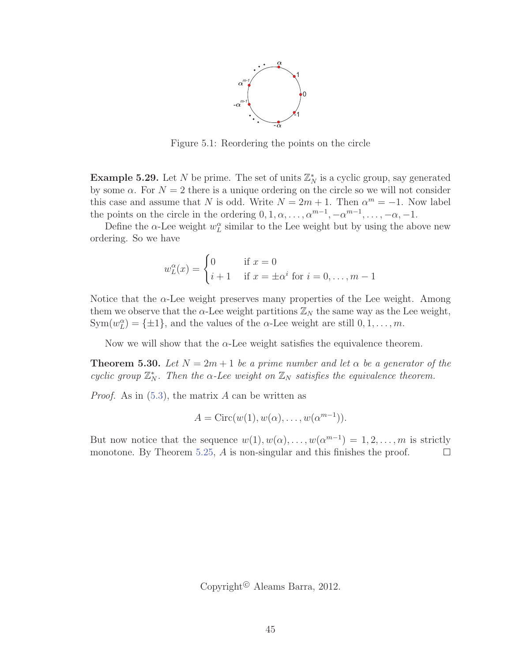

Figure 5.1: Reordering the points on the circle

**Example 5.29.** Let N be prime. The set of units  $\mathbb{Z}_N^*$  is a cyclic group, say generated by some  $\alpha$ . For  $N = 2$  there is a unique ordering on the circle so we will not consider this case and assume that N is odd. Write  $N = 2m + 1$ . Then  $\alpha^m = -1$ . Now label the points on the circle in the ordering  $0, 1, \alpha, \ldots, \alpha^{m-1}, -\alpha^{m-1}, \ldots, -\alpha, -1$ .

Define the  $\alpha$ -Lee weight  $w_L^{\alpha}$  similar to the Lee weight but by using the above new ordering. So we have

$$
w_L^{\alpha}(x) = \begin{cases} 0 & \text{if } x = 0\\ i+1 & \text{if } x = \pm \alpha^i \text{ for } i = 0, \dots, m-1 \end{cases}
$$

Notice that the  $\alpha$ -Lee weight preserves many properties of the Lee weight. Among them we observe that the  $\alpha$ -Lee weight partitions  $\mathbb{Z}_N$  the same way as the Lee weight,  $\text{Sym}(w_L^{\alpha}) = \{\pm 1\}$ , and the values of the  $\alpha$ -Lee weight are still  $0, 1, \ldots, m$ .

Now we will show that the  $\alpha$ -Lee weight satisfies the equivalence theorem.

**Theorem 5.30.** Let  $N = 2m + 1$  be a prime number and let  $\alpha$  be a generator of the cyclic group  $\mathbb{Z}_N^*$ . Then the  $\alpha$ -Lee weight on  $\mathbb{Z}_N$  satisfies the equivalence theorem.

*Proof.* As in  $(5.3)$ , the matrix A can be written as

$$
A = \operatorname{Circ}(w(1), w(\alpha), \dots, w(\alpha^{m-1})).
$$

But now notice that the sequence  $w(1), w(\alpha), \ldots, w(\alpha^{m-1}) = 1, 2, \ldots, m$  is strictly monotone. By Theorem 5.25, A is non-singular and this finishes the proof.  $\Box$ 

Copyright<sup>©</sup> Aleams Barra, 2012.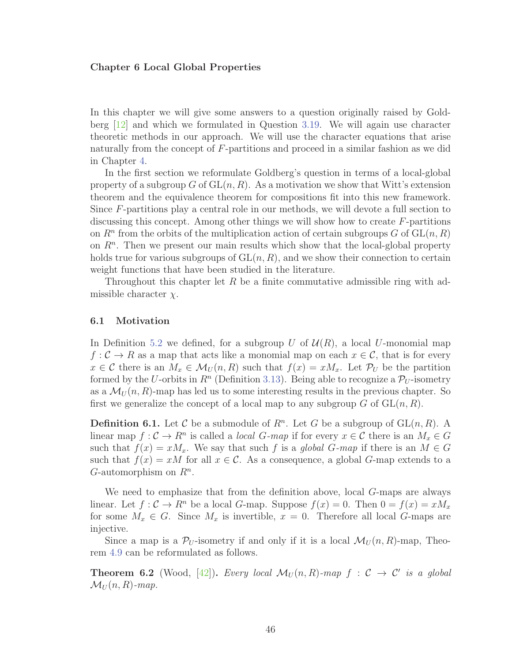# Chapter 6 Local Global Properties

In this chapter we will give some answers to a question originally raised by Goldberg [12] and which we formulated in Question 3.19. We will again use character theoretic methods in our approach. We will use the character equations that arise naturally from the concept of F-partitions and proceed in a similar fashion as we did in Chapter 4.

In the first section we reformulate Goldberg's question in terms of a local-global property of a subgroup G of  $GL(n, R)$ . As a motivation we show that Witt's extension theorem and the equivalence theorem for compositions fit into this new framework. Since F-partitions play a central role in our methods, we will devote a full section to discussing this concept. Among other things we will show how to create  $F$ -partitions on  $R<sup>n</sup>$  from the orbits of the multiplication action of certain subgroups G of  $GL(n, R)$ on  $R<sup>n</sup>$ . Then we present our main results which show that the local-global property holds true for various subgroups of  $GL(n, R)$ , and we show their connection to certain weight functions that have been studied in the literature.

Throughout this chapter let  $R$  be a finite commutative admissible ring with admissible character  $\chi$ .

## 6.1 Motivation

In Definition 5.2 we defined, for a subgroup U of  $\mathcal{U}(R)$ , a local U-monomial map  $f: \mathcal{C} \to R$  as a map that acts like a monomial map on each  $x \in \mathcal{C}$ , that is for every  $x \in \mathcal{C}$  there is an  $M_x \in \mathcal{M}_U(n, R)$  such that  $f(x) = xM_x$ . Let  $\mathcal{P}_U$  be the partition formed by the U-orbits in  $R<sup>n</sup>$  (Definition 3.13). Being able to recognize a  $\mathcal{P}_U$ -isometry as a  $\mathcal{M}_{U}(n, R)$ -map has led us to some interesting results in the previous chapter. So first we generalize the concept of a local map to any subgroup G of  $GL(n, R)$ .

**Definition 6.1.** Let C be a submodule of  $R<sup>n</sup>$ . Let G be a subgroup of  $GL(n, R)$ . A linear map  $f: \mathcal{C} \to \mathbb{R}^n$  is called a *local* G-map if for every  $x \in \mathcal{C}$  there is an  $M_x \in \mathbb{G}$ such that  $f(x) = xM_x$ . We say that such f is a global G-map if there is an  $M \in G$ such that  $f(x) = xM$  for all  $x \in \mathcal{C}$ . As a consequence, a global G-map extends to a G-automorphism on  $R^n$ .

We need to emphasize that from the definition above, local G-maps are always linear. Let  $f: \mathcal{C} \to \mathbb{R}^n$  be a local G-map. Suppose  $f(x) = 0$ . Then  $0 = f(x) = xM_x$ for some  $M_x \in G$ . Since  $M_x$  is invertible,  $x = 0$ . Therefore all local G-maps are injective.

Since a map is a  $\mathcal{P}_U$ -isometry if and only if it is a local  $\mathcal{M}_U(n, R)$ -map, Theorem 4.9 can be reformulated as follows.

**Theorem 6.2** (Wood, [42]). Every local  $\mathcal{M}_U(n, R)$ -map  $f : C \to C'$  is a global  $\mathcal{M}_{U}(n, R)$ -map.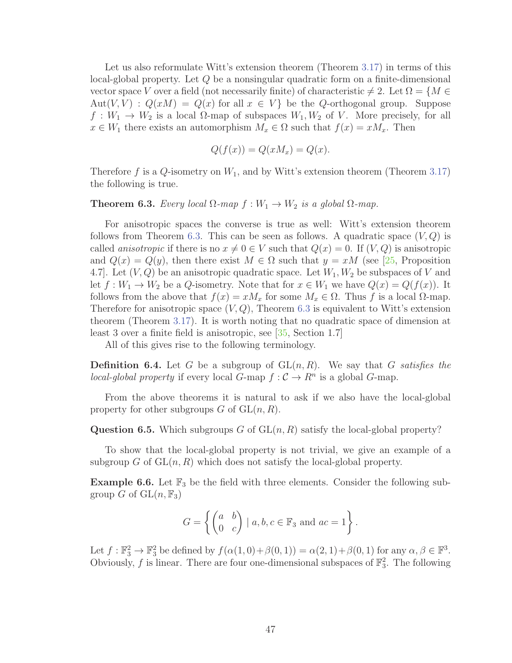Let us also reformulate Witt's extension theorem (Theorem 3.17) in terms of this local-global property. Let Q be a nonsingular quadratic form on a finite-dimensional vector space V over a field (not necessarily finite) of characteristic  $\neq 2$ . Let  $\Omega = \{M \in$  $Aut(V, V) : Q(xM) = Q(x)$  for all  $x \in V$  be the *Q*-orthogonal group. Suppose  $f: W_1 \to W_2$  is a local  $\Omega$ -map of subspaces  $W_1, W_2$  of V. More precisely, for all  $x \in W_1$  there exists an automorphism  $M_x \in \Omega$  such that  $f(x) = xM_x$ . Then

$$
Q(f(x)) = Q(xM_x) = Q(x).
$$

Therefore f is a Q-isometry on  $W_1$ , and by Witt's extension theorem (Theorem 3.17) the following is true.

# **Theorem 6.3.** Every local  $\Omega$ -map  $f : W_1 \to W_2$  is a global  $\Omega$ -map.

For anisotropic spaces the converse is true as well: Witt's extension theorem follows from Theorem 6.3. This can be seen as follows. A quadratic space  $(V, Q)$  is called *anisotropic* if there is no  $x \neq 0 \in V$  such that  $Q(x) = 0$ . If  $(V, Q)$  is anisotropic and  $Q(x) = Q(y)$ , then there exist  $M \in \Omega$  such that  $y = xM$  (see [25, Proposition 4.7. Let  $(V, Q)$  be an anisotropic quadratic space. Let  $W_1, W_2$  be subspaces of V and let  $f: W_1 \to W_2$  be a Q-isometry. Note that for  $x \in W_1$  we have  $Q(x) = Q(f(x))$ . It follows from the above that  $f(x) = xM_x$  for some  $M_x \in \Omega$ . Thus f is a local  $\Omega$ -map. Therefore for anisotropic space  $(V, Q)$ , Theorem 6.3 is equivalent to Witt's extension theorem (Theorem 3.17). It is worth noting that no quadratic space of dimension at least 3 over a finite field is anisotropic, see [35, Section 1.7]

All of this gives rise to the following terminology.

**Definition 6.4.** Let G be a subgroup of  $GL(n, R)$ . We say that G satisfies the local-global property if every local G-map  $f: \mathcal{C} \to \mathbb{R}^n$  is a global G-map.

From the above theorems it is natural to ask if we also have the local-global property for other subgroups  $G$  of  $GL(n, R)$ .

#### **Question 6.5.** Which subgroups G of  $GL(n, R)$  satisfy the local-global property?

To show that the local-global property is not trivial, we give an example of a subgroup G of  $GL(n, R)$  which does not satisfy the local-global property.

**Example 6.6.** Let  $\mathbb{F}_3$  be the field with three elements. Consider the following subgroup G of  $GL(n, \mathbb{F}_3)$ 

$$
G = \left\{ \begin{pmatrix} a & b \\ 0 & c \end{pmatrix} \mid a, b, c \in \mathbb{F}_3 \text{ and } ac = 1 \right\}.
$$

Let  $f: \mathbb{F}_3^2 \to \mathbb{F}_3^2$  be defined by  $f(\alpha(1,0) + \beta(0,1)) = \alpha(2,1) + \beta(0,1)$  for any  $\alpha, \beta \in \mathbb{F}^3$ . Obviously, f is linear. There are four one-dimensional subspaces of  $\mathbb{F}_3^2$ . The following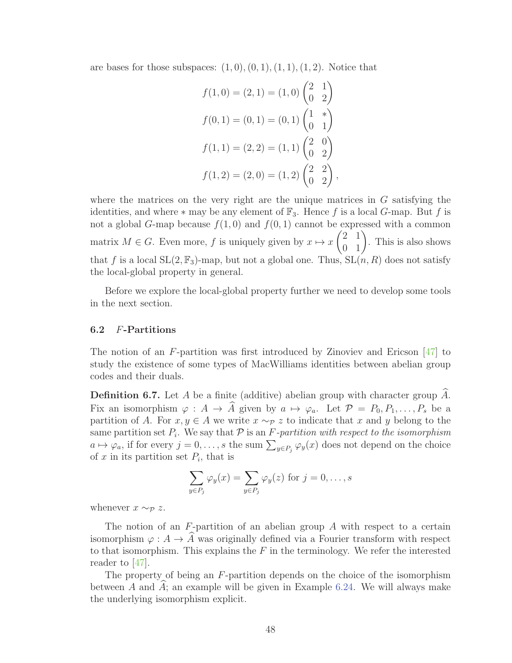are bases for those subspaces:  $(1,0), (0,1), (1,1), (1,2)$ . Notice that

$$
f(1,0) = (2, 1) = (1, 0) \begin{pmatrix} 2 & 1 \\ 0 & 2 \end{pmatrix}
$$

$$
f(0,1) = (0,1) = (0,1) \begin{pmatrix} 1 & * \\ 0 & 1 \end{pmatrix}
$$

$$
f(1,1) = (2,2) = (1,1) \begin{pmatrix} 2 & 0 \\ 0 & 2 \end{pmatrix}
$$

$$
f(1,2) = (2,0) = (1,2) \begin{pmatrix} 2 & 2 \\ 0 & 2 \end{pmatrix},
$$

where the matrices on the very right are the unique matrices in  $G$  satisfying the identities, and where  $*$  may be any element of  $\mathbb{F}_3$ . Hence f is a local G-map. But f is not a global G-map because  $f(1,0)$  and  $f(0, 1)$  cannot be expressed with a common matrix  $M \in G$ . Even more, f is uniquely given by  $x \mapsto x$  $\begin{pmatrix} 2 & 1 \\ 0 & 1 \end{pmatrix}$ . This is also shows that f is a local  $SL(2, \mathbb{F}_3)$ -map, but not a global one. Thus,  $SL(n, R)$  does not satisfy the local-global property in general.

Before we explore the local-global property further we need to develop some tools in the next section.

#### 6.2 F-Partitions

The notion of an F-partition was first introduced by Zinoviev and Ericson  $[47]$  to study the existence of some types of MacWilliams identities between abelian group codes and their duals.

**Definition 6.7.** Let  $A$  be a finite (additive) abelian group with character group  $\overline{A}$ . Fix an isomorphism  $\varphi : A \to \widehat{A}$  given by  $a \mapsto \varphi_a$ . Let  $\mathcal{P} = P_0, P_1, \ldots, P_s$  be a partition of A. For  $x, y \in A$  we write  $x \sim_{\mathcal{P}} z$  to indicate that x and y belong to the same partition set  $P_i$ . We say that  $P$  is an F-partition with respect to the isomorphism  $a \mapsto \varphi_a$ , if for every  $j = 0, \ldots, s$  the sum  $\sum_{y \in P_j} \varphi_y(x)$  does not depend on the choice of  $x$  in its partition set  $P_i$ , that is

$$
\sum_{y \in P_j} \varphi_y(x) = \sum_{y \in P_j} \varphi_y(z) \text{ for } j = 0, \dots, s
$$

whenever  $x \sim_{\mathcal{P}} z$ .

The notion of an  $F$ -partition of an abelian group  $A$  with respect to a certain isomorphism  $\varphi: A \to A$  was originally defined via a Fourier transform with respect to that isomorphism. This explains the  $F$  in the terminology. We refer the interested reader to [47].

The property of being an F-partition depends on the choice of the isomorphism between  $A$  and  $A$ ; an example will be given in Example 6.24. We will always make the underlying isomorphism explicit.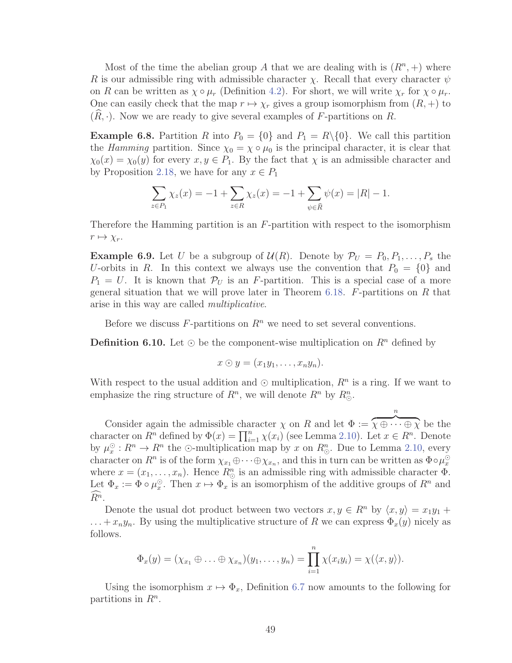Most of the time the abelian group A that we are dealing with is  $(R^n, +)$  where R is our admissible ring with admissible character  $\chi$ . Recall that every character  $\psi$ on R can be written as  $\chi \circ \mu_r$  (Definition 4.2). For short, we will write  $\chi_r$  for  $\chi \circ \mu_r$ . One can easily check that the map  $r \mapsto \chi_r$  gives a group isomorphism from  $(R, +)$  to  $(R, \cdot)$ . Now we are ready to give several examples of F-partitions on R.

**Example 6.8.** Partition R into  $P_0 = \{0\}$  and  $P_1 = R\{0\}$ . We call this partition the Hamming partition. Since  $\chi_0 = \chi \circ \mu_0$  is the principal character, it is clear that  $\chi_0(x) = \chi_0(y)$  for every  $x, y \in P_1$ . By the fact that  $\chi$  is an admissible character and by Proposition 2.18, we have for any  $x \in P_1$ 

$$
\sum_{z \in P_1} \chi_z(x) = -1 + \sum_{z \in R} \chi_z(x) = -1 + \sum_{\psi \in \widehat{R}} \psi(x) = |R| - 1.
$$

Therefore the Hamming partition is an  $F$ -partition with respect to the isomorphism  $r \mapsto \chi_r$ .

**Example 6.9.** Let U be a subgroup of  $\mathcal{U}(R)$ . Denote by  $\mathcal{P}_U = P_0, P_1, \ldots, P_s$  the U-orbits in R. In this context we always use the convention that  $P_0 = \{0\}$  and  $P_1 = U$ . It is known that  $\mathcal{P}_U$  is an F-partition. This is a special case of a more general situation that we will prove later in Theorem 6.18.  $F$ -partitions on R that arise in this way are called multiplicative.

Before we discuss  $F$ -partitions on  $\mathbb{R}^n$  we need to set several conventions.

**Definition 6.10.** Let  $\odot$  be the component-wise multiplication on  $R^n$  defined by

$$
x \odot y = (x_1y_1, \ldots, x_ny_n).
$$

With respect to the usual addition and  $\odot$  multiplication,  $R^n$  is a ring. If we want to emphasize the ring structure of  $R^n$ , we will denote  $R^n$  by  $R^n_{\odot}$ .

n

Consider again the admissible character  $\chi$  on R and let  $\Phi := \overbrace{\chi \oplus \cdots \oplus \chi}$  be the character on  $R^n$  defined by  $\Phi(x) = \prod_{i=1}^n \chi(x_i)$  (see Lemma 2.10). Let  $x \in R^n$ . Denote by  $\mu_x^{\odot} : R^n \to R^n$  the  $\odot$ -multiplication map by x on  $R^n_{\odot}$ . Due to Lemma 2.10, every character on  $R^n$  is of the form  $\chi_{x_1} \oplus \cdots \oplus \chi_{x_n}$ , and this in turn can be written as  $\Phi \circ \mu_x^{\odot}$ where  $x = (x_1, \ldots, x_n)$ . Hence  $R^n_{\odot}$  is an admissible ring with admissible character  $\Phi$ . Let  $\Phi_x := \Phi \circ \mu_x^{\odot}$ . Then  $x \mapsto \Phi_x$  is an isomorphism of the additive groups of  $R^n$  and  $\widehat{R}^n$ .

Denote the usual dot product between two vectors  $x, y \in \mathbb{R}^n$  by  $\langle x, y \rangle = x_1y_1 +$  $\dots + x_n y_n$ . By using the multiplicative structure of R we can express  $\Phi_x(y)$  nicely as follows.

$$
\Phi_x(y)=(\chi_{x_1}\oplus\ldots\oplus\chi_{x_n})(y_1,\ldots,y_n)=\prod_{i=1}^n\chi(x_iy_i)=\chi(\langle x,y\rangle).
$$

Using the isomorphism  $x \mapsto \Phi_x$ , Definition 6.7 now amounts to the following for partitions in  $R^n$ .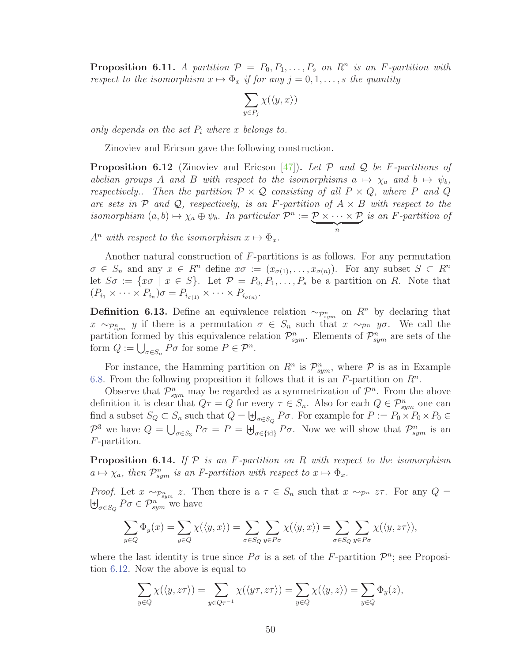**Proposition 6.11.** A partition  $P = P_0, P_1, \ldots, P_s$  on  $R^n$  is an F-partition with respect to the isomorphism  $x \mapsto \Phi_x$  if for any  $j = 0, 1, \ldots, s$  the quantity

$$
\sum_{y\in P_j}\chi(\langle y,x\rangle)
$$

only depends on the set  $P_i$  where x belongs to.

Zinoviev and Ericson gave the following construction.

**Proposition 6.12** (Zinoviev and Ericson [47]). Let P and Q be F-partitions of abelian groups A and B with respect to the isomorphisms  $a \mapsto \chi_a$  and  $b \mapsto \psi_b$ , respectively.. Then the partition  $P \times Q$  consisting of all  $P \times Q$ , where P and Q are sets in  $P$  and  $Q$ , respectively, is an F-partition of  $A \times B$  with respect to the isomorphism  $(a, b) \mapsto \chi_a \oplus \psi_b$ . In particular  $\mathcal{P}^n := \underbrace{\mathcal{P} \times \cdots \times \mathcal{P}}_n$ is an F-partition of

 $A^n$  with respect to the isomorphism  $x \mapsto \Phi_x$ .

Another natural construction of F-partitions is as follows. For any permutation  $\sigma \in S_n$  and any  $x \in R^n$  define  $x\sigma := (x_{\sigma(1)}, \ldots, x_{\sigma(n)})$ . For any subset  $S \subset R^n$ let  $S_{\sigma} := \{x\sigma \mid x \in S\}$ . Let  $\mathcal{P} = P_0, P_1, \ldots, P_s$  be a partition on R. Note that  $(P_{i_1} \times \cdots \times P_{i_n})\sigma = P_{i_{\sigma(1)}} \times \cdots \times P_{i_{\sigma(n)}}.$ 

**Definition 6.13.** Define an equivalence relation  $\sim_{\mathcal{P}_{sym}^n}$  on  $R^n$  by declaring that  $x \sim_{\mathcal{P}_{sym}^{n}} y$  if there is a permutation  $\sigma \in S_n$  such that  $x \sim_{\mathcal{P}^{n}} y\sigma$ . We call the partition formed by this equivalence relation  $\mathcal{P}_{sym}^n$ . Elements of  $\mathcal{P}_{sym}^n$  are sets of the form  $Q := \bigcup_{\sigma \in S_n} P\sigma$  for some  $P \in \mathcal{P}^n$ .

For instance, the Hamming partition on  $R^n$  is  $\mathcal{P}_{sym}^n$ , where  $\mathcal P$  is as in Example 6.8. From the following proposition it follows that it is an  $F$ -partition on  $\mathbb{R}^n$ .

Observe that  $\mathcal{P}_{sym}^n$  may be regarded as a symmetrization of  $\mathcal{P}^n$ . From the above definition it is clear that  $Q\tau = Q$  for every  $\tau \in S_n$ . Also for each  $Q \in \mathcal{P}_{sym}^n$  one can find a subset  $S_Q \subset S_n$  such that  $Q = \biguplus_{\sigma \in S_Q} P\sigma$ . For example for  $P := P_0 \times P_0 \times P_0 \in$  $\mathcal{P}^3$  we have  $Q = \bigcup_{\sigma \in S_3} P\sigma = P = \biguplus_{\sigma \in \{\text{id}\}} P\sigma$ . Now we will show that  $\mathcal{P}_{sym}^n$  is an F-partition.

**Proposition 6.14.** If  $P$  is an F-partition on R with respect to the isomorphism  $a \mapsto \chi_a$ , then  $\mathcal{P}_{sym}^n$  is an F-partition with respect to  $x \mapsto \Phi_x$ .

*Proof.* Let  $x \sim_{\mathcal{P}_{sym}^n} z$ . Then there is a  $\tau \in S_n$  such that  $x \sim_{\mathcal{P}^n} z\tau$ . For any  $Q = |+\rangle_{\tau \in S_n} P \sigma \in \mathcal{P}_{sym}^n$  we have sym  $\sigma \in S_Q$   $P\sigma \in \mathcal{P}_{sym}^n$  we have

$$
\sum_{y \in Q} \Phi_y(x) = \sum_{y \in Q} \chi(\langle y, x \rangle) = \sum_{\sigma \in S_Q} \sum_{y \in P\sigma} \chi(\langle y, x \rangle) = \sum_{\sigma \in S_Q} \sum_{y \in P\sigma} \chi(\langle y, z\tau \rangle),
$$

where the last identity is true since  $P\sigma$  is a set of the F-partition  $\mathcal{P}^n$ ; see Proposition 6.12. Now the above is equal to

$$
\sum_{y \in Q} \chi(\langle y, z\tau \rangle) = \sum_{y \in Q\tau^{-1}} \chi(\langle y\tau, z\tau \rangle) = \sum_{y \in Q} \chi(\langle y, z \rangle) = \sum_{y \in Q} \Phi_y(z),
$$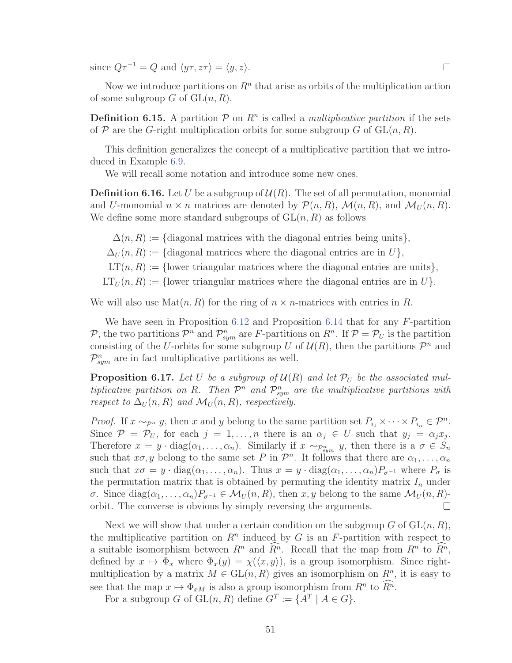since  $Q\tau^{-1} = Q$  and  $\langle y\tau, z\tau \rangle = \langle y, z \rangle$ .

Now we introduce partitions on  $R<sup>n</sup>$  that arise as orbits of the multiplication action of some subgroup G of  $GL(n, R)$ .

 $\Box$ 

**Definition 6.15.** A partition  $P$  on  $R<sup>n</sup>$  is called a *multiplicative partition* if the sets of  $P$  are the G-right multiplication orbits for some subgroup G of  $GL(n, R)$ .

This definition generalizes the concept of a multiplicative partition that we introduced in Example 6.9.

We will recall some notation and introduce some new ones.

**Definition 6.16.** Let U be a subgroup of  $\mathcal{U}(R)$ . The set of all permutation, monomial and U-monomial  $n \times n$  matrices are denoted by  $\mathcal{P}(n, R)$ ,  $\mathcal{M}(n, R)$ , and  $\mathcal{M}_U(n, R)$ . We define some more standard subgroups of  $GL(n, R)$  as follows

 $\Delta(n, R) := \{$ diagonal matrices with the diagonal entries being units},

 $\Delta_U(n, R) := \{$ diagonal matrices where the diagonal entries are in  $U\},$ 

 $LT(n, R) := \{$  lower triangular matrices where the diagonal entries are units},

 $LT<sub>U</sub>(n, R) :=$  {lower triangular matrices where the diagonal entries are in U}.

We will also use  $\text{Mat}(n, R)$  for the ring of  $n \times n$ -matrices with entries in R.

We have seen in Proposition 6.12 and Proposition 6.14 that for any F-partition P, the two partitions  $\mathcal{P}^n$  and  $\mathcal{P}^n_{sym}$  are F-partitions on  $R^n$ . If  $\mathcal{P} = \mathcal{P}_U$  is the partition consisting of the U-orbits for some subgroup U of  $\mathcal{U}(R)$ , then the partitions  $\mathcal{P}^n$  and  $\mathcal{P}_{sym}^{n}$  are in fact multiplicative partitions as well.

**Proposition 6.17.** Let U be a subgroup of  $\mathcal{U}(R)$  and let  $\mathcal{P}_U$  be the associated multiplicative partition on R. Then  $\mathcal{P}^n$  and  $\mathcal{P}^n_{sym}$  are the multiplicative partitions with respect to  $\Delta_U(n, R)$  and  $\mathcal{M}_U(n, R)$ , respectively.

*Proof.* If  $x \sim_{\mathcal{P}^n} y$ , then  $x$  and  $y$  belong to the same partition set  $P_{i_1} \times \cdots \times P_{i_n} \in \mathcal{P}^n$ . Since  $P = P_U$ , for each  $j = 1, ..., n$  there is an  $\alpha_j \in U$  such that  $y_j = \alpha_j x_j$ . Therefore  $x = y \cdot diag(\alpha_1, \ldots, \alpha_n)$ . Similarly if  $x \sim_{\mathcal{P}_{sym}^n} y$ , then there is a  $\sigma \in S_n$ such that  $x\sigma, y$  belong to the same set P in  $\mathcal{P}^n$ . It follows that there are  $\alpha_1, \ldots, \alpha_n$ such that  $x\sigma = y \cdot diag(\alpha_1, \ldots, \alpha_n)$ . Thus  $x = y \cdot diag(\alpha_1, \ldots, \alpha_n)P_{\sigma^{-1}}$  where  $P_{\sigma}$  is the permutation matrix that is obtained by permuting the identity matrix  $I_n$  under σ. Since diag( $α_1, ..., α_n$ ) $P_{σ^{-1}}$  ∈  $\mathcal{M}_U(n, R)$ , then x, y belong to the same  $\mathcal{M}_U(n, R)$ orbit. The converse is obvious by simply reversing the arguments.  $\Box$ 

Next we will show that under a certain condition on the subgroup  $G$  of  $GL(n, R)$ , the multiplicative partition on  $R<sup>n</sup>$  induced by G is an F-partition with respect to a suitable isomorphism between  $R^n$  and  $\widehat{R^n}$ . Recall that the map from  $R^n$  to  $\widehat{R^n}$ , defined by  $x \mapsto \Phi_x$  where  $\Phi_x(y) = \chi(\langle x, y \rangle)$ , is a group isomorphism. Since rightmultiplication by a matrix  $M \in GL(n, R)$  gives an isomorphism on  $R<sup>n</sup>$ , it is easy to see that the map  $x \mapsto \Phi_{xM}$  is also a group isomorphism from  $R^n$  to  $\overline{R^n}$ .

For a subgroup G of  $GL(n, R)$  define  $G^T := \{A^T \mid A \in G\}.$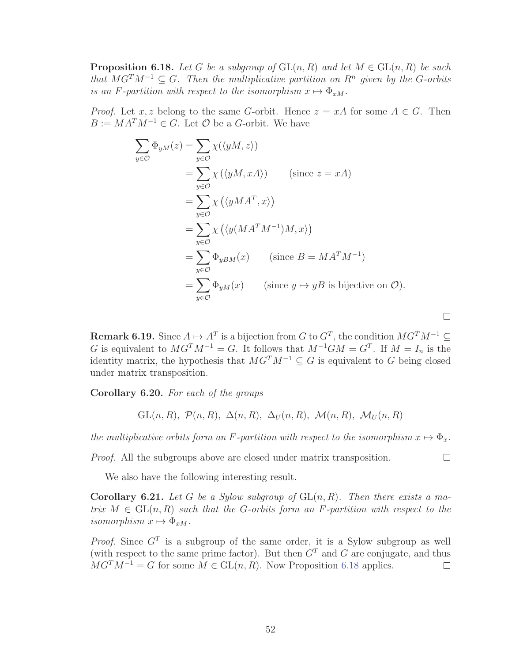**Proposition 6.18.** Let G be a subgroup of  $GL(n, R)$  and let  $M \in GL(n, R)$  be such that  $MG<sup>T</sup>M<sup>-1</sup> \subseteq G$ . Then the multiplicative partition on  $R<sup>n</sup>$  given by the G-orbits is an F-partition with respect to the isomorphism  $x \mapsto \Phi_{xM}$ .

*Proof.* Let x, z belong to the same G-orbit. Hence  $z = xA$  for some  $A \in G$ . Then  $B := MA^T M^{-1} \in G$ . Let  $\mathcal O$  be a G-orbit. We have

$$
\sum_{y \in \mathcal{O}} \Phi_{yM}(z) = \sum_{y \in \mathcal{O}} \chi(\langle yM, z \rangle)
$$
  
= 
$$
\sum_{y \in \mathcal{O}} \chi(\langle yM, xA \rangle)
$$
 (since  $z = xA$ )  
= 
$$
\sum_{y \in \mathcal{O}} \chi(\langle yMA^T, x \rangle)
$$
  
= 
$$
\sum_{y \in \mathcal{O}} \chi(\langle yMA^T M^{-1} \rangle M, x \rangle)
$$
  
= 
$$
\sum_{y \in \mathcal{O}} \Phi_{yBM}(x)
$$
 (since  $B = MA^T M^{-1}$ )  
= 
$$
\sum_{y \in \mathcal{O}} \Phi_{yM}(x)
$$
 (since  $y \mapsto yB$  is bijective on  $\mathcal{O}$ ).

**Remark 6.19.** Since  $A \mapsto A^T$  is a bijection from G to  $G^T$ , the condition  $MG^T M^{-1} \subseteq$ G is equivalent to  $MG^T M^{-1} = G$ . It follows that  $M^{-1}GM = G^T$ . If  $M = I_n$  is the identity matrix, the hypothesis that  $MG^T M^{-1} \subseteq G$  is equivalent to G being closed under matrix transposition.

 $\Box$ 

 $\Box$ 

Corollary 6.20. For each of the groups

GL(n, R), 
$$
\mathcal{P}(n, R)
$$
,  $\Delta(n, R)$ ,  $\Delta_U(n, R)$ ,  $\mathcal{M}(n, R)$ ,  $\mathcal{M}_U(n, R)$ 

the multiplicative orbits form an F-partition with respect to the isomorphism  $x \mapsto \Phi_x$ .

Proof. All the subgroups above are closed under matrix transposition.

We also have the following interesting result.

**Corollary 6.21.** Let G be a Sylow subgroup of  $GL(n, R)$ . Then there exists a matrix  $M \in GL(n, R)$  such that the G-orbits form an F-partition with respect to the isomorphism  $x \mapsto \Phi_{xM}$ .

*Proof.* Since  $G<sup>T</sup>$  is a subgroup of the same order, it is a Sylow subgroup as well (with respect to the same prime factor). But then  $G<sup>T</sup>$  and G are conjugate, and thus  $MG<sup>T</sup>M<sup>-1</sup> = G$  for some  $M \in GL(n, R)$ . Now Proposition 6.18 applies.  $\Box$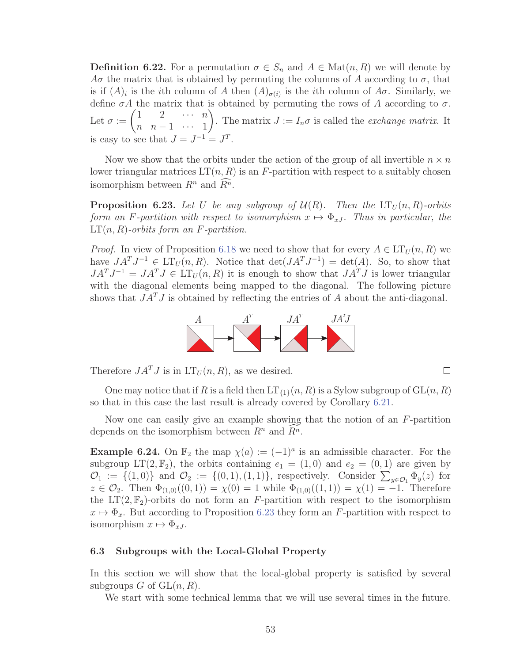**Definition 6.22.** For a permutation  $\sigma \in S_n$  and  $A \in \text{Mat}(n, R)$  we will denote by  $A\sigma$  the matrix that is obtained by permuting the columns of A according to  $\sigma$ , that is if  $(A)_i$  is the *i*th column of A then  $(A)_{\sigma(i)}$  is the *i*th column of  $A\sigma$ . Similarly, we define  $\sigma A$  the matrix that is obtained by permuting the rows of A according to  $\sigma$ . Let  $\sigma := \begin{pmatrix} 1 & 2 & \cdots & n \\ n & n & 1 & 1 \end{pmatrix}$  $n \quad n-1 \quad \cdots \quad 1$  $\setminus$ . The matrix  $J := I_n \sigma$  is called the *exchange matrix*. It is easy to see that  $J = J^{-1} = J^T$ .

Now we show that the orbits under the action of the group of all invertible  $n \times n$ lower triangular matrices  $LT(n, R)$  is an F-partition with respect to a suitably chosen isomorphism between  $R^n$  and  $\widehat{R}^n$ .

**Proposition 6.23.** Let U be any subgroup of  $\mathcal{U}(R)$ . Then the  $\mathrm{LT}_U(n, R)$ -orbits form an F-partition with respect to isomorphism  $x \mapsto \Phi_{x,J}$ . Thus in particular, the  $LT(n, R)$ -orbits form an F-partition.

*Proof.* In view of Proposition 6.18 we need to show that for every  $A \in \mathop{\rm LT}\nolimits_{U}(n, R)$  we have  $JA^TJ^{-1} \in LT_U(n, R)$ . Notice that  $\det(JA^TJ^{-1}) = \det(A)$ . So, to show that  $JA<sup>T</sup>J<sup>-1</sup> = JA<sup>T</sup>J \in LT<sub>U</sub>(n, R)$  it is enough to show that  $JA<sup>T</sup>J$  is lower triangular with the diagonal elements being mapped to the diagonal. The following picture shows that  $JA^TJ$  is obtained by reflecting the entries of A about the anti-diagonal.



Therefore  $JA^TJ$  is in  $LT_U(n, R)$ , as we desired.

One may notice that if R is a field then  $LT_{\{1\}}(n, R)$  is a Sylow subgroup of  $GL(n, R)$ so that in this case the last result is already covered by Corollary 6.21.

 $\Box$ 

Now one can easily give an example showing that the notion of an F-partition depends on the isomorphism between  $R^n$  and  $\overline{R^n}$ .

**Example 6.24.** On  $\mathbb{F}_2$  the map  $\chi(a) := (-1)^a$  is an admissible character. For the subgroup LT(2,  $\mathbb{F}_2$ ), the orbits containing  $e_1 = (1,0)$  and  $e_2 = (0,1)$  are given by  $\mathcal{O}_1 := \{(1,0)\}\$ and  $\mathcal{O}_2 := \{(0,1), (1,1)\}\$ , respectively. Consider  $\sum_{y \in \mathcal{O}_1} \Phi_y(z)$  for  $z \in \mathcal{O}_2$ . Then  $\Phi_{(1,0)}((0,1)) = \chi(0) = 1$  while  $\Phi_{(1,0)}((1,1)) = \chi(1) = -1$ . Therefore the LT(2,  $\mathbb{F}_2$ )-orbits do not form an F-partition with respect to the isomorphism  $x \mapsto \Phi_x$ . But according to Proposition 6.23 they form an F-partition with respect to isomorphism  $x \mapsto \Phi_{xJ}$ .

# 6.3 Subgroups with the Local-Global Property

In this section we will show that the local-global property is satisfied by several subgroups G of  $GL(n, R)$ .

We start with some technical lemma that we will use several times in the future.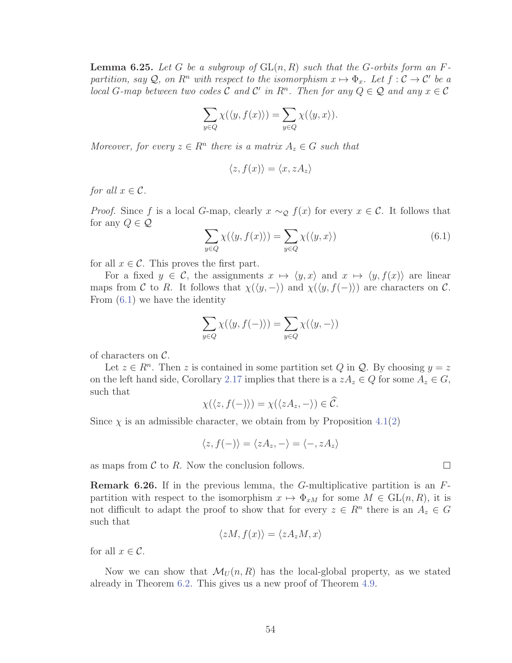**Lemma 6.25.** Let G be a subgroup of  $GL(n, R)$  such that the G-orbits form an Fpartition, say Q, on  $R^n$  with respect to the isomorphism  $x \mapsto \Phi_x$ . Let  $f : C \to C'$  be a local G-map between two codes C and C' in  $\mathbb{R}^n$ . Then for any  $Q \in \mathcal{Q}$  and any  $x \in \mathcal{C}$ 

$$
\sum_{y \in Q} \chi(\langle y, f(x) \rangle) = \sum_{y \in Q} \chi(\langle y, x \rangle).
$$

Moreover, for every  $z \in R^n$  there is a matrix  $A_z \in G$  such that

$$
\langle z, f(x) \rangle = \langle x, zA_z \rangle
$$

for all  $x \in \mathcal{C}$ .

*Proof.* Since f is a local G-map, clearly  $x \sim_{\mathcal{Q}} f(x)$  for every  $x \in \mathcal{C}$ . It follows that for any  $Q \in \mathcal{Q}$ 

$$
\sum_{y \in Q} \chi(\langle y, f(x) \rangle) = \sum_{y \in Q} \chi(\langle y, x \rangle) \tag{6.1}
$$

for all  $x \in \mathcal{C}$ . This proves the first part.

For a fixed  $y \in \mathcal{C}$ , the assignments  $x \mapsto \langle y, x \rangle$  and  $x \mapsto \langle y, f(x) \rangle$  are linear maps from C to R. It follows that  $\chi(\langle y, -\rangle)$  and  $\chi(\langle y, f(-)\rangle)$  are characters on C. From (6.1) we have the identity

$$
\sum_{y \in Q} \chi(\langle y, f(-) \rangle) = \sum_{y \in Q} \chi(\langle y, - \rangle)
$$

of characters on C.

Let  $z \in \mathbb{R}^n$ . Then z is contained in some partition set Q in Q. By choosing  $y = z$ on the left hand side, Corollary 2.17 implies that there is a  $zA_z \in Q$  for some  $A_z \in G$ , such that

$$
\chi(\langle z, f(-)\rangle) = \chi(\langle zA_z, -\rangle) \in \mathcal{C}.
$$

Since  $\chi$  is an admissible character, we obtain from by Proposition 4.1(2)

$$
\langle z, f(-) \rangle = \langle zA_z, - \rangle = \langle -, zA_z \rangle
$$

as maps from  $\mathcal C$  to  $R$ . Now the conclusion follows.

**Remark 6.26.** If in the previous lemma, the  $G$ -multiplicative partition is an  $F$ partition with respect to the isomorphism  $x \mapsto \Phi_{xM}$  for some  $M \in GL(n, R)$ , it is not difficult to adapt the proof to show that for every  $z \in \mathbb{R}^n$  there is an  $A_z \in \mathbb{G}$ such that  $\left( \begin{array}{ccc} \lambda & \lambda & \lambda \\ \lambda & \lambda & \lambda \end{array} \right)$ 

$$
\langle zM, f(x) \rangle = \langle zA_z M, x \rangle
$$

for all  $x \in \mathcal{C}$ .

Now we can show that  $\mathcal{M}_U(n, R)$  has the local-global property, as we stated already in Theorem 6.2. This gives us a new proof of Theorem 4.9.

 $\Box$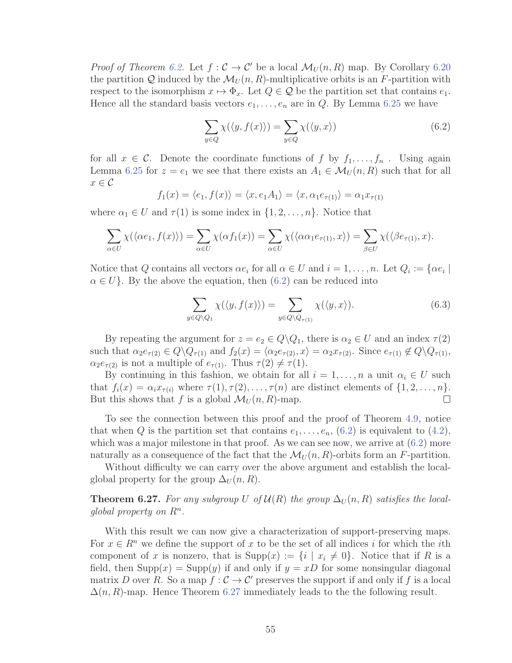*Proof of Theorem 6.2.* Let  $f : C \to C'$  be a local  $\mathcal{M}_U(n, R)$  map. By Corollary 6.20 the partition Q induced by the  $\mathcal{M}_U(n, R)$ -multiplicative orbits is an F-partition with respect to the isomorphism  $x \mapsto \Phi_x$ . Let  $Q \in \mathcal{Q}$  be the partition set that contains  $e_1$ . Hence all the standard basis vectors  $e_1, \ldots, e_n$  are in Q. By Lemma 6.25 we have

$$
\sum_{y \in Q} \chi(\langle y, f(x) \rangle) = \sum_{y \in Q} \chi(\langle y, x \rangle)
$$
\n(6.2)

for all  $x \in \mathcal{C}$ . Denote the coordinate functions of f by  $f_1, \ldots, f_n$ . Using again Lemma 6.25 for  $z = e_1$  we see that there exists an  $A_1 \in \mathcal{M}_U(n, R)$  such that for all  $x \in \mathcal{C}$ 

$$
f_1(x) = \langle e_1, f(x) \rangle = \langle x, e_1 A_1 \rangle = \langle x, \alpha_1 e_{\tau(1)} \rangle = \alpha_1 x_{\tau(1)}
$$

where  $\alpha_1 \in U$  and  $\tau(1)$  is some index in  $\{1, 2, \ldots, n\}$ . Notice that

$$
\sum_{\alpha \in U} \chi(\langle \alpha e_1, f(x) \rangle) = \sum_{\alpha \in U} \chi(\alpha f_1(x)) = \sum_{\alpha \in U} \chi(\langle \alpha \alpha_1 e_{\tau(1)}, x \rangle) = \sum_{\beta \in U} \chi(\langle \beta e_{\tau(1)}, x \rangle).
$$

Notice that Q contains all vectors  $\alpha e_i$  for all  $\alpha \in U$  and  $i = 1, \ldots, n$ . Let  $Q_i := \{ \alpha e_i \mid$  $\alpha \in U$ . By the above the equation, then (6.2) can be reduced into

$$
\sum_{y \in Q \setminus Q_1} \chi(\langle y, f(x) \rangle) = \sum_{y \in Q \setminus Q_{\tau(1)}} \chi(\langle y, x \rangle). \tag{6.3}
$$

By repeating the argument for  $z = e_2 \in Q \backslash Q_1$ , there is  $\alpha_2 \in U$  and an index  $\tau(2)$ such that  $\alpha_2e_{\tau(2)} \in Q \backslash Q_{\tau(1)}$  and  $f_2(x) = \langle \alpha_2e_{\tau(2)}, x \rangle = \alpha_2x_{\tau(2)}$ . Since  $e_{\tau(1)} \notin Q \backslash Q_{\tau(1)}$ ,  $\alpha_2 e_{\tau(2)}$  is not a multiple of  $e_{\tau(1)}$ . Thus  $\tau(2) \neq \tau(1)$ .

By continuing in this fashion, we obtain for all  $i = 1, \ldots, n$  a unit  $\alpha_i \in U$  such that  $f_i(x) = \alpha_i x_{\tau(i)}$  where  $\tau(1), \tau(2), \ldots, \tau(n)$  are distinct elements of  $\{1, 2, \ldots, n\}.$ But this shows that f is a global  $\mathcal{M}_U(n, R)$ -map.  $\Box$ 

To see the connection between this proof and the proof of Theorem 4.9, notice that when Q is the partition set that contains  $e_1, \ldots, e_n$ , (6.2) is equivalent to (4.2), which was a major milestone in that proof. As we can see now, we arrive at  $(6.2)$  more naturally as a consequence of the fact that the  $\mathcal{M}_U(n, R)$ -orbits form an F-partition.

Without difficulty we can carry over the above argument and establish the localglobal property for the group  $\Delta_U(n, R)$ .

**Theorem 6.27.** For any subgroup U of  $\mathcal{U}(R)$  the group  $\Delta_U(n, R)$  satisfies the localglobal property on  $R^n$ .

With this result we can now give a characterization of support-preserving maps. For  $x \in \mathbb{R}^n$  we define the support of x to be the set of all indices i for which the ith component of x is nonzero, that is  $\text{Supp}(x) := \{i \mid x_i \neq 0\}$ . Notice that if R is a field, then  $\text{Supp}(x) = \text{Supp}(y)$  if and only if  $y = xD$  for some nonsingular diagonal matrix D over R. So a map  $f : C \to C'$  preserves the support if and only if f is a local  $\Delta(n, R)$ -map. Hence Theorem 6.27 immediately leads to the the following result.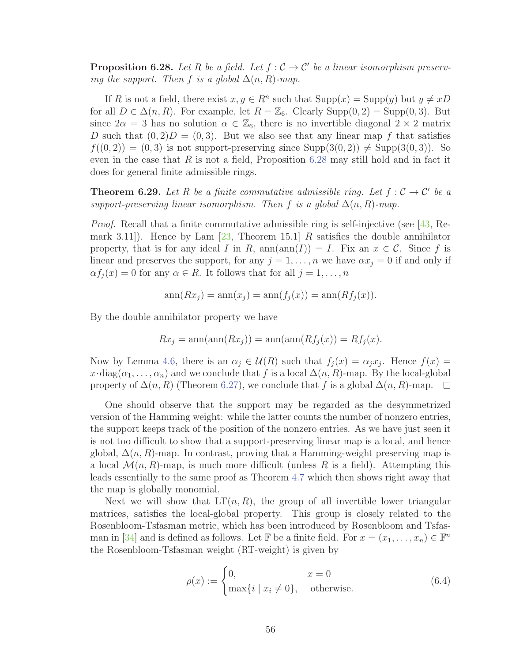**Proposition 6.28.** Let R be a field. Let  $f : C \to C'$  be a linear isomorphism preserving the support. Then f is a global  $\Delta(n, R)$ -map.

If R is not a field, there exist  $x, y \in \mathbb{R}^n$  such that  $\text{Supp}(x) = \text{Supp}(y)$  but  $y \neq xD$ for all  $D \in \Delta(n, R)$ . For example, let  $R = \mathbb{Z}_6$ . Clearly Supp $(0, 2) = \text{Supp}(0, 3)$ . But since  $2\alpha = 3$  has no solution  $\alpha \in \mathbb{Z}_6$ , there is no invertible diagonal  $2 \times 2$  matrix D such that  $(0, 2)D = (0, 3)$ . But we also see that any linear map f that satisfies  $f((0, 2)) = (0, 3)$  is not support-preserving since  $\text{Supp}(3(0, 2)) \neq \text{Supp}(3(0, 3))$ . So even in the case that  $R$  is not a field, Proposition 6.28 may still hold and in fact it does for general finite admissible rings.

**Theorem 6.29.** Let R be a finite commutative admissible ring. Let  $f : C \to C'$  be a support-preserving linear isomorphism. Then f is a global  $\Delta(n, R)$ -map.

*Proof.* Recall that a finite commutative admissible ring is self-injective (see [43, Remark 3.11). Hence by Lam  $[23,$  Theorem 15.1 R satisfies the double annihilator property, that is for any ideal I in R,  $ann(ann(I)) = I$ . Fix an  $x \in C$ . Since f is linear and preserves the support, for any  $j = 1, ..., n$  we have  $\alpha x_j = 0$  if and only if  $\alpha f_i(x) = 0$  for any  $\alpha \in R$ . It follows that for all  $j = 1, \ldots, n$ 

$$
\operatorname{ann}(Rx_j) = \operatorname{ann}(x_j) = \operatorname{ann}(f_j(x)) = \operatorname{ann}(Rf_j(x)).
$$

By the double annihilator property we have

$$
Rx_j = \operatorname{ann}(\operatorname{ann}(Rx_j)) = \operatorname{ann}(\operatorname{ann}(Rf_j(x)) = Rf_j(x).
$$

Now by Lemma 4.6, there is an  $\alpha_j \in \mathcal{U}(R)$  such that  $f_j(x) = \alpha_j x_j$ . Hence  $f(x) =$  $x \cdot diag(\alpha_1, \ldots, \alpha_n)$  and we conclude that f is a local  $\Delta(n, R)$ -map. By the local-global property of  $\Delta(n, R)$  (Theorem 6.27), we conclude that f is a global  $\Delta(n, R)$ -map.  $\Box$ 

One should observe that the support may be regarded as the desymmetrized version of the Hamming weight: while the latter counts the number of nonzero entries, the support keeps track of the position of the nonzero entries. As we have just seen it is not too difficult to show that a support-preserving linear map is a local, and hence global,  $\Delta(n, R)$ -map. In contrast, proving that a Hamming-weight preserving map is a local  $\mathcal{M}(n, R)$ -map, is much more difficult (unless R is a field). Attempting this leads essentially to the same proof as Theorem 4.7 which then shows right away that the map is globally monomial.

Next we will show that  $LT(n, R)$ , the group of all invertible lower triangular matrices, satisfies the local-global property. This group is closely related to the Rosenbloom-Tsfasman metric, which has been introduced by Rosenbloom and Tsfasman in [34] and is defined as follows. Let  $\mathbb F$  be a finite field. For  $x = (x_1, \ldots, x_n) \in \mathbb F^n$ the Rosenbloom-Tsfasman weight (RT-weight) is given by

$$
\rho(x) := \begin{cases} 0, & x = 0 \\ \max\{i \mid x_i \neq 0\}, & \text{otherwise.} \end{cases}
$$
(6.4)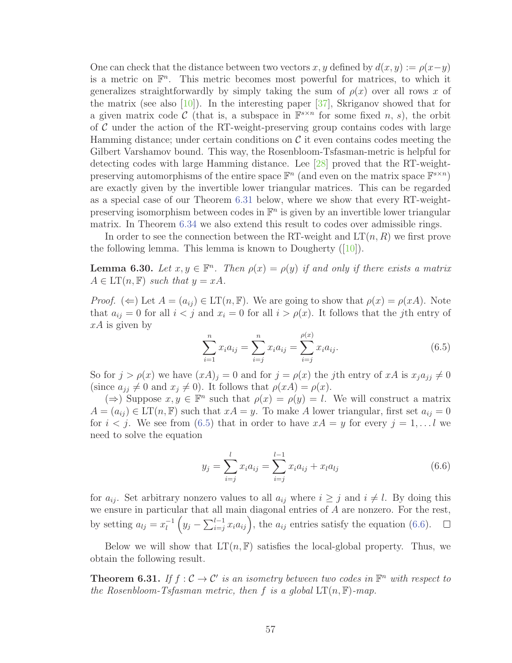One can check that the distance between two vectors x, y defined by  $d(x, y) := \rho(x-y)$ is a metric on  $\mathbb{F}^n$ . This metric becomes most powerful for matrices, to which it generalizes straightforwardly by simply taking the sum of  $\rho(x)$  over all rows x of the matrix (see also  $[10]$ ). In the interesting paper [37], Skriganov showed that for a given matrix code C (that is, a subspace in  $\mathbb{F}^{s \times n}$  for some fixed n, s), the orbit of  $\mathcal C$  under the action of the RT-weight-preserving group contains codes with large Hamming distance; under certain conditions on  $\mathcal C$  it even contains codes meeting the Gilbert Varshamov bound. This way, the Rosenbloom-Tsfasman-metric is helpful for detecting codes with large Hamming distance. Lee [28] proved that the RT-weightpreserving automorphisms of the entire space  $\mathbb{F}^n$  (and even on the matrix space  $\mathbb{F}^{s \times n}$ ) are exactly given by the invertible lower triangular matrices. This can be regarded as a special case of our Theorem 6.31 below, where we show that every RT-weightpreserving isomorphism between codes in  $\mathbb{F}^n$  is given by an invertible lower triangular matrix. In Theorem 6.34 we also extend this result to codes over admissible rings.

In order to see the connection between the RT-weight and  $LT(n, R)$  we first prove the following lemma. This lemma is known to Dougherty  $([10])$ .

**Lemma 6.30.** Let  $x, y \in \mathbb{F}^n$ . Then  $\rho(x) = \rho(y)$  if and only if there exists a matrix  $A \in \mathrm{LT}(n, \mathbb{F})$  such that  $y = xA$ .

*Proof.* ( $\Leftarrow$ ) Let  $A = (a_{ij}) \in LT(n, \mathbb{F})$ . We are going to show that  $\rho(x) = \rho(xA)$ . Note that  $a_{ij} = 0$  for all  $i < j$  and  $x_i = 0$  for all  $i > \rho(x)$ . It follows that the jth entry of  $xA$  is given by

$$
\sum_{i=1}^{n} x_i a_{ij} = \sum_{i=j}^{n} x_i a_{ij} = \sum_{i=j}^{\rho(x)} x_i a_{ij}.
$$
 (6.5)

So for  $j > \rho(x)$  we have  $(xA)_j = 0$  and for  $j = \rho(x)$  the jth entry of  $xA$  is  $x_j a_{jj} \neq 0$ (since  $a_{jj} \neq 0$  and  $x_j \neq 0$ ). It follows that  $\rho(xA) = \rho(x)$ .

 $(\Rightarrow)$  Suppose  $x, y \in \mathbb{F}^n$  such that  $\rho(x) = \rho(y) = l$ . We will construct a matrix  $A = (a_{ij}) \in LT(n, \mathbb{F})$  such that  $xA = y$ . To make A lower triangular, first set  $a_{ij} = 0$ for  $i < j$ . We see from (6.5) that in order to have  $xA = y$  for every  $j = 1, \ldots l$  we need to solve the equation

$$
y_j = \sum_{i=j}^{l} x_i a_{ij} = \sum_{i=j}^{l-1} x_i a_{ij} + x_l a_{lj}
$$
 (6.6)

for  $a_{ij}$ . Set arbitrary nonzero values to all  $a_{ij}$  where  $i \geq j$  and  $i \neq l$ . By doing this we ensure in particular that all main diagonal entries of A are nonzero. For the rest,  $(y_j - \sum_{i=j}^{l-1} x_i a_{ij}),$  the  $a_{ij}$  entries satisfy the equation (6.6). by setting  $a_{lj} = x_l^{-1}$  $\Box$ 

Below we will show that  $LT(n, \mathbb{F})$  satisfies the local-global property. Thus, we obtain the following result.

**Theorem 6.31.** If  $f : C \to C'$  is an isometry between two codes in  $\mathbb{F}^n$  with respect to the Rosenbloom-Tsfasman metric, then f is a global  $LT(n, \mathbb{F})$ -map.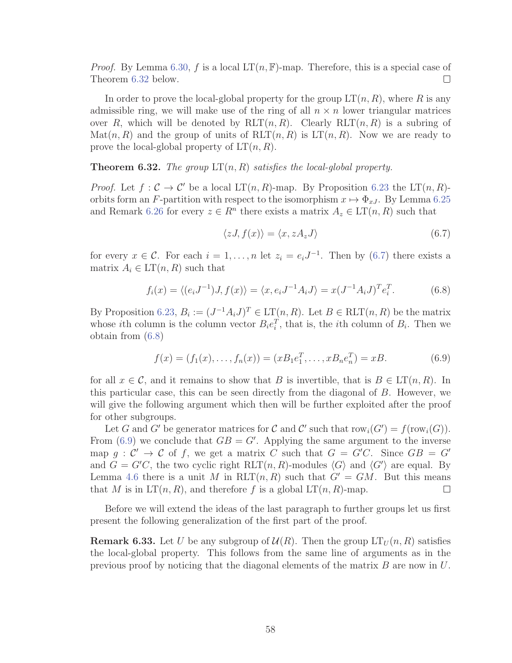*Proof.* By Lemma 6.30, f is a local  $LT(n, \mathbb{F})$ -map. Therefore, this is a special case of Theorem 6.32 below.  $\Box$ 

In order to prove the local-global property for the group  $LT(n, R)$ , where R is any admissible ring, we will make use of the ring of all  $n \times n$  lower triangular matrices over R, which will be denoted by  $RLT(n, R)$ . Clearly  $RLT(n, R)$  is a subring of  $\text{Mat}(n, R)$  and the group of units of  $\text{RLT}(n, R)$  is  $\text{LT}(n, R)$ . Now we are ready to prove the local-global property of  $LT(n, R)$ .

**Theorem 6.32.** The group  $LT(n, R)$  satisfies the local-global property.

*Proof.* Let  $f : C \to C'$  be a local  $LT(n, R)$ -map. By Proposition 6.23 the  $LT(n, R)$ orbits form an F-partition with respect to the isomorphism  $x \mapsto \Phi_{xJ}$ . By Lemma 6.25 and Remark 6.26 for every  $z \in R^n$  there exists a matrix  $A_z \in \mathrm{LT}(n, R)$  such that

$$
\langle zJ, f(x) \rangle = \langle x, zA_z J \rangle \tag{6.7}
$$

for every  $x \in \mathcal{C}$ . For each  $i = 1, ..., n$  let  $z_i = e_i J^{-1}$ . Then by (6.7) there exists a matrix  $A_i \in \mathrm{LT}(n, R)$  such that

$$
f_i(x) = \langle (e_i J^{-1})J, f(x) \rangle = \langle x, e_i J^{-1} A_i J \rangle = x (J^{-1} A_i J)^T e_i^T.
$$
 (6.8)

By Proposition 6.23,  $B_i := (J^{-1}A_iJ)^T \in \mathop{\rm LT}\nolimits(n, R)$ . Let  $B \in \mathop{\rm RLT}\nolimits(n, R)$  be the matrix whose *i*th column is the column vector  $B_i e_i^T$ , that is, the *i*th column of  $B_i$ . Then we obtain from (6.8)

$$
f(x) = (f_1(x), \dots, f_n(x)) = (xB_1e_1^T, \dots, xB_ne_n^T) = xB.
$$
 (6.9)

for all  $x \in \mathcal{C}$ , and it remains to show that B is invertible, that is  $B \in \mathrm{LT}(n, R)$ . In this particular case, this can be seen directly from the diagonal of B. However, we will give the following argument which then will be further exploited after the proof for other subgroups.

Let G and G' be generator matrices for C and C' such that  $row_i(G') = f(row_i(G))$ . From (6.9) we conclude that  $GB = G'$ . Applying the same argument to the inverse map  $g: \mathcal{C}' \to \mathcal{C}$  of f, we get a matrix C such that  $G = G'C$ . Since  $GB = G'$ and  $G = G'C$ , the two cyclic right RLT $(n, R)$ -modules  $\langle G \rangle$  and  $\langle G' \rangle$  are equal. By Lemma 4.6 there is a unit M in RLT(n, R) such that  $G' = GM$ . But this means that M is in  $LT(n, R)$ , and therefore f is a global  $LT(n, R)$ -map.  $\Box$ 

Before we will extend the ideas of the last paragraph to further groups let us first present the following generalization of the first part of the proof.

**Remark 6.33.** Let U be any subgroup of  $\mathcal{U}(R)$ . Then the group  $LT_{U}(n, R)$  satisfies the local-global property. This follows from the same line of arguments as in the previous proof by noticing that the diagonal elements of the matrix  $B$  are now in  $U$ .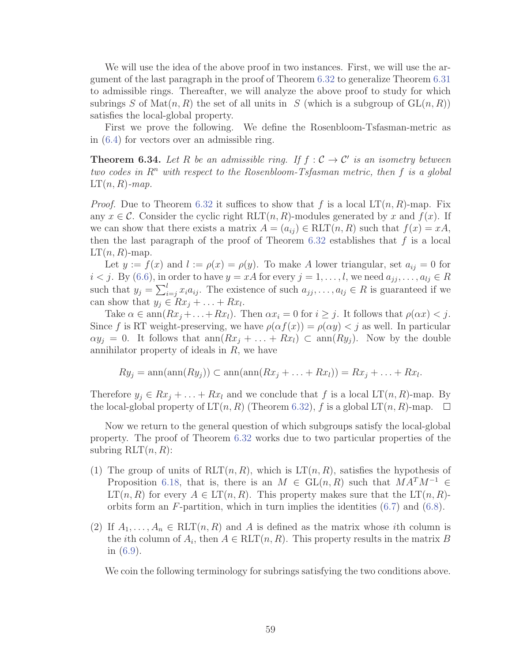We will use the idea of the above proof in two instances. First, we will use the argument of the last paragraph in the proof of Theorem 6.32 to generalize Theorem 6.31 to admissible rings. Thereafter, we will analyze the above proof to study for which subrings S of Mat $(n, R)$  the set of all units in S (which is a subgroup of  $GL(n, R)$ ) satisfies the local-global property.

First we prove the following. We define the Rosenbloom-Tsfasman-metric as in (6.4) for vectors over an admissible ring.

**Theorem 6.34.** Let R be an admissible ring. If  $f : C \to C'$  is an isometry between two codes in  $R<sup>n</sup>$  with respect to the Rosenbloom-Tsfasman metric, then f is a global  $LT(n, R)$ -map.

*Proof.* Due to Theorem 6.32 it suffices to show that f is a local  $LT(n, R)$ -map. Fix any  $x \in \mathcal{C}$ . Consider the cyclic right RLT(n, R)-modules generated by x and  $f(x)$ . If we can show that there exists a matrix  $A = (a_{ij}) \in RLT(n, R)$  such that  $f(x) = xA$ , then the last paragraph of the proof of Theorem  $6.32$  establishes that f is a local  $LT(n, R)$ -map.

Let  $y := f(x)$  and  $l := \rho(x) = \rho(y)$ . To make A lower triangular, set  $a_{ij} = 0$  for  $i < j$ . By (6.6), in order to have  $y = xA$  for every  $j = 1, ..., l$ , we need  $a_{jj}, ..., a_{lj} \in R$ such that  $y_j = \sum_{i=j}^{l} x_i a_{ij}$ . The existence of such  $a_{jj}, \ldots, a_{lj} \in R$  is guaranteed if we can show that  $y_j \in Rx_j + \ldots + Rx_l$ .

Take  $\alpha \in \text{ann}(Rx_j + \ldots + Rx_l)$ . Then  $\alpha x_i = 0$  for  $i \geq j$ . It follows that  $\rho(\alpha x) < j$ . Since f is RT weight-preserving, we have  $\rho(\alpha f(x)) = \rho(\alpha y) < j$  as well. In particular  $\alpha y_i = 0$ . It follows that  $\text{ann}(Rx_i + \ldots + Rx_l) \subset \text{ann}(Ry_i)$ . Now by the double annihilator property of ideals in R, we have

$$
Ry_j = \operatorname{ann}(\operatorname{ann}(Ry_j)) \subset \operatorname{ann}(\operatorname{ann}(Rx_j + \ldots + Rx_l)) = Rx_j + \ldots + Rx_l.
$$

Therefore  $y_j \in Rx_j + \ldots + Rx_l$  and we conclude that f is a local  $LT(n, R)$ -map. By the local-global property of  $LT(n, R)$  (Theorem 6.32), f is a global  $LT(n, R)$ -map.  $\Box$ 

Now we return to the general question of which subgroups satisfy the local-global property. The proof of Theorem 6.32 works due to two particular properties of the subring  $RLT(n, R)$ :

- (1) The group of units of  $RLT(n, R)$ , which is  $LT(n, R)$ , satisfies the hypothesis of Proposition 6.18, that is, there is an  $M \in GL(n, R)$  such that  $MA^T M^{-1} \in$  $LT(n, R)$  for every  $A \in LT(n, R)$ . This property makes sure that the  $LT(n, R)$ orbits form an  $F$ -partition, which in turn implies the identities  $(6.7)$  and  $(6.8)$ .
- (2) If  $A_1, \ldots, A_n \in RLT(n, R)$  and A is defined as the matrix whose *i*th column is the *i*th column of  $A_i$ , then  $A \in \text{RLT}(n, R)$ . This property results in the matrix B in (6.9).

We coin the following terminology for subrings satisfying the two conditions above.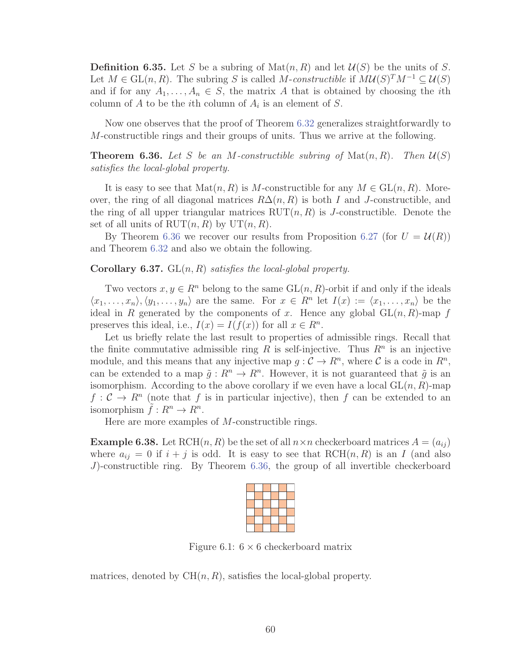**Definition 6.35.** Let S be a subring of  $\text{Mat}(n, R)$  and let  $\mathcal{U}(S)$  be the units of S. Let  $M \in GL(n, R)$ . The subring S is called M-constructible if  $M\mathcal{U}(S)^{T}M^{-1} \subseteq \mathcal{U}(S)$ and if for any  $A_1, \ldots, A_n \in S$ , the matrix A that is obtained by choosing the *i*th column of  $A$  to be the *i*th column of  $A_i$  is an element of  $S$ .

Now one observes that the proof of Theorem 6.32 generalizes straightforwardly to M-constructible rings and their groups of units. Thus we arrive at the following.

**Theorem 6.36.** Let S be an M-constructible subring of  $Mat(n, R)$ . Then  $\mathcal{U}(S)$ satisfies the local-global property.

It is easy to see that  $\text{Mat}(n, R)$  is M-constructible for any  $M \in \text{GL}(n, R)$ . Moreover, the ring of all diagonal matrices  $R\Delta(n, R)$  is both I and J-constructible, and the ring of all upper triangular matrices  $\text{RUT}(n, R)$  is J-constructible. Denote the set of all units of  $\text{RUT}(n, R)$  by  $\text{UT}(n, R)$ .

By Theorem 6.36 we recover our results from Proposition 6.27 (for  $U = \mathcal{U}(R)$ ) and Theorem 6.32 and also we obtain the following.

**Corollary 6.37.** GL $(n, R)$  satisfies the local-global property.

Two vectors  $x, y \in \mathbb{R}^n$  belong to the same  $GL(n, R)$ -orbit if and only if the ideals  $\langle x_1, \ldots, x_n \rangle, \langle y_1, \ldots, y_n \rangle$  are the same. For  $x \in R^n$  let  $I(x) := \langle x_1, \ldots, x_n \rangle$  be the ideal in R generated by the components of x. Hence any global  $GL(n, R)$ -map f preserves this ideal, i.e.,  $I(x) = I(f(x))$  for all  $x \in R^n$ .

Let us briefly relate the last result to properties of admissible rings. Recall that the finite commutative admissible ring R is self-injective. Thus  $R^n$  is an injective module, and this means that any injective map  $g: \mathcal{C} \to \mathbb{R}^n$ , where  $\mathcal{C}$  is a code in  $\mathbb{R}^n$ , can be extended to a map  $\tilde{g}: R^n \to R^n$ . However, it is not guaranteed that  $\tilde{g}$  is an isomorphism. According to the above corollary if we even have a local  $GL(n, R)$ -map  $f: \mathcal{C} \to \mathbb{R}^n$  (note that f is in particular injective), then f can be extended to an isomorphism  $\tilde{f}: R^n \to R^n$ .

Here are more examples of M-constructible rings.

**Example 6.38.** Let RCH $(n, R)$  be the set of all  $n \times n$  checkerboard matrices  $A = (a_{ij})$ where  $a_{ij} = 0$  if  $i + j$  is odd. It is easy to see that  $\text{RCH}(n, R)$  is an I (and also J)-constructible ring. By Theorem  $6.36$ , the group of all invertible checkerboard

Figure 6.1:  $6 \times 6$  checkerboard matrix

matrices, denoted by  $CH(n, R)$ , satisfies the local-global property.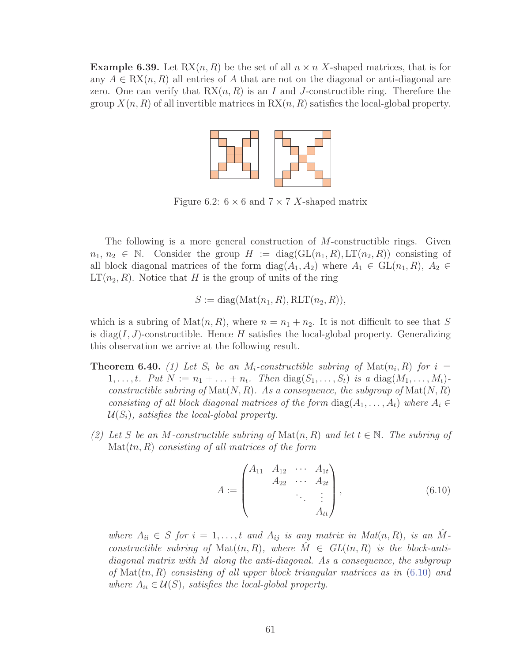**Example 6.39.** Let  $RX(n, R)$  be the set of all  $n \times n$  X-shaped matrices, that is for any  $A \in RX(n, R)$  all entries of A that are not on the diagonal or anti-diagonal are zero. One can verify that  $RX(n, R)$  is an I and J-constructible ring. Therefore the group  $X(n, R)$  of all invertible matrices in  $RX(n, R)$  satisfies the local-global property.



Figure 6.2:  $6 \times 6$  and  $7 \times 7$  X-shaped matrix

The following is a more general construction of  $M$ -constructible rings. Given  $n_1, n_2 \in \mathbb{N}$ . Consider the group  $H := \text{diag}(\text{GL}(n_1, R), \text{LT}(n_2, R))$  consisting of all block diagonal matrices of the form diag( $A_1, A_2$ ) where  $A_1 \in GL(n_1, R)$ ,  $A_2 \in$  $LT(n<sub>2</sub>, R)$ . Notice that H is the group of units of the ring

$$
S := diag(\text{Mat}(n_1, R), \text{RLT}(n_2, R)),
$$

which is a subring of  $\text{Mat}(n, R)$ , where  $n = n_1 + n_2$ . It is not difficult to see that S is diag( $I, J$ )-constructible. Hence H satisfies the local-global property. Generalizing this observation we arrive at the following result.

- **Theorem 6.40.** (1) Let  $S_i$  be an  $M_i$ -constructible subring of  $\text{Mat}(n_i, R)$  for  $i =$  $1, \ldots, t.$  Put  $N := n_1 + \ldots + n_t$ . Then  $diag(S_1, \ldots, S_t)$  is a  $diag(M_1, \ldots, M_t)$ constructible subring of  $\text{Mat}(N, R)$ . As a consequence, the subgroup of  $\text{Mat}(N, R)$ consisting of all block diagonal matrices of the form  $diag(A_1, \ldots, A_t)$  where  $A_i \in$  $\mathcal{U}(S_i)$ , satisfies the local-global property.
- (2) Let S be an M-constructible subring of  $\text{Mat}(n, R)$  and let  $t \in \mathbb{N}$ . The subring of  $\mathrm{Mat}(tn, R)$  consisting of all matrices of the form

$$
A := \begin{pmatrix} A_{11} & A_{12} & \cdots & A_{1t} \\ & A_{22} & \cdots & A_{2t} \\ & & \ddots & \vdots \\ & & & A_{tt} \end{pmatrix}, \tag{6.10}
$$

where  $A_{ii} \in S$  for  $i = 1, \ldots, t$  and  $A_{ij}$  is any matrix in  $Mat(n, R)$ , is an Mconstructible subring of  $\text{Mat}(tn, R)$ , where  $M \in GL(tn, R)$  is the block-antidiagonal matrix with M along the anti-diagonal. As a consequence, the subgroup of  $\text{Mat}(tn, R)$  consisting of all upper block triangular matrices as in (6.10) and where  $A_{ii} \in \mathcal{U}(S)$ , satisfies the local-global property.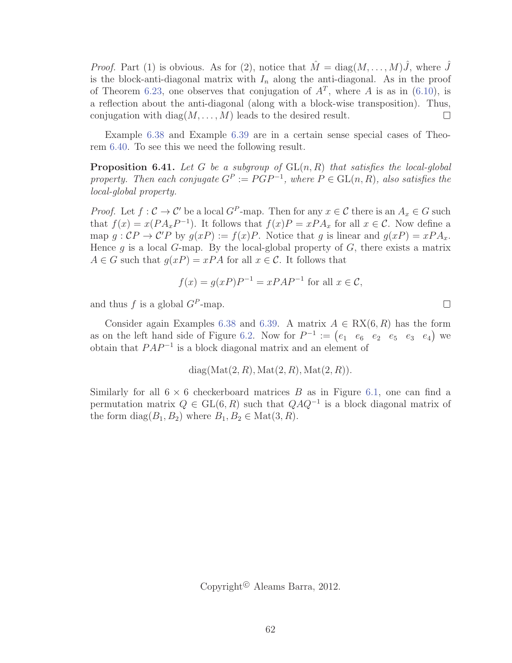*Proof.* Part (1) is obvious. As for (2), notice that  $\hat{M} = \text{diag}(M, \ldots, M)\hat{J}$ , where  $\hat{J}$ is the block-anti-diagonal matrix with  $I_n$  along the anti-diagonal. As in the proof of Theorem 6.23, one observes that conjugation of  $A<sup>T</sup>$ , where A is as in (6.10), is a reflection about the anti-diagonal (along with a block-wise transposition). Thus, conjugation with  $diag(M, \ldots, M)$  leads to the desired result.  $\Box$ 

Example 6.38 and Example 6.39 are in a certain sense special cases of Theorem 6.40. To see this we need the following result.

**Proposition 6.41.** Let G be a subgroup of  $GL(n, R)$  that satisfies the local-global property. Then each conjugate  $G^P := PGP^{-1}$ , where  $P \in GL(n, R)$ , also satisfies the local-global property.

*Proof.* Let  $f : C \to C'$  be a local  $G^P$ -map. Then for any  $x \in C$  there is an  $A_x \in G$  such that  $f(x) = x(P A_x P^{-1})$ . It follows that  $f(x)P = xP A_x$  for all  $x \in C$ . Now define a map  $g: CP \to \mathcal{C}'P$  by  $g(xP) := f(x)P$ . Notice that g is linear and  $g(xP) = xPA_x$ . Hence  $g$  is a local  $G$ -map. By the local-global property of  $G$ , there exists a matrix  $A \in G$  such that  $g(xP) = xPA$  for all  $x \in C$ . It follows that

$$
f(x) = g(xP)P^{-1} = xPAP^{-1}
$$
 for all  $x \in \mathcal{C}$ ,

 $\Box$ 

and thus f is a global  $G^P$ -map.

Consider again Examples 6.38 and 6.39. A matrix  $A \in \text{RX}(6, R)$  has the form as on the left hand side of Figure 6.2. Now for  $P^{-1} := (e_1 \quad e_6 \quad e_2 \quad e_5 \quad e_3 \quad e_4)$  we obtain that  $PAP^{-1}$  is a block diagonal matrix and an element of

$$
diag(Mat(2, R), Mat(2, R), Mat(2, R)).
$$

Similarly for all  $6 \times 6$  checkerboard matrices B as in Figure 6.1, one can find a permutation matrix  $Q \in GL(6, R)$  such that  $QAQ^{-1}$  is a block diagonal matrix of the form diag $(B_1, B_2)$  where  $B_1, B_2 \in \text{Mat}(3, R)$ .

62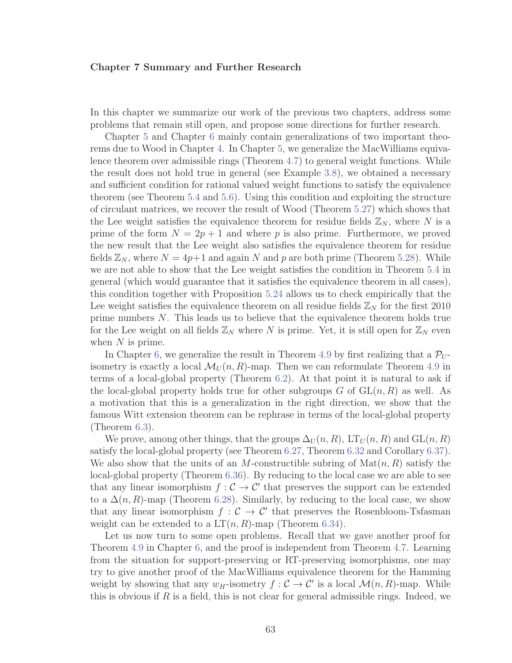# Chapter 7 Summary and Further Research

In this chapter we summarize our work of the previous two chapters, address some problems that remain still open, and propose some directions for further research.

Chapter 5 and Chapter 6 mainly contain generalizations of two important theorems due to Wood in Chapter 4. In Chapter 5, we generalize the MacWilliams equivalence theorem over admissible rings (Theorem 4.7) to general weight functions. While the result does not hold true in general (see Example 3.8), we obtained a necessary and sufficient condition for rational valued weight functions to satisfy the equivalence theorem (see Theorem 5.4 and 5.6). Using this condition and exploiting the structure of circulant matrices, we recover the result of Wood (Theorem 5.27) which shows that the Lee weight satisfies the equivalence theorem for residue fields  $\mathbb{Z}_N$ , where N is a prime of the form  $N = 2p + 1$  and where p is also prime. Furthermore, we proved the new result that the Lee weight also satisfies the equivalence theorem for residue fields  $\mathbb{Z}_N$ , where  $N = 4p+1$  and again N and p are both prime (Theorem 5.28). While we are not able to show that the Lee weight satisfies the condition in Theorem 5.4 in general (which would guarantee that it satisfies the equivalence theorem in all cases), this condition together with Proposition 5.24 allows us to check empirically that the Lee weight satisfies the equivalence theorem on all residue fields  $\mathbb{Z}_N$  for the first 2010 prime numbers  $N$ . This leads us to believe that the equivalence theorem holds true for the Lee weight on all fields  $\mathbb{Z}_N$  where N is prime. Yet, it is still open for  $\mathbb{Z}_N$  even when  $N$  is prime.

In Chapter 6, we generalize the result in Theorem 4.9 by first realizing that a  $P_{U}$ isometry is exactly a local  $\mathcal{M}_U(n, R)$ -map. Then we can reformulate Theorem 4.9 in terms of a local-global property (Theorem 6.2). At that point it is natural to ask if the local-global property holds true for other subgroups  $G$  of  $GL(n, R)$  as well. As a motivation that this is a generalization in the right direction, we show that the famous Witt extension theorem can be rephrase in terms of the local-global property (Theorem 6.3).

We prove, among other things, that the groups  $\Delta_U(n, R)$ ,  $LT_U(n, R)$  and  $GL(n, R)$ satisfy the local-global property (see Theorem 6.27, Theorem 6.32 and Corollary 6.37). We also show that the units of an M-constructible subring of  $\text{Mat}(n, R)$  satisfy the local-global property (Theorem 6.36). By reducing to the local case we are able to see that any linear isomorphism  $f: \mathcal{C} \to \mathcal{C}'$  that preserves the support can be extended to a  $\Delta(n, R)$ -map (Theorem 6.28). Similarly, by reducing to the local case, we show that any linear isomorphism  $f: \mathcal{C} \to \mathcal{C}'$  that preserves the Rosenbloom-Tsfasman weight can be extended to a  $LT(n, R)$ -map (Theorem 6.34).

Let us now turn to some open problems. Recall that we gave another proof for Theorem 4.9 in Chapter 6, and the proof is independent from Theorem 4.7. Learning from the situation for support-preserving or RT-preserving isomorphisms, one may try to give another proof of the MacWilliams equivalence theorem for the Hamming weight by showing that any  $w_H$ -isometry  $f : C \to C'$  is a local  $\mathcal{M}(n, R)$ -map. While this is obvious if R is a field, this is not clear for general admissible rings. Indeed, we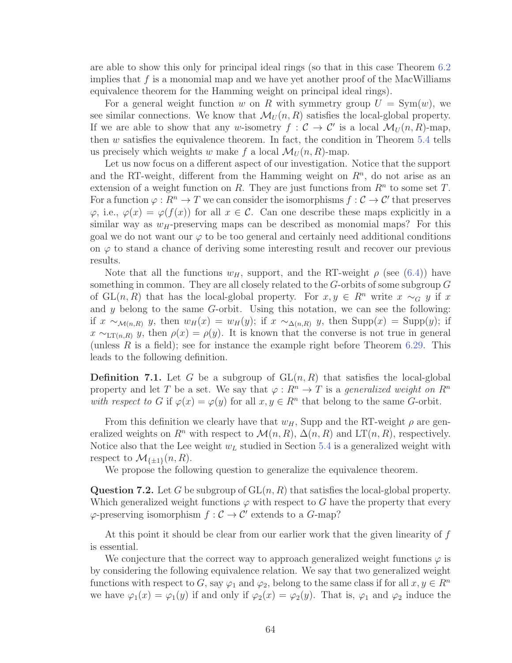are able to show this only for principal ideal rings (so that in this case Theorem 6.2 implies that  $f$  is a monomial map and we have yet another proof of the MacWilliams equivalence theorem for the Hamming weight on principal ideal rings).

For a general weight function w on R with symmetry group  $U = \text{Sym}(w)$ , we see similar connections. We know that  $\mathcal{M}_U(n, R)$  satisfies the local-global property. If we are able to show that any w-isometry  $f: \mathcal{C} \to \mathcal{C}'$  is a local  $\mathcal{M}_U(n, R)$ -map, then  $w$  satisfies the equivalence theorem. In fact, the condition in Theorem  $5.4$  tells us precisely which weights w make f a local  $\mathcal{M}_U(n, R)$ -map.

Let us now focus on a different aspect of our investigation. Notice that the support and the RT-weight, different from the Hamming weight on  $R<sup>n</sup>$ , do not arise as an extension of a weight function on R. They are just functions from  $R<sup>n</sup>$  to some set T. For a function  $\varphi : R^n \to T$  we can consider the isomorphisms  $f : C \to C'$  that preserves  $\varphi$ , i.e.,  $\varphi(x) = \varphi(f(x))$  for all  $x \in \mathcal{C}$ . Can one describe these maps explicitly in a similar way as  $w_H$ -preserving maps can be described as monomial maps? For this goal we do not want our  $\varphi$  to be too general and certainly need additional conditions on  $\varphi$  to stand a chance of deriving some interesting result and recover our previous results.

Note that all the functions  $w_H$ , support, and the RT-weight  $\rho$  (see (6.4)) have something in common. They are all closely related to the G-orbits of some subgroup G of GL(n, R) that has the local-global property. For  $x, y \in \mathbb{R}^n$  write  $x \sim_G y$  if x and  $y$  belong to the same  $G$ -orbit. Using this notation, we can see the following: if  $x \sim_{\mathcal{M}(n,R)} y$ , then  $w_H(x) = w_H(y)$ ; if  $x \sim_{\Delta(n,R)} y$ , then Supp $(x) = \text{Supp}(y)$ ; if  $x \sim_{LT(n,R)} y$ , then  $\rho(x) = \rho(y)$ . It is known that the converse is not true in general (unless R is a field); see for instance the example right before Theorem 6.29. This leads to the following definition.

**Definition 7.1.** Let G be a subgroup of  $GL(n, R)$  that satisfies the local-global property and let T be a set. We say that  $\varphi: R^n \to T$  is a generalized weight on  $R^n$ with respect to G if  $\varphi(x) = \varphi(y)$  for all  $x, y \in \mathbb{R}^n$  that belong to the same G-orbit.

From this definition we clearly have that  $w_H$ , Supp and the RT-weight  $\rho$  are generalized weights on  $R^n$  with respect to  $\mathcal{M}(n, R)$ ,  $\Delta(n, R)$  and  $LT(n, R)$ , respectively. Notice also that the Lee weight  $w<sub>L</sub>$  studied in Section 5.4 is a generalized weight with respect to  $\mathcal{M}_{\{\pm 1\}}(n, R)$ .

We propose the following question to generalize the equivalence theorem.

**Question 7.2.** Let G be subgroup of  $GL(n, R)$  that satisfies the local-global property. Which generalized weight functions  $\varphi$  with respect to G have the property that every  $\varphi$ -preserving isomorphism  $f : \mathcal{C} \to \mathcal{C}'$  extends to a  $G$ -map?

At this point it should be clear from our earlier work that the given linearity of f is essential.

We conjecture that the correct way to approach generalized weight functions  $\varphi$  is by considering the following equivalence relation. We say that two generalized weight functions with respect to G, say  $\varphi_1$  and  $\varphi_2$ , belong to the same class if for all  $x, y \in \mathbb{R}^n$ we have  $\varphi_1(x) = \varphi_1(y)$  if and only if  $\varphi_2(x) = \varphi_2(y)$ . That is,  $\varphi_1$  and  $\varphi_2$  induce the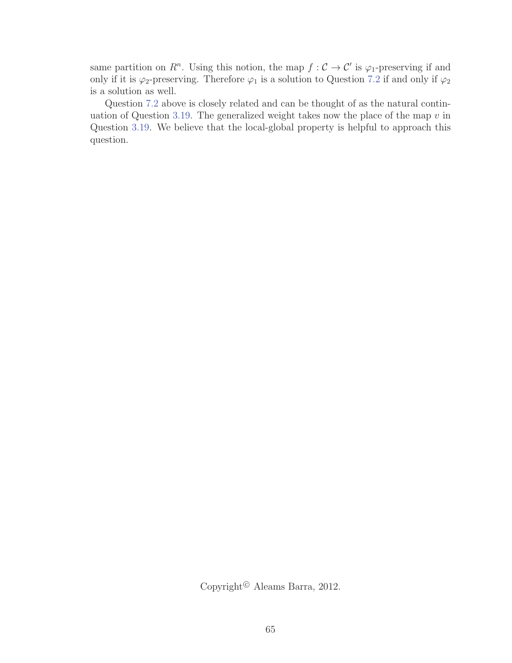same partition on  $R^n$ . Using this notion, the map  $f: \mathcal{C} \to \mathcal{C}'$  is  $\varphi_1$ -preserving if and only if it is  $\varphi_2$ -preserving. Therefore  $\varphi_1$  is a solution to Question 7.2 if and only if  $\varphi_2$ is a solution as well.

Question 7.2 above is closely related and can be thought of as the natural continuation of Question 3.19. The generalized weight takes now the place of the map  $v$  in Question 3.19. We believe that the local-global property is helpful to approach this question.

Copyright<sup>©</sup> Aleams Barra, 2012.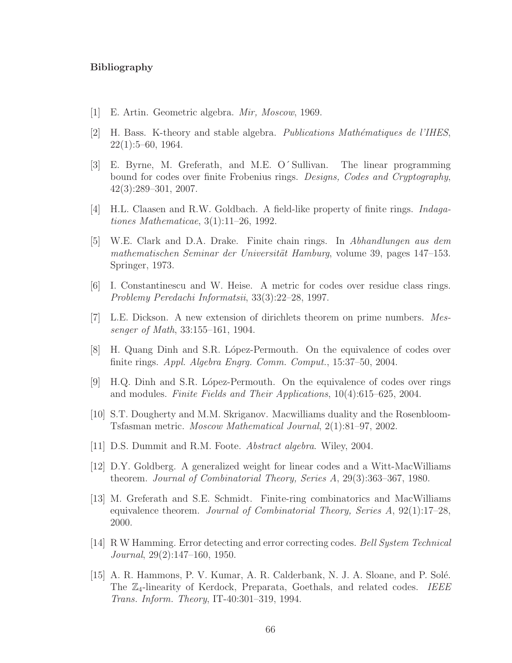#### Bibliography

- [1] E. Artin. Geometric algebra. Mir, Moscow, 1969.
- [2] H. Bass. K-theory and stable algebra. Publications Mathématiques de l'IHES, 22(1):5–60, 1964.
- [3] E. Byrne, M. Greferath, and M.E. O´ Sullivan. The linear programming bound for codes over finite Frobenius rings. Designs, Codes and Cryptography, 42(3):289–301, 2007.
- [4] H.L. Claasen and R.W. Goldbach. A field-like property of finite rings. Indagationes Mathematicae, 3(1):11–26, 1992.
- [5] W.E. Clark and D.A. Drake. Finite chain rings. In Abhandlungen aus dem mathematischen Seminar der Universität Hamburg, volume 39, pages 147–153. Springer, 1973.
- [6] I. Constantinescu and W. Heise. A metric for codes over residue class rings. Problemy Peredachi Informatsii, 33(3):22–28, 1997.
- [7] L.E. Dickson. A new extension of dirichlets theorem on prime numbers. Messenger of Math, 33:155–161, 1904.
- [8] H. Quang Dinh and S.R. López-Permouth. On the equivalence of codes over finite rings. Appl. Algebra Engrg. Comm. Comput., 15:37–50, 2004.
- [9] H.Q. Dinh and S.R. L´opez-Permouth. On the equivalence of codes over rings and modules. Finite Fields and Their Applications, 10(4):615–625, 2004.
- [10] S.T. Dougherty and M.M. Skriganov. Macwilliams duality and the Rosenbloom-Tsfasman metric. Moscow Mathematical Journal, 2(1):81–97, 2002.
- [11] D.S. Dummit and R.M. Foote. Abstract algebra. Wiley, 2004.
- [12] D.Y. Goldberg. A generalized weight for linear codes and a Witt-MacWilliams theorem. Journal of Combinatorial Theory, Series A, 29(3):363–367, 1980.
- [13] M. Greferath and S.E. Schmidt. Finite-ring combinatorics and MacWilliams equivalence theorem. Journal of Combinatorial Theory, Series A, 92(1):17–28, 2000.
- [14] R W Hamming. Error detecting and error correcting codes. Bell System Technical Journal, 29(2):147–160, 1950.
- [15] A. R. Hammons, P. V. Kumar, A. R. Calderbank, N. J. A. Sloane, and P. Solé. The  $\mathbb{Z}_4$ -linearity of Kerdock, Preparata, Goethals, and related codes. IEEE Trans. Inform. Theory, IT-40:301–319, 1994.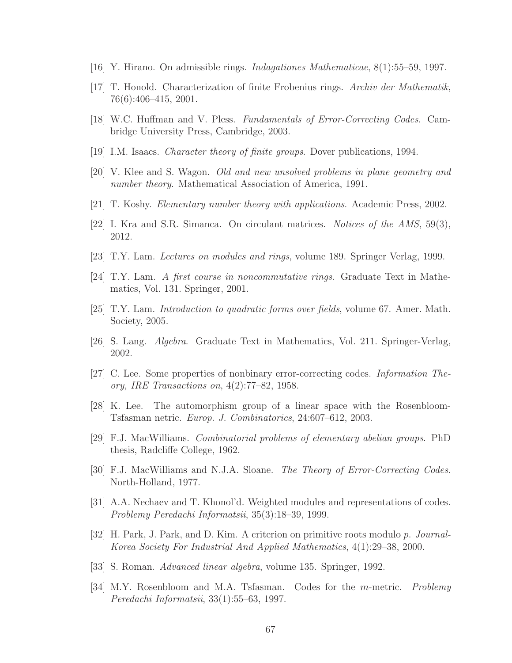- [16] Y. Hirano. On admissible rings. *Indagationes Mathematicae*,  $8(1):55-59$ , 1997.
- [17] T. Honold. Characterization of finite Frobenius rings. Archiv der Mathematik, 76(6):406–415, 2001.
- [18] W.C. Huffman and V. Pless. Fundamentals of Error-Correcting Codes. Cambridge University Press, Cambridge, 2003.
- [19] I.M. Isaacs. Character theory of finite groups. Dover publications, 1994.
- [20] V. Klee and S. Wagon. Old and new unsolved problems in plane geometry and number theory. Mathematical Association of America, 1991.
- [21] T. Koshy. Elementary number theory with applications. Academic Press, 2002.
- [22] I. Kra and S.R. Simanca. On circulant matrices. Notices of the AMS, 59(3), 2012.
- [23] T.Y. Lam. Lectures on modules and rings, volume 189. Springer Verlag, 1999.
- [24] T.Y. Lam. A first course in noncommutative rings. Graduate Text in Mathematics, Vol. 131. Springer, 2001.
- [25] T.Y. Lam. Introduction to quadratic forms over fields, volume 67. Amer. Math. Society, 2005.
- [26] S. Lang. Algebra. Graduate Text in Mathematics, Vol. 211. Springer-Verlag, 2002.
- [27] C. Lee. Some properties of nonbinary error-correcting codes. Information Theory, IRE Transactions on, 4(2):77–82, 1958.
- [28] K. Lee. The automorphism group of a linear space with the Rosenbloom-Tsfasman netric. Europ. J. Combinatorics, 24:607–612, 2003.
- [29] F.J. MacWilliams. Combinatorial problems of elementary abelian groups. PhD thesis, Radcliffe College, 1962.
- [30] F.J. MacWilliams and N.J.A. Sloane. The Theory of Error-Correcting Codes. North-Holland, 1977.
- [31] A.A. Nechaev and T. Khonol'd. Weighted modules and representations of codes. Problemy Peredachi Informatsii, 35(3):18–39, 1999.
- [32] H. Park, J. Park, and D. Kim. A criterion on primitive roots modulo p. Journal-Korea Society For Industrial And Applied Mathematics, 4(1):29–38, 2000.
- [33] S. Roman. Advanced linear algebra, volume 135. Springer, 1992.
- [34] M.Y. Rosenbloom and M.A. Tsfasman. Codes for the m-metric. Problemy Peredachi Informatsii, 33(1):55–63, 1997.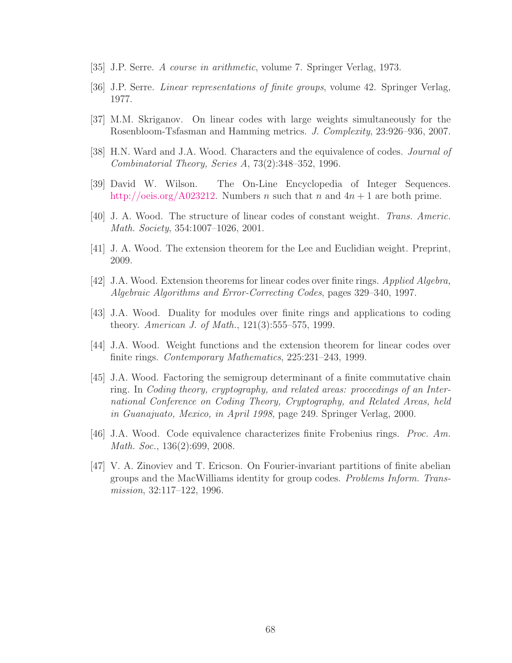- [35] J.P. Serre. A course in arithmetic, volume 7. Springer Verlag, 1973.
- [36] J.P. Serre. Linear representations of finite groups, volume 42. Springer Verlag, 1977.
- [37] M.M. Skriganov. On linear codes with large weights simultaneously for the Rosenbloom-Tsfasman and Hamming metrics. J. Complexity, 23:926–936, 2007.
- [38] H.N. Ward and J.A. Wood. Characters and the equivalence of codes. Journal of Combinatorial Theory, Series A, 73(2):348–352, 1996.
- [39] David W. Wilson. The On-Line Encyclopedia of Integer Sequences. http://oeis.org/A023212. Numbers n such that n and  $4n + 1$  are both prime.
- [40] J. A. Wood. The structure of linear codes of constant weight. Trans. Americ. Math. Society, 354:1007–1026, 2001.
- [41] J. A. Wood. The extension theorem for the Lee and Euclidian weight. Preprint, 2009.
- [42] J.A. Wood. Extension theorems for linear codes over finite rings. Applied Algebra, Algebraic Algorithms and Error-Correcting Codes, pages 329–340, 1997.
- [43] J.A. Wood. Duality for modules over finite rings and applications to coding theory. American J. of Math.,  $121(3):555-575$ , 1999.
- [44] J.A. Wood. Weight functions and the extension theorem for linear codes over finite rings. Contemporary Mathematics, 225:231–243, 1999.
- [45] J.A. Wood. Factoring the semigroup determinant of a finite commutative chain ring. In Coding theory, cryptography, and related areas: proceedings of an International Conference on Coding Theory, Cryptography, and Related Areas, held in Guanajuato, Mexico, in April 1998, page 249. Springer Verlag, 2000.
- [46] J.A. Wood. Code equivalence characterizes finite Frobenius rings. Proc. Am. Math. Soc., 136(2):699, 2008.
- [47] V. A. Zinoviev and T. Ericson. On Fourier-invariant partitions of finite abelian groups and the MacWilliams identity for group codes. Problems Inform. Transmission, 32:117–122, 1996.